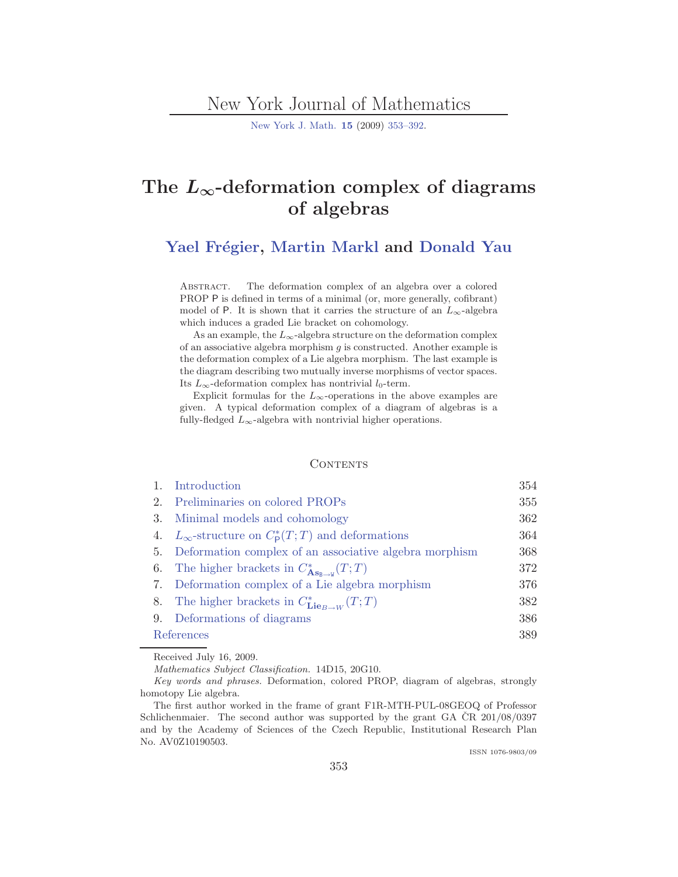## New York Journal of Mathematics

[New York J. Math.](http://nyjm.albany.edu/nyjm.html) **[15](http://nyjm.albany.edu/j/2009/Vol15.htm)** (2009) [353–392.](http://nyjm.albany.edu/j/2009/15-19.html)

# **The** *L∞***-deformation complex of diagrams of algebras**

Yael Frégier, [Martin Markl](#page-39-0) and [Donald Yau](#page-39-0)

ABSTRACT. The deformation complex of an algebra over a colored PROP P is defined in terms of a minimal (or, more generally, cofibrant) model of <sup>P</sup>. It is shown that it carries the structure of an *L*<sup>∞</sup>-algebra which induces a graded Lie bracket on cohomology.

As an example, the  $L_{\infty}$ -algebra structure on the deformation complex of an associative algebra morphism *g* is constructed. Another example is the deformation complex of a Lie algebra morphism. The last example is the diagram describing two mutually inverse morphisms of vector spaces. Its  $L_{\infty}$ -deformation complex has nontrivial *l*<sub>0</sub>-term.

Explicit formulas for the  $L_{\infty}$ -operations in the above examples are given. A typical deformation complex of a diagram of algebras is a fully-fledged  $L_{\infty}$ -algebra with nontrivial higher operations.

#### **CONTENTS**

|            | Introduction                                                                 | 354 |
|------------|------------------------------------------------------------------------------|-----|
| 2.         | Preliminaries on colored PROPs                                               | 355 |
| 3.         | Minimal models and cohomology                                                | 362 |
|            | 4. $L_{\infty}$ -structure on $C_{\mathsf{P}}^{*}(T;T)$ and deformations     | 364 |
|            | 5. Deformation complex of an associative algebra morphism                    | 368 |
|            | 6. The higher brackets in $C^*_{\mathbf{As}_{\mathbf{B}\to\mathbf{W}}}(T;T)$ | 372 |
|            | 7. Deformation complex of a Lie algebra morphism                             | 376 |
|            | 8. The higher brackets in $C^*_{\mathbf{Lie}_{B\rightarrow W}}(T;T)$         | 382 |
|            | 9. Deformations of diagrams                                                  | 386 |
| References |                                                                              | 389 |

Received July 16, 2009.

*Mathematics Subject Classification.* 14D15, 20G10.

*Key words and phrases.* Deformation, colored PROP, diagram of algebras, strongly homotopy Lie algebra.

The first author worked in the frame of grant F1R-MTH-PUL-08GEOQ of Professor Schlichenmaier. The second author was supported by the grant GA  $\overline{CR}$  201/08/0397 and by the Academy of Sciences of the Czech Republic, Institutional Research Plan No. AV0Z10190503.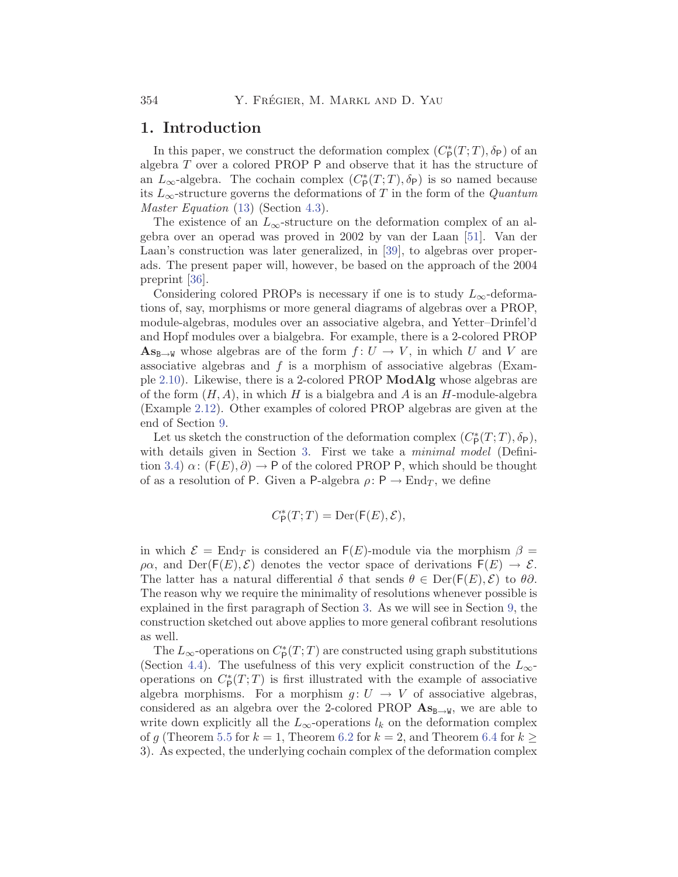#### <span id="page-1-0"></span>**1. Introduction**

In this paper, we construct the deformation complex  $(C_{\mathsf{P}}^*(T;T), \delta_{\mathsf{P}})$  of an algebra T over a colored PROP P and observe that it has the structure of an  $L_{\infty}$ -algebra. The cochain complex  $(C_{\mathsf{P}}^*(T;T), \delta_{\mathsf{P}})$  is so named because its L∞-structure governs the deformations of T in the form of the *Quantum Master Equation* ([13\)](#page-12-0) (Section [4.3\)](#page-12-0).

The existence of an  $L_{\infty}$ -structure on the deformation complex of an algebra over an operad was proved in 2002 by van der Laan [\[51\]](#page-39-0). Van der Laan's construction was later generalized, in [[39](#page-38-0)], to algebras over properads. The present paper will, however, be based on the approach of the 2004 preprint [[36\]](#page-38-0).

Considering colored PROPs is necessary if one is to study  $L_{\infty}$ -deformations of, say, morphisms or more general diagrams of algebras over a PROP, module-algebras, modules over an associative algebra, and Yetter–Drinfel'd and Hopf modules over a bialgebra. For example, there is a 2-colored PROP  $\mathbf{A}\mathbf{s}_{\mathbf{B}\to\mathbf{W}}$  whose algebras are of the form  $f: U \to V$ , in which U and V are associative algebras and  $f$  is a morphism of associative algebras (Example [2.10\)](#page-5-0). Likewise, there is a 2-colored PROP **ModAlg** whose algebras are of the form  $(H, A)$ , in which H is a bialgebra and A is an H-module-algebra (Example [2.12](#page-6-0)). Other examples of colored PROP algebras are given at the end of Section [9](#page-33-0).

Let us sketch the construction of the deformation complex  $(C_P^*(T;T), \delta_P)$ , with details given in Section [3](#page-9-0). First we take a *minimal model* (Defini-tion [3.4](#page-11-0))  $\alpha$ :  $(F(E), \partial) \rightarrow P$  of the colored PROP P, which should be thought of as a resolution of P. Given a P-algebra  $\rho: \mathsf{P} \to \mathrm{End}_T$ , we define

$$
C^*_\mathsf{P}(T;T) = \mathsf{Der}(\mathsf{F}(E),\mathcal{E}),
$$

in which  $\mathcal{E} = \text{End}_T$  is considered an  $F(E)$ -module via the morphism  $\beta =$  $\rho \alpha$ , and Der(F(E),  $\mathcal{E}$ ) denotes the vector space of derivations  $F(E) \to \mathcal{E}$ . The latter has a natural differential  $\delta$  that sends  $\theta \in \text{Der}(\mathsf{F}(E), \mathcal{E})$  to  $\theta \partial$ . The reason why we require the minimality of resolutions whenever possible is explained in the first paragraph of Section [3](#page-9-0). As we will see in Section [9,](#page-33-0) the construction sketched out above applies to more general cofibrant resolutions as well.

The  $L_{\infty}$ -operations on  $C_{\mathsf{P}}^{*}(T;T)$  are constructed using graph substitutions (Section [4.4\)](#page-13-0). The usefulness of this very explicit construction of the  $L_{\infty}$ operations on  $C^*_{\mathsf{P}}(T;T)$  is first illustrated with the example of associative algebra morphisms. For a morphism  $g: U \to V$  of associative algebras, considered as an algebra over the 2-colored PROP  $\mathbf{As}_{\mathbf{B}\to\mathbf{W}}$ , we are able to write down explicitly all the  $L_{\infty}$ -operations  $l_k$  on the deformation complex of g (Theorem [5.5](#page-17-0) for  $k = 1$ , Theorem [6.2](#page-20-0) for  $k = 2$ , and Theorem [6.4](#page-21-0) for  $k \geq$ 3). As expected, the underlying cochain complex of the deformation complex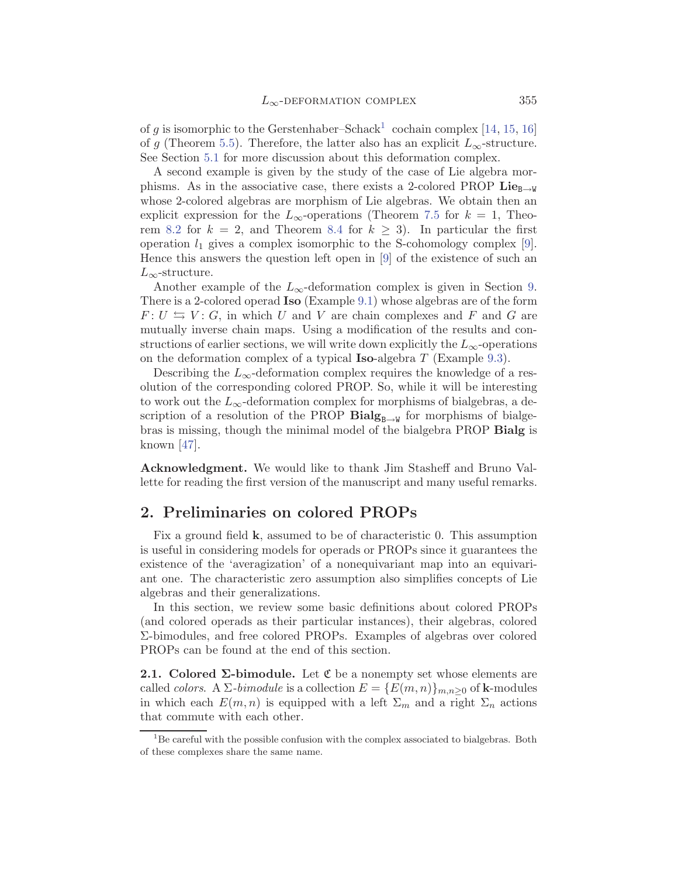<span id="page-2-0"></span>of g is isomorphic to the Gerstenhaber–Schack<sup>1</sup> cochain complex [[14,](#page-37-0) [15,](#page-37-0) [16](#page-37-0)] of g (Theorem [5.5](#page-17-0)). Therefore, the latter also has an explicit  $L_{\infty}$ -structure. See Section [5.1](#page-15-0) for more discussion about this deformation complex.

A second example is given by the study of the case of Lie algebra morphisms. As in the associative case, there exists a 2-colored PROP  $\mathbf{Lie}_{\mathbf{B}\to\mathbf{W}}$ whose 2-colored algebras are morphism of Lie algebras. We obtain then an explicit expression for the  $L_{\infty}$ -operations (Theorem [7.5](#page-26-0) for  $k = 1$ , Theo-rem [8.2](#page-29-0) for  $k = 2$ , and Theorem [8.4](#page-31-0) for  $k \geq 3$ ). In particular the first operation  $l_1$  gives a complex isomorphic to the S-cohomology complex [[9](#page-37-0)]. Hence this answers the question left open in [[9](#page-37-0)] of the existence of such an  $L_{\infty}$ -structure.

Another example of the  $L_{\infty}$ -deformation complex is given in Section [9](#page-33-0). There is a 2-colored operad **Iso** (Example [9.1](#page-34-0)) whose algebras are of the form  $F: U \Leftrightarrow V: G$ , in which U and V are chain complexes and F and G are mutually inverse chain maps. Using a modification of the results and constructions of earlier sections, we will write down explicitly the  $L_{\infty}$ -operations on the deformation complex of a typical **Iso**-algebra T (Example [9.3](#page-35-0)).

Describing the  $L_{\infty}$ -deformation complex requires the knowledge of a resolution of the corresponding colored PROP. So, while it will be interesting to work out the  $L_{\infty}$ -deformation complex for morphisms of bialgebras, a description of a resolution of the PROP  $\mathbf{Bialg}_{B\rightarrow W}$  for morphisms of bialgebras is missing, though the minimal model of the bialgebra PROP **Bialg** is known [\[47](#page-39-0)].

**Acknowledgment.** We would like to thank Jim Stasheff and Bruno Vallette for reading the first version of the manuscript and many useful remarks.

## **2. Preliminaries on colored PROPs**

Fix a ground field **k**, assumed to be of characteristic 0. This assumption is useful in considering models for operads or PROPs since it guarantees the existence of the 'averagization' of a nonequivariant map into an equivariant one. The characteristic zero assumption also simplifies concepts of Lie algebras and their generalizations.

In this section, we review some basic definitions about colored PROPs (and colored operads as their particular instances), their algebras, colored Σ-bimodules, and free colored PROPs. Examples of algebras over colored PROPs can be found at the end of this section.

**2.1. Colored Σ-bimodule.** Let  $\mathfrak{C}$  be a nonempty set whose elements are called *colors*. A  $\Sigma$ -*bimodule* is a collection  $E = \{E(m, n)\}_{m,n\geq 0}$  of **k**-modules in which each  $E(m, n)$  is equipped with a left  $\Sigma_m$  and a right  $\Sigma_n$  actions that commute with each other.

 ${}^{1}$ Be careful with the possible confusion with the complex associated to bialgebras. Both of these complexes share the same name.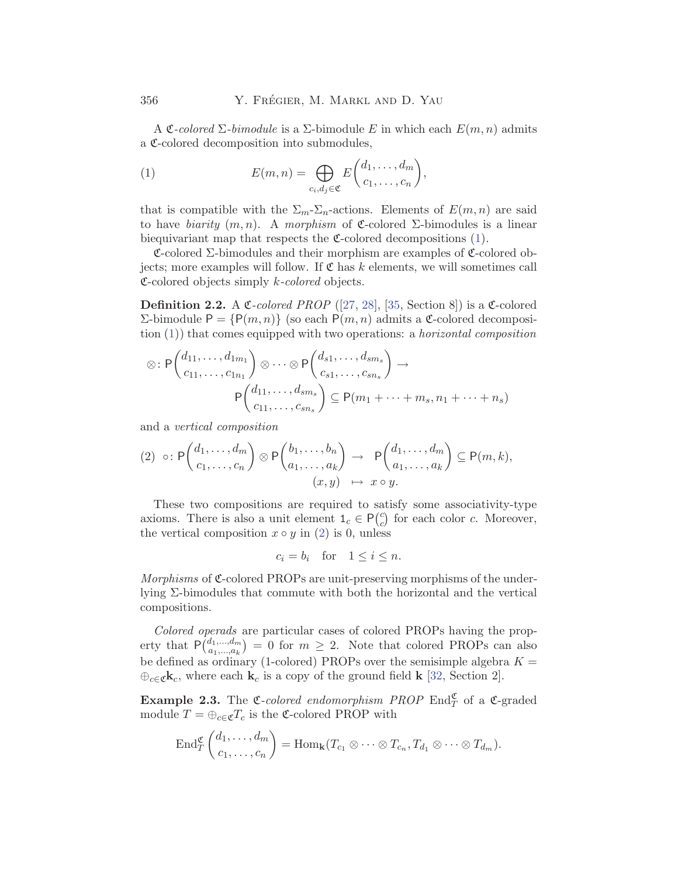A  $\mathfrak{C}\text{-}colored$   $\Sigma$ -bimodule is a  $\Sigma$ -bimodule E in which each  $E(m, n)$  admits a C-colored decomposition into submodules,

(1) 
$$
E(m,n) = \bigoplus_{c_i,d_j \in \mathfrak{C}} E\binom{d_1,\ldots,d_m}{c_1,\ldots,c_n},
$$

that is compatible with the  $\Sigma_m-\Sigma_n$ -actions. Elements of  $E(m, n)$  are said to have *biarity*  $(m, n)$ . A *morphism* of **C**-colored  $\Sigma$ -bimodules is a linear biequivariant map that respects the  $\mathfrak{C}\text{-colored decomposition}$  (1).

 $\mathfrak{C}\text{-colored }\Sigma\text{-bimodules and their morphism are examples of }\mathfrak{C}\text{-colored ob-}$ jects; more examples will follow. If  $\mathfrak C$  has k elements, we will sometimes call C-colored objects simply k*-colored* objects.

**Definition 2.2.** A  $\mathfrak{C}$ -colored PROP ([[27,](#page-38-0) [28\]](#page-38-0), [\[35](#page-38-0), Section 8]) is a  $\mathfrak{C}$ -colored Σ-bimodule P = {P(m, n)} (so each P(m, n) admits a C-colored decomposition (1)) that comes equipped with two operations: a *horizontal composition*

$$
\otimes : \mathsf{P}\left(\begin{matrix} d_{11},\ldots,d_{1m_1} \\ c_{11},\ldots,c_{1n_1} \end{matrix}\right) \otimes \cdots \otimes \mathsf{P}\left(\begin{matrix} d_{s1},\ldots,d_{sm_s} \\ c_{s1},\ldots,c_{sn_s} \end{matrix}\right) \to
$$

$$
\mathsf{P}\left(\begin{matrix} d_{11},\ldots,d_{sm_s} \\ c_{11},\ldots,c_{sn_s} \end{matrix}\right) \subseteq \mathsf{P}(m_1 + \cdots + m_s, n_1 + \cdots + n_s)
$$

and a *vertical composition*

$$
(2) \circ P\left(\begin{matrix} d_1, \dots, d_m \\ c_1, \dots, c_n \end{matrix}\right) \otimes P\left(\begin{matrix} b_1, \dots, b_n \\ a_1, \dots, a_k \end{matrix}\right) \rightarrow P\left(\begin{matrix} d_1, \dots, d_m \\ a_1, \dots, a_k \end{matrix}\right) \subseteq P(m, k),
$$

$$
(x, y) \mapsto x \circ y.
$$

These two compositions are required to satisfy some associativity-type axioms. There is also a unit element  $1_c \in P(c)$  for each color c. Moreover, the vertical composition  $x \circ y$  in (2) is 0, unless

$$
c_i = b_i \quad \text{for} \quad 1 \le i \le n.
$$

*Morphisms* of  $\mathfrak{C}$ -colored PROPs are unit-preserving morphisms of the underlying Σ-bimodules that commute with both the horizontal and the vertical compositions.

*Colored operads* are particular cases of colored PROPs having the property that  $P\binom{d_1,\dots,d_m}{a_1,\dots,a_k} = 0$  for  $m \geq 2$ . Note that colored PROPs can also be defined as ordinary (1-colored) PROPs over the semisimple algebra  $K =$  $\oplus_{c \in \mathfrak{C}} \mathbf{k}_c$ , where each  $\mathbf{k}_c$  is a copy of the ground field **k** [[32,](#page-38-0) Section 2].

**Example 2.3.** The C-colored endomorphism PROP End<sub>C</sub><sup>C</sup> of a C-graded module  $T = \bigoplus_{c \in \mathfrak{C}} T_c$  is the  $\mathfrak{C}\text{-colored}$  PROP with

$$
\operatorname{End}^{\mathfrak{C}}_{T}\binom{d_1,\ldots,d_m}{c_1,\ldots,c_n}=\operatorname{Hom}_{\mathbf{k}}(T_{c_1}\otimes\cdots\otimes T_{c_n},T_{d_1}\otimes\cdots\otimes T_{d_m}).
$$

<span id="page-3-0"></span>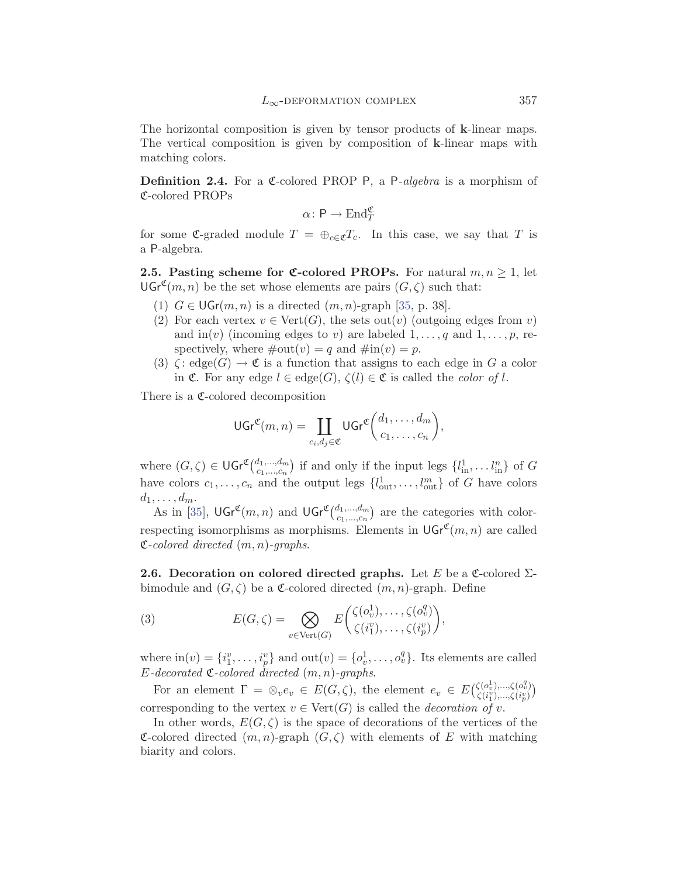<span id="page-4-0"></span>The horizontal composition is given by tensor products of **k**-linear maps. The vertical composition is given by composition of **k**-linear maps with matching colors.

**Definition 2.4.** For a C-colored PROP P, a P-algebra is a morphism of C-colored PROPs

$$
\alpha \colon \mathsf{P} \to \mathrm{End}_T^{\mathfrak{C}}
$$

for some C-graded module  $T = \bigoplus_{c \in \mathfrak{C}} T_c$ . In this case, we say that T is a P-algebra.

**2.5. Pasting scheme for**  $\mathfrak{C}$ **-colored PROPs.** For natural  $m, n \geq 1$ , let  $\mathsf{UGr}^{\mathfrak{C}}(m,n)$  be the set whose elements are pairs  $(G,\zeta)$  such that:

- (1)  $G \in \mathsf{UGr}(m,n)$  is a directed  $(m,n)$ -graph [\[35](#page-38-0), p. 38].
- (2) For each vertex  $v \in \text{Vert}(G)$ , the sets out(v) (outgoing edges from v) and in(v) (incoming edges to v) are labeled  $1, \ldots, q$  and  $1, \ldots, p$ , respectively, where  $\#\text{out}(v) = q$  and  $\#\text{in}(v) = p$ .
- (3)  $\zeta: \text{edge}(G) \to \mathfrak{C}$  is a function that assigns to each edge in G a color in  $\mathfrak{C}$ . For any edge  $l \in \text{edge}(G)$ ,  $\zeta(l) \in \mathfrak{C}$  is called the *color of l*.

There is a  $\mathfrak{C}\text{-colored decomposition}$ 

$$
\mathsf{UGr}^{\mathfrak{C}}(m,n) = \coprod_{c_i,d_j \in \mathfrak{C}} \mathsf{UGr}^{\mathfrak{C}}\binom{d_1,\ldots,d_m}{c_1,\ldots,c_n},
$$

where  $(G, \zeta) \in \mathsf{UGr}^{\mathfrak{C}}(\substack{d_1,\ldots,d_m \\ c_1,\ldots,c_n})$  if and only if the input legs  $\{l_{\rm in}^1, \ldots, l_{\rm in}^n\}$  of  $G$ have colors  $c_1, \ldots, c_n$  and the output legs  $\{l_{\text{out}}^1, \ldots, l_{\text{out}}^m\}$  of G have colors  $d_1,\ldots,d_m.$ 

As in [[35\]](#page-38-0),  $\mathsf{UGr}^{\mathfrak{C}}(m,n)$  and  $\mathsf{UGr}^{\mathfrak{C}}(\begin{subarray}{c}d_1,\ldots,d_m\\c_1,\ldots,c_n\end{subarray})$  are the categories with colorrespecting isomorphisms as morphisms. Elements in  $\mathsf{UGr}^{\mathfrak{C}}(m, n)$  are called C*-colored directed* (m, n)*-graphs*.

**2.6. Decoration on colored directed graphs.** Let E be a C-colored  $\Sigma$ bimodule and  $(G, \zeta)$  be a **C**-colored directed  $(m, n)$ -graph. Define

(3) 
$$
E(G,\zeta) = \bigotimes_{v \in \text{Vert}(G)} E\left(\begin{matrix} \zeta(o_v^1), \dots, \zeta(o_v^q) \\ \zeta(i_1^v), \dots, \zeta(i_p^v) \end{matrix}\right),
$$

where  $\text{in}(v) = \{i_1^v, \ldots, i_p^v\}$  and  $\text{out}(v) = \{o_v^1, \ldots, o_v^q\}$ . Its elements are called  $E$ *-decorated*  $\mathfrak{C}$ *-colored* directed  $(m, n)$ *-graphs.* 

For an element  $\Gamma = \otimes_v e_v \in E(G,\zeta)$ , the element  $e_v \in E(\zeta(c_v^1),..., \zeta(c_v^q))$  $\begin{pmatrix} \zeta(o_v^1),...,\zeta(o_v^q) \ \zeta(i_1^v),...,\zeta(i_p^v) \end{pmatrix}$ corresponding to the vertex  $v \in \text{Vert}(G)$  is called the *decoration of* v.

In other words,  $E(G, \zeta)$  is the space of decorations of the vertices of the C-colored directed  $(m, n)$ -graph  $(G, \zeta)$  with elements of E with matching biarity and colors.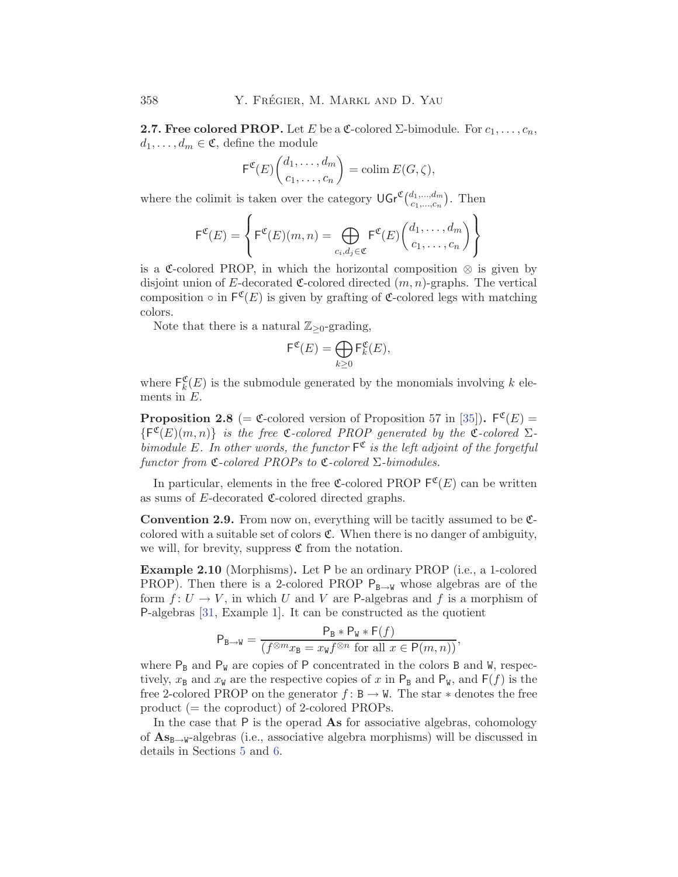<span id="page-5-0"></span>**2.7. Free colored PROP.** Let E be a  $\mathfrak{C}$ -colored  $\Sigma$ -bimodule. For  $c_1, \ldots, c_n$ ,  $d_1,\ldots,d_m\in\mathfrak{C}$ , define the module

$$
\mathsf{F}^{\mathfrak{C}}(E)\binom{d_1,\ldots,d_m}{c_1,\ldots,c_n} = \operatorname{colim} E(G,\zeta),
$$

where the colimit is taken over the category  $\mathsf{UGr}^{\mathfrak{C}}(\substack{d_1,\ldots,d_m\\c_1,\ldots,c_n})$ . Then

$$
\mathsf{F}^{\mathfrak{C}}(E) = \left\{ \mathsf{F}^{\mathfrak{C}}(E)(m,n) = \bigoplus_{c_i,d_j \in \mathfrak{C}} \mathsf{F}^{\mathfrak{C}}(E) \binom{d_1,\ldots,d_m}{c_1,\ldots,c_n} \right\}
$$

is a C-colored PROP, in which the horizontal composition  $\otimes$  is given by disjoint union of E-decorated  $\mathfrak{C}$ -colored directed  $(m, n)$ -graphs. The vertical composition  $\circ$  in  $\mathsf{F}^{\mathfrak{C}}(E)$  is given by grafting of  $\mathfrak{C}$ -colored legs with matching colors.

Note that there is a natural  $\mathbb{Z}_{\geq 0}$ -grading,

$$
\mathsf{F}^{\mathfrak{C}}(E) = \bigoplus_{k \geq 0} \mathsf{F}_k^{\mathfrak{C}}(E),
$$

where  $\mathsf{F}_k^{\mathfrak{C}}(E)$  is the submodule generated by the monomials involving k elements in E.

**Proposition 2.8** (=  $\mathfrak{C}$ -colored version of Proposition 57 in [\[35](#page-38-0)]).  $\mathsf{F}^{\mathfrak{C}}(E)$  =  ${F^{\mathfrak{C}}(E)(m, n)}$  *is the free*  ${\mathfrak{C}}$ -colored PROP generated by the  ${\mathfrak{C}}$ -colored  $\Sigma$ *bimodule* E. In other words, the functor  $F^{\mathfrak{C}}$  is the left adjoint of the forgetful *functor from* C*-colored PROPs to* C*-colored* Σ*-bimodules.*

In particular, elements in the free C-colored PROP  $\mathsf{F}^{\mathfrak{C}}(E)$  can be written as sums of  $E$ -decorated  $\mathfrak{C}$ -colored directed graphs.

**Convention 2.9.** From now on, everything will be tacitly assumed to be  $\mathfrak{C}$ colored with a suitable set of colors  $\mathfrak{C}$ . When there is no danger of ambiguity, we will, for brevity, suppress  $\mathfrak C$  from the notation.

**Example 2.10** (Morphisms)**.** Let P be an ordinary PROP (i.e., a 1-colored PROP). Then there is a 2-colored PROP  $P_{B\rightarrow W}$  whose algebras are of the form  $f: U \to V$ , in which U and V are P-algebras and f is a morphism of P-algebras [[31,](#page-38-0) Example 1]. It can be constructed as the quotient

$$
P_{B \to W} = \frac{P_B * P_W * F(f)}{(f^{\otimes m} x_B = x_W f^{\otimes n} \text{ for all } x \in P(m, n))},
$$

where  $P_B$  and  $P_W$  are copies of P concentrated in the colors B and W, respectively,  $x_B$  and  $x_W$  are the respective copies of x in  $P_B$  and  $P_W$ , and  $F(f)$  is the free 2-colored PROP on the generator  $f : \mathbb{B} \to \mathbb{W}$ . The star  $*$  denotes the free product (= the coproduct) of 2-colored PROPs.

In the case that P is the operad **As** for associative algebras, cohomology of  $\mathbf{A}\mathbf{s}_{\mathbf{B}\rightarrow\mathbf{W}}$ -algebras (i.e., associative algebra morphisms) will be discussed in details in Sections [5](#page-15-0) and [6](#page-19-0).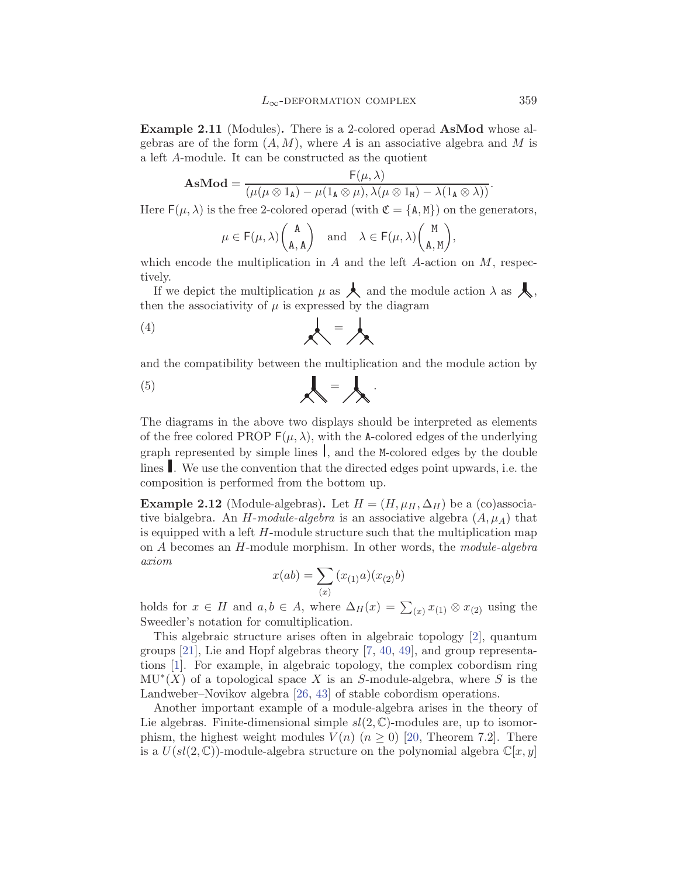<span id="page-6-0"></span>**Example 2.11** (Modules)**.** There is a 2-colored operad **AsMod** whose algebras are of the form  $(A, M)$ , where A is an associative algebra and M is a left A-module. It can be constructed as the quotient

$$
\mathbf{AsMod} = \frac{F(\mu, \lambda)}{(\mu(\mu \otimes 1_{\mathbf{A}}) - \mu(1_{\mathbf{A}} \otimes \mu), \lambda(\mu \otimes 1_{\mathbf{M}}) - \lambda(1_{\mathbf{A}} \otimes \lambda))}.
$$

Here  $F(\mu, \lambda)$  is the free 2-colored operad (with  $\mathfrak{C} = \{A, M\}$ ) on the generators,

$$
\mu\in\mathsf{F}(\mu,\lambda)\binom{\mathtt{A}}{\mathtt{A},\mathtt{A}}\quad\text{and}\quad\lambda\in\mathsf{F}(\mu,\lambda)\binom{\mathtt{M}}{\mathtt{A},\mathtt{M}},
$$

which encode the multiplication in A and the left A-action on  $M$ , respectively.

If we depict the multiplication  $\mu$  as  $\blacktriangle$  and the module action  $\lambda$  as  $\blacktriangle$ , then the associativity of  $\mu$  is expressed by the diagram

$$
\left(4\right)
$$

and the compatibility between the multiplication and the module action by

$$
\left(5\right)
$$

The diagrams in the above two displays should be interpreted as elements of the free colored PROP  $F(\mu, \lambda)$ , with the A-colored edges of the underlying graph represented by simple lines  $\vert$ , and the M-colored edges by the double lines . We use the convention that the directed edges point upwards, i.e. the composition is performed from the bottom up.

**Example 2.12** (Module-algebras). Let  $H = (H, \mu_H, \Delta_H)$  be a (co)associative bialgebra. An  $H$ -module-algebra is an associative algebra  $(A, \mu_A)$  that is equipped with a left H-module structure such that the multiplication map on A becomes an H-module morphism. In other words, the *module-algebra axiom*

$$
x(ab) = \sum_{(x)} (x_{(1)}a)(x_{(2)}b)
$$

holds for  $x \in H$  and  $a, b \in A$ , where  $\Delta_H(x) = \sum_{(x)} x_{(1)} \otimes x_{(2)}$  using the Sweedler's notation for comultiplication.

This algebraic structure arises often in algebraic topology [[2](#page-36-0)], quantum groups [[21\]](#page-37-0), Lie and Hopf algebras theory [[7](#page-37-0), [40,](#page-38-0) [49](#page-39-0)], and group representations [\[1\]](#page-36-0). For example, in algebraic topology, the complex cobordism ring  $MU<sup>*</sup>(X)$  of a topological space X is an S-module-algebra, where S is the Landweber–Novikov algebra [[26,](#page-38-0) [43](#page-38-0)] of stable cobordism operations.

Another important example of a module-algebra arises in the theory of Lie algebras. Finite-dimensional simple  $sl(2,\mathbb{C})$ -modules are, up to isomorphism, the highest weight modules  $V(n)$   $(n \geq 0)$  [[20](#page-37-0), Theorem 7.2]. There is a  $U(sl(2, \mathbb{C}))$ -module-algebra structure on the polynomial algebra  $\mathbb{C}[x, y]$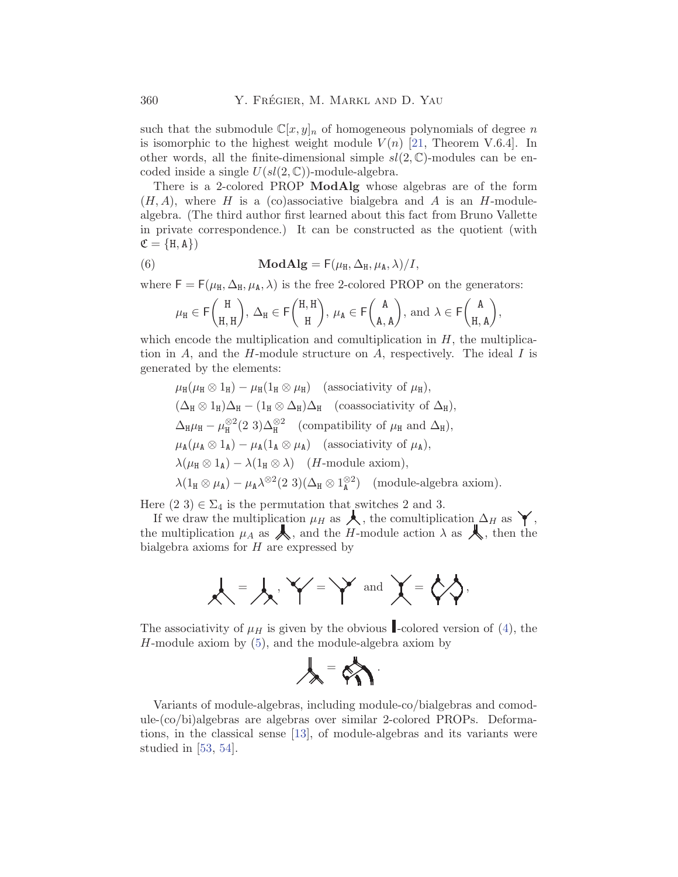such that the submodule  $\mathbb{C}[x,y]_n$  of homogeneous polynomials of degree n is isomorphic to the highest weight module  $V(n)$  [[21,](#page-37-0) Theorem V.6.4]. In other words, all the finite-dimensional simple  $sl(2,\mathbb{C})$ -modules can be encoded inside a single  $U(sl(2, \mathbb{C}))$ -module-algebra.

There is a 2-colored PROP **ModAlg** whose algebras are of the form  $(H, A)$ , where H is a (co)associative bialgebra and A is an H-modulealgebra. (The third author first learned about this fact from Bruno Vallette in private correspondence.) It can be constructed as the quotient (with  $\mathfrak{C} = \{H, A\}$ 

(6) 
$$
\mathbf{ModAlg} = \mathsf{F}(\mu_{\mathtt{H}}, \Delta_{\mathtt{H}}, \mu_{\mathtt{A}}, \lambda)/I,
$$

where  $F = F(\mu_H, \Delta_H, \mu_A, \lambda)$  is the free 2-colored PROP on the generators:

$$
\mu_H\in \mathsf{F}\binom{H}{H,H},\ \Delta_H\in \mathsf{F}\binom{H,H}{H},\ \mu_A\in \mathsf{F}\binom{A}{A,A},\ \mathrm{and}\ \lambda\in \mathsf{F}\binom{A}{H,A},
$$

which encode the multiplication and comultiplication in  $H$ , the multiplication in A, and the H-module structure on A, respectively. The ideal I is generated by the elements:

 $\mu_{\rm H}(\mu_{\rm H} \otimes 1_{\rm H}) - \mu_{\rm H}(1_{\rm H} \otimes \mu_{\rm H})$  (associativity of  $\mu_{\rm H}$ ),  $(\Delta_H \otimes 1_H)\Delta_H - (1_H \otimes \Delta_H)\Delta_H$  (coassociativity of  $\Delta_H$ ),  $\Delta_{\text{H}}\mu_{\text{H}} - \mu_{\text{H}}^{\otimes 2}(2\ 3)\Delta_{\text{H}}^{\otimes 2}$  (compatibility of  $\mu_{\text{H}}$  and  $\Delta_{\text{H}}$ ),  $\mu_{\mathbf{A}}(\mu_{\mathbf{A}} \otimes \mathbb{1}_{\mathbf{A}}) - \mu_{\mathbf{A}}(\mathbb{1}_{\mathbf{A}} \otimes \mu_{\mathbf{A}})$  (associativity of  $\mu_{\mathbf{A}}$ ),  $\lambda(\mu_{\text{H}} \otimes 1_{\text{A}}) - \lambda(1_{\text{H}} \otimes \lambda)$  (*H*-module axiom),  $\lambda(1_H \otimes \mu_A) - \mu_A \lambda^{\otimes 2} (2\ 3)(\Delta_H \otimes 1_A^{\otimes 2})$  (module-algebra axiom).

Here  $(2\ 3) \in \Sigma_4$  is the permutation that switches 2 and 3.

If we draw the multiplication  $\mu_H$  as  $\blacktriangle$ , the comultiplication  $\Delta_H$  as  $\blacktriangledown$ , the multiplication  $\mu_A$  as  $\blacktriangle$ , and the H-module action  $\lambda$  as  $\blacktriangle$ , then the bialgebra axioms for  $H$  are expressed by

$$
\mathcal{A}=\mathcal{A},\mathcal{A}'=\mathcal{A} \text{ and } \mathcal{A}'=\mathcal{A} \mathcal{A},
$$

The associativity of  $\mu$  is given by the obvious -colored version of ([4](#page-6-0)), the H-module axiom by ([5](#page-6-0)), and the module-algebra axiom by

$$
\lambda = \mathcal{C} \setminus \mathcal{C}
$$

Variants of module-algebras, including module-co/bialgebras and comodule-(co/bi)algebras are algebras over similar 2-colored PROPs. Deformations, in the classical sense [[13\]](#page-37-0), of module-algebras and its variants were studied in [[53,](#page-39-0) [54](#page-39-0)].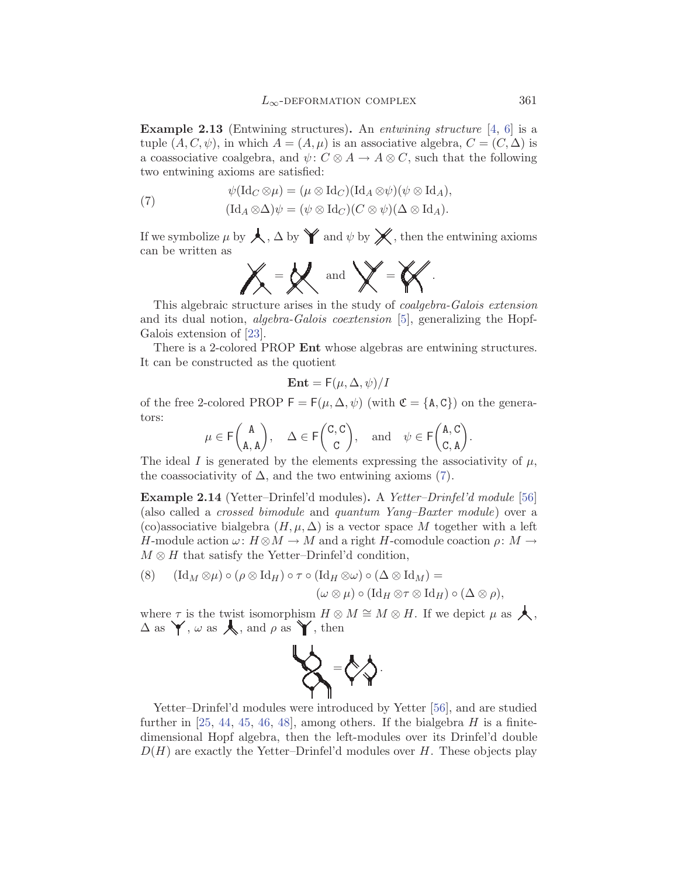<span id="page-8-0"></span>**Example 2.13** (Entwining structures)**.** An *entwining structure* [[4](#page-37-0), [6](#page-37-0)] is a tuple  $(A, C, \psi)$ , in which  $A = (A, \mu)$  is an associative algebra,  $C = (C, \Delta)$  is a coassociative coalgebra, and  $\psi: C \otimes A \to A \otimes C$ , such that the following two entwining axioms are satisfied:

(7) 
$$
\psi(\mathrm{Id}_C \otimes \mu) = (\mu \otimes \mathrm{Id}_C)(\mathrm{Id}_A \otimes \psi)(\psi \otimes \mathrm{Id}_A),
$$

$$
(\mathrm{Id}_A \otimes \Delta)\psi = (\psi \otimes \mathrm{Id}_C)(C \otimes \psi)(\Delta \otimes \mathrm{Id}_A).
$$

If we symbolize  $\mu$  by  $\bigwedge$ ,  $\Delta$  by  $\bigvee$  and  $\psi$  by  $\bigtimes$ , then the entwining axioms can be written as

$$
\mathbb{X}=\mathbb{X} \quad \text{and} \quad \mathbb{X}=\mathbb{X}.
$$

This algebraic structure arises in the study of *coalgebra-Galois extension* and its dual notion, *algebra-Galois coextension* [[5](#page-37-0)], generalizing the Hopf-Galois extension of [[23\]](#page-37-0).

There is a 2-colored PROP **Ent** whose algebras are entwining structures. It can be constructed as the quotient

$$
\text{Ent} = F(\mu, \Delta, \psi)/I
$$

of the free 2-colored PROP  $\mathsf{F} = \mathsf{F}(\mu, \Delta, \psi)$  (with  $\mathfrak{C} = {\mathsf{A}, \mathsf{C}}$ ) on the generators:

$$
\mu\in \mathsf{F}\binom{A}{\mathtt{A},\mathtt{A}},\quad \Delta\in \mathsf{F}\binom{C,C}{C},\quad \text{and}\quad \psi\in \mathsf{F}\binom{\mathtt{A},C}{C,\mathtt{A}}.
$$

The ideal I is generated by the elements expressing the associativity of  $\mu$ , the coassociativity of  $\Delta$ , and the two entwining axioms (7).

**Example 2.14** (Yetter–Drinfel'd modules)**.** A *Yetter–Drinfel'd module* [\[56](#page-39-0)] (also called a *crossed bimodule* and *quantum Yang–Baxter module*) over a (co)associative bialgebra  $(H, \mu, \Delta)$  is a vector space M together with a left H-module action  $\omega: H \otimes M \to M$  and a right H-comodule coaction  $\rho: M \to$  $M \otimes H$  that satisfy the Yetter–Drinfel'd condition,

(8) 
$$
(\mathrm{Id}_{M} \otimes \mu) \circ (\rho \otimes \mathrm{Id}_{H}) \circ \tau \circ (\mathrm{Id}_{H} \otimes \omega) \circ (\Delta \otimes \mathrm{Id}_{M}) =
$$

$$
(\omega \otimes \mu) \circ (\mathrm{Id}_{H} \otimes \tau \otimes \mathrm{Id}_{H}) \circ (\Delta \otimes \rho),
$$

where  $\tau$  is the twist isomorphism  $H \otimes M \cong M \otimes H$ . If we depict  $\mu$  as  $\blacktriangle$ ,  $\Delta$  as  $\blacktriangledown$ ,  $\omega$  as  $\blacktriangle$ , and  $\rho$  as  $\blacktriangledown$ , then



Yetter–Drinfel'd modules were introduced by Yetter [[56\]](#page-39-0), and are studied further in [[25,](#page-38-0) [44](#page-38-0), [45](#page-39-0), [46](#page-39-0), [48\]](#page-39-0), among others. If the bialgebra  $H$  is a finitedimensional Hopf algebra, then the left-modules over its Drinfel'd double  $D(H)$  are exactly the Yetter–Drinfel'd modules over H. These objects play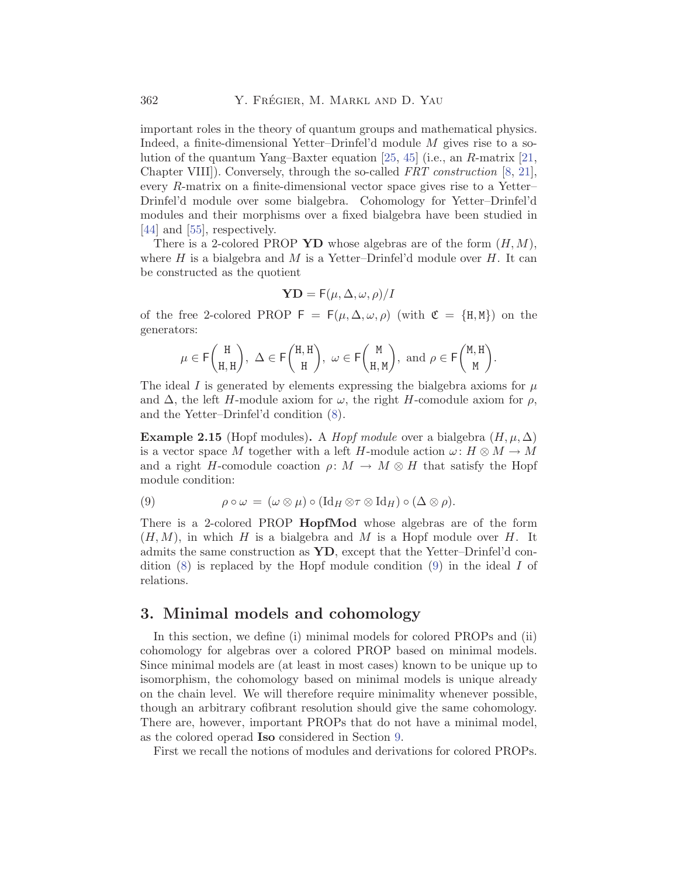<span id="page-9-0"></span>important roles in the theory of quantum groups and mathematical physics. Indeed, a finite-dimensional Yetter–Drinfel'd module M gives rise to a solution of the quantum Yang–Baxter equation [\[25,](#page-38-0) [45](#page-39-0)] (i.e., an R-matrix [\[21](#page-37-0), Chapter VIII]). Conversely, through the so-called *FRT construction* [\[8,](#page-37-0) [21](#page-37-0)], every R-matrix on a finite-dimensional vector space gives rise to a Yetter– Drinfel'd module over some bialgebra. Cohomology for Yetter–Drinfel'd modules and their morphisms over a fixed bialgebra have been studied in [[44\]](#page-38-0) and [[55](#page-39-0)], respectively.

There is a 2-colored PROP **YD** whose algebras are of the form  $(H, M)$ , where  $H$  is a bialgebra and  $M$  is a Yetter–Drinfel'd module over  $H$ . It can be constructed as the quotient

$$
\mathbf{YD} = \mathsf{F}(\mu, \Delta, \omega, \rho)/I
$$

of the free 2-colored PROP  $F = F(\mu, \Delta, \omega, \rho)$  (with  $\mathfrak{C} = \{H, M\}$ ) on the generators:

$$
\mu\in \mathsf{F}\binom{\tt H}{\tt H,H},\ \Delta\in \mathsf{F}\binom{\tt H,H}{\tt H},\ \omega\in \mathsf{F}\binom{\tt M}{\tt H,M},\ \mathrm{and}\ \rho\in \mathsf{F}\binom{\tt M,H}{\tt M}.
$$

The ideal I is generated by elements expressing the bialgebra axioms for  $\mu$ and  $\Delta$ , the left H-module axiom for  $\omega$ , the right H-comodule axiom for  $\rho$ , and the Yetter–Drinfel'd condition ([8\)](#page-8-0).

**Example 2.15** (Hopf modules). A *Hopf module* over a bialgebra  $(H, \mu, \Delta)$ is a vector space M together with a left H-module action  $\omega: H \otimes M \to M$ and a right H-comodule coaction  $\rho: M \to M \otimes H$  that satisfy the Hopf module condition:

(9) 
$$
\rho \circ \omega = (\omega \otimes \mu) \circ (\mathrm{Id}_H \otimes \tau \otimes \mathrm{Id}_H) \circ (\Delta \otimes \rho).
$$

There is a 2-colored PROP **HopfMod** whose algebras are of the form  $(H, M)$ , in which H is a bialgebra and M is a Hopf module over H. It admits the same construction as **YD**, except that the Yetter–Drinfel'd condition  $(8)$  $(8)$  is replaced by the Hopf module condition  $(9)$  in the ideal I of relations.

### **3. Minimal models and cohomology**

In this section, we define (i) minimal models for colored PROPs and (ii) cohomology for algebras over a colored PROP based on minimal models. Since minimal models are (at least in most cases) known to be unique up to isomorphism, the cohomology based on minimal models is unique already on the chain level. We will therefore require minimality whenever possible, though an arbitrary cofibrant resolution should give the same cohomology. There are, however, important PROPs that do not have a minimal model, as the colored operad **Iso** considered in Section [9.](#page-33-0)

First we recall the notions of modules and derivations for colored PROPs.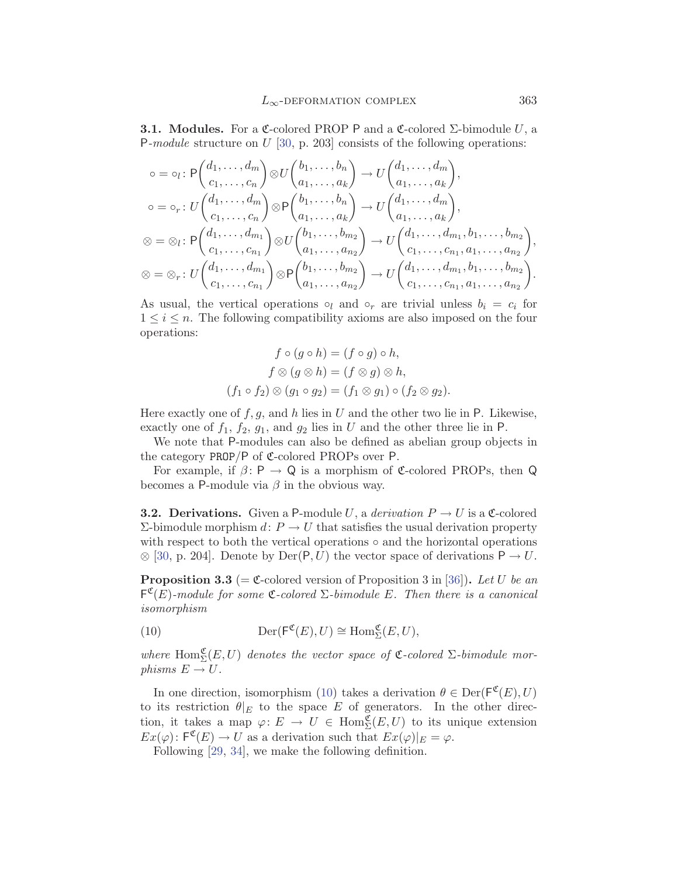<span id="page-10-0"></span>**3.1. Modules.** For a C-colored PROP P and a C-colored  $\Sigma$ -bimodule U, a P*-module* structure on U [\[30](#page-38-0), p. 203] consists of the following operations:

$$
\begin{aligned}\n\circ &= \circ_l : \mathsf{P}\begin{pmatrix} d_1, \dots, d_m \\ c_1, \dots, c_n \end{pmatrix} \otimes U \begin{pmatrix} b_1, \dots, b_n \\ a_1, \dots, a_k \end{pmatrix} \to U \begin{pmatrix} d_1, \dots, d_m \\ a_1, \dots, a_k \end{pmatrix}, \\
\circ &= \circ_r : U \begin{pmatrix} d_1, \dots, d_m \\ c_1, \dots, c_n \end{pmatrix} \otimes \mathsf{P}\begin{pmatrix} b_1, \dots, b_n \\ a_1, \dots, a_k \end{pmatrix} \to U \begin{pmatrix} d_1, \dots, d_m \\ a_1, \dots, a_k \end{pmatrix}, \\
\otimes &= \otimes_l : \mathsf{P}\begin{pmatrix} d_1, \dots, d_{m_1} \\ c_1, \dots, c_{n_1} \end{pmatrix} \otimes U \begin{pmatrix} b_1, \dots, b_{m_2} \\ a_1, \dots, a_{n_2} \end{pmatrix} \to U \begin{pmatrix} d_1, \dots, d_{m_1}, b_1, \dots, b_{m_2} \\ c_1, \dots, c_{n_1}, a_1, \dots, a_{n_2} \end{pmatrix} \\
\otimes &= \otimes_r : U \begin{pmatrix} d_1, \dots, d_{m_1} \\ c_1, \dots, c_{n_1} \end{pmatrix} \otimes \mathsf{P}\begin{pmatrix} b_1, \dots, b_{m_2} \\ a_1, \dots, a_{n_2} \end{pmatrix} \to U \begin{pmatrix} d_1, \dots, d_{m_1}, b_1, \dots, b_{m_2} \\ c_1, \dots, c_{n_1}, a_1, \dots, a_{n_2} \end{pmatrix}\n\end{aligned}
$$

As usual, the vertical operations  $\circ_l$  and  $\circ_r$  are trivial unless  $b_i = c_i$  for  $1 \leq i \leq n$ . The following compatibility axioms are also imposed on the four operations:

$$
f \circ (g \circ h) = (f \circ g) \circ h,
$$
  

$$
f \otimes (g \otimes h) = (f \otimes g) \otimes h,
$$
  

$$
(f_1 \circ f_2) \otimes (g_1 \circ g_2) = (f_1 \otimes g_1) \circ (f_2 \otimes g_2).
$$

Here exactly one of  $f, g$ , and h lies in U and the other two lie in P. Likewise, exactly one of  $f_1$ ,  $f_2$ ,  $g_1$ , and  $g_2$  lies in U and the other three lie in P.

We note that P-modules can also be defined as abelian group objects in the category  $PROP/P$  of  $\mathfrak{C}\text{-colored}$  PROPs over P.

For example, if  $\beta: \mathsf{P} \to \mathsf{Q}$  is a morphism of C-colored PROPs, then Q becomes a P-module via  $\beta$  in the obvious way.

**3.2. Derivations.** Given a P-module U, a *derivation*  $P \rightarrow U$  is a C-colored  $Σ$ -bimodule morphism *d*:  $P$  → *U* that satisfies the usual derivation property with respect to both the vertical operations  $\circ$  and the horizontal operations  $\otimes$  [[30,](#page-38-0) p. 204]. Denote by Der(P, U) the vector space of derivations  $P \to U$ .

**Proposition 3.3** (=  $\mathfrak{C}$ -colored version of Proposition 3 in [[36\]](#page-38-0)). Let U be an  $F^{\mathfrak{C}}(E)$ -module for some  $\mathfrak{C}$ -colored  $\Sigma$ -bimodule E. Then there is a canonical *isomorphism*

(10) 
$$
\operatorname{Der}(\mathsf{F}^{\mathfrak{C}}(E),U)\cong \operatorname{Hom}_{\Sigma}^{\mathfrak{C}}(E,U),
$$

where  $\text{Hom}_{\Sigma}^{\mathfrak{C}}(E,U)$  denotes the vector space of  $\mathfrak{C}\text{-colored}\Sigma\text{-bimodule morph}$ *phisms*  $E \rightarrow U$ .

In one direction, isomorphism (10) takes a derivation  $\theta \in \text{Der}(\mathsf{F}^{\mathfrak{C}}(E), U)$ to its restriction  $\theta|_E$  to the space E of generators. In the other direction, it takes a map  $\varphi: E \to U \in \text{Hom}_{\Sigma}^{\mathfrak{C}}(E,U)$  to its unique extension  $Ex(\varphi): \mathsf{F}^{\mathfrak{C}}(E) \to U$  as a derivation such that  $Ex(\varphi)|_E = \varphi$ .

Following [[29,](#page-38-0) [34](#page-38-0)], we make the following definition.

,

.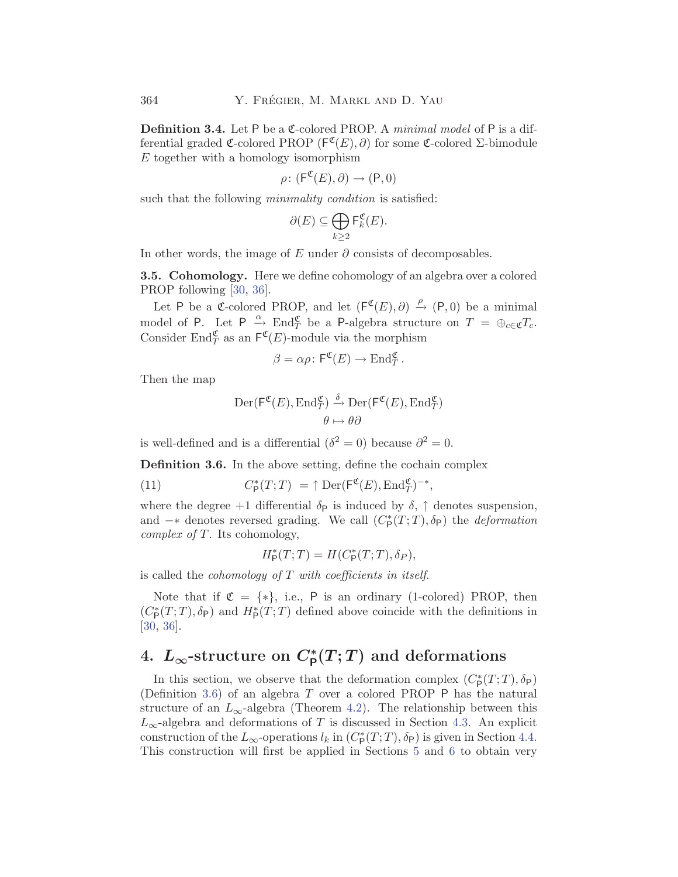<span id="page-11-0"></span>**Definition 3.4.** Let P be a C-colored PROP. A *minimal model* of P is a differential graded C-colored PROP ( $F^{\mathfrak{C}}(E), \partial$ ) for some C-colored Σ-bimodule E together with a homology isomorphism

$$
\rho\colon(\mathsf{F}^{\mathfrak{C}}(E),\partial)\to(\mathsf{P},0)
$$

such that the following *minimality condition* is satisfied:

$$
\partial(E) \subseteq \bigoplus_{k \geq 2} \mathsf{F}_k^{\mathfrak{C}}(E).
$$

In other words, the image of E under  $\partial$  consists of decomposables.

**3.5. Cohomology.** Here we define cohomology of an algebra over a colored PROP following [\[30](#page-38-0), [36\]](#page-38-0).

Let P be a C-colored PROP, and let  $(F^{\mathfrak{C}}(E), \partial) \stackrel{\rho}{\rightarrow} (P, 0)$  be a minimal model of P. Let  $P \xrightarrow{\alpha} \text{End}_{T}^{\mathfrak{C}}$  be a P-algebra structure on  $T = \bigoplus_{c \in \mathfrak{C}} T_c$ . Consider End $_{T}^{\mathfrak{C}}$  as an  $\mathsf{F}^{\mathfrak{C}}(E)$ -module via the morphism

$$
\beta = \alpha \rho \colon \mathsf{F}^{\mathfrak{C}}(E) \to \text{End}^{\mathfrak{C}}_T.
$$

Then the map

$$
\operatorname{Der}(\mathsf{F}^{\mathfrak{C}}(E), \operatorname{End}_{T}^{\mathfrak{C}}) \xrightarrow{\delta} \operatorname{Der}(\mathsf{F}^{\mathfrak{C}}(E), \operatorname{End}_{T}^{\mathfrak{C}})
$$

$$
\theta \mapsto \theta \partial
$$

is well-defined and is a differential ( $\delta^2 = 0$ ) because  $\partial^2 = 0$ .

**Definition 3.6.** In the above setting, define the cochain complex

(11) 
$$
C_{\mathsf{P}}^*(T;T) = \uparrow \mathrm{Der}(\mathsf{F}^{\mathfrak{C}}(E), \mathrm{End}_T^{\mathfrak{C}})^{-*},
$$

where the degree +1 differential  $\delta_P$  is induced by  $\delta$ ,  $\uparrow$  denotes suspension, and  $-*$  denotes reversed grading. We call  $(C^*_{\mathsf{P}}(T;T), \delta_{\mathsf{P}})$  the *deformation complex of* T. Its cohomology,

$$
H^*_{\mathsf{P}}(T;T) = H(C^*_{\mathsf{P}}(T;T), \delta_P),
$$

is called the *cohomology of* T *with coefficients in itself*.

Note that if  $\mathfrak{C} = \{*\}$ , i.e., P is an ordinary (1-colored) PROP, then  $(C_{\mathsf{P}}^*(T;T), \delta_{\mathsf{P}})$  and  $H_{\mathsf{P}}^*(T;T)$  defined above coincide with the definitions in [[30,](#page-38-0) [36](#page-38-0)].

# $L_{\infty}$ -structure on  $C_{\mathsf{P}}^{*}(T;T)$  and deformations

In this section, we observe that the deformation complex  $(C^*_P(T;T), \delta_P)$ (Definition 3.6) of an algebra T over a colored PROP P has the natural structure of an  $L_{\infty}$ -algebra (Theorem [4.2](#page-12-0)). The relationship between this  $L_{\infty}$ -algebra and deformations of T is discussed in Section [4.3.](#page-12-0) An explicit construction of the  $L_{\infty}$ -operations  $l_k$  in  $(C_{\mathsf{P}}^*(T;T), \delta_{\mathsf{P}})$  is given in Section [4.4](#page-13-0). This construction will first be applied in Sections [5](#page-15-0) and [6](#page-19-0) to obtain very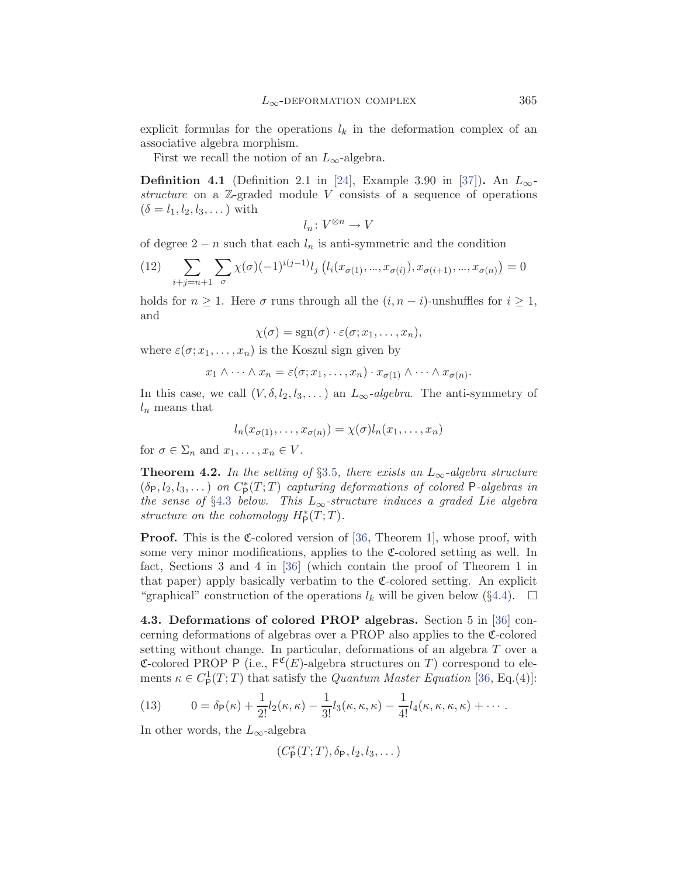<span id="page-12-0"></span>explicit formulas for the operations  $l_k$  in the deformation complex of an associative algebra morphism.

First we recall the notion of an  $L_{\infty}$ -algebra.

**Definition 4.1** (Definition 2.1 in [\[24](#page-38-0)], Example 3.90 in [\[37](#page-38-0)]). An  $L_{\infty}$ *structure* on a Z-graded module V consists of a sequence of operations  $(\delta = l_1, l_2, l_3, \dots)$  with

$$
l_n\colon V^{\otimes n}\to V
$$

of degree  $2 - n$  such that each  $l_n$  is anti-symmetric and the condition

(12) 
$$
\sum_{i+j=n+1} \sum_{\sigma} \chi(\sigma) (-1)^{i(j-1)} l_j \left( l_i(x_{\sigma(1)},...,x_{\sigma(i)}), x_{\sigma(i+1)},...,x_{\sigma(n)} \right) = 0
$$

holds for  $n \geq 1$ . Here  $\sigma$  runs through all the  $(i, n - i)$ -unshuffles for  $i \geq 1$ , and

$$
\chi(\sigma) = \text{sgn}(\sigma) \cdot \varepsilon(\sigma; x_1, \dots, x_n),
$$

where  $\varepsilon(\sigma; x_1,\ldots,x_n)$  is the Koszul sign given by

$$
x_1 \wedge \cdots \wedge x_n = \varepsilon(\sigma; x_1, \ldots, x_n) \cdot x_{\sigma(1)} \wedge \cdots \wedge x_{\sigma(n)}.
$$

In this case, we call  $(V, \delta, l_2, l_3, \dots)$  an  $L_\infty$ *-algebra*. The anti-symmetry of  $l_n$  means that

$$
l_n(x_{\sigma(1)},\ldots,x_{\sigma(n)})=\chi(\sigma)l_n(x_1,\ldots,x_n)
$$

for  $\sigma \in \Sigma_n$  and  $x_1, \ldots, x_n \in V$ .

**Theorem 4.2.** *In the setting of*  $\S3.5$  $\S3.5$ *, there exists an*  $L_{\infty}$ -algebra structure  $(\delta_P, l_2, l_3,...)$  *on*  $C^*_P(T;T)$  *capturing deformations of colored* P-algebras in *the sense of* §4.3 *below.* This  $L_{\infty}$ -structure induces a graded Lie algebra *structure on the cohomology*  $H^*_P(T;T)$ *.* 

**Proof.** This is the  $\mathfrak{C}$ -colored version of [\[36](#page-38-0), Theorem 1], whose proof, with some very minor modifications, applies to the  $\mathfrak{C}\text{-colored setting}$  as well. In fact, Sections 3 and 4 in [\[36\]](#page-38-0) (which contain the proof of Theorem 1 in that paper) apply basically verbatim to the  $\mathfrak{C}\text{-colored setting}$ . An explicit "graphical" construction of the operations  $l_k$  will be given below (§[4.4\)](#page-13-0).  $\Box$ 

**4.3. Deformations of colored PROP algebras.** Section 5 in [\[36](#page-38-0)] concerning deformations of algebras over a PROP also applies to the C-colored setting without change. In particular, deformations of an algebra T over a **C-colored PROP P** (i.e.,  $F^{\mathfrak{C}}(E)$ -algebra structures on T) correspond to elements  $\kappa \in C_{\mathsf{P}}^1(T;T)$  that satisfy the *Quantum Master Equation* [\[36,](#page-38-0) Eq.(4)]:

(13) 
$$
0 = \delta_{\mathsf{P}}(\kappa) + \frac{1}{2!}l_2(\kappa, \kappa) - \frac{1}{3!}l_3(\kappa, \kappa, \kappa) - \frac{1}{4!}l_4(\kappa, \kappa, \kappa, \kappa) + \cdots
$$

In other words, the  $L_{\infty}$ -algebra

$$
(C^*_P(T;T),\delta_P,l_2,l_3,\dots)
$$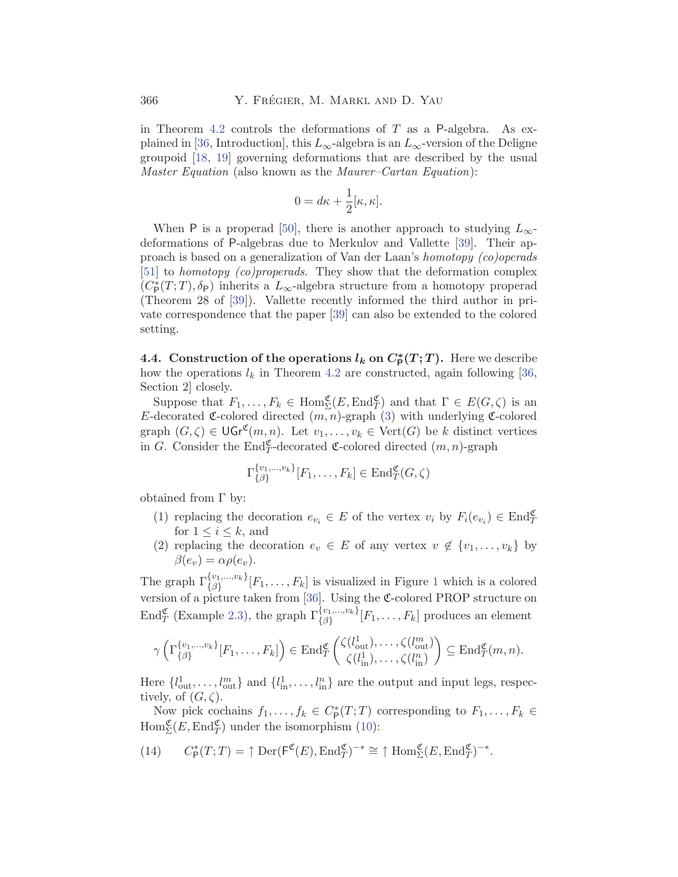<span id="page-13-0"></span>in Theorem [4.2](#page-12-0) controls the deformations of  $T$  as a P-algebra. As ex-plained in [\[36](#page-38-0), Introduction], this  $L_{\infty}$ -algebra is an  $L_{\infty}$ -version of the Deligne groupoid [[18,](#page-37-0) [19](#page-37-0)] governing deformations that are described by the usual *Master Equation* (also known as the *Maurer–Cartan Equation*):

$$
0 = d\kappa + \frac{1}{2}[\kappa, \kappa].
$$

When P is a properad [[50\]](#page-39-0), there is another approach to studying  $L_{\infty}$ deformations of P-algebras due to Merkulov and Vallette [\[39\]](#page-38-0). Their approach is based on a generalization of Van der Laan's *homotopy (co)operads* [[51\]](#page-39-0) to *homotopy (co)properads*. They show that the deformation complex  $(C_{\mathsf{P}}^*(T;T), \delta_{\mathsf{P}})$  inherits a  $L_{\infty}$  -algebra structure from a homotopy properad (Theorem 28 of [\[39](#page-38-0)]). Vallette recently informed the third author in private correspondence that the paper [[39\]](#page-38-0) can also be extended to the colored setting.

**4.4.** Construction of the operations  $l_k$  on  $C^*_P(T;T)$ . Here we describe how the operations  $l_k$  in Theorem [4.2](#page-12-0) are constructed, again following [\[36](#page-38-0), Section 2] closely.

Suppose that  $F_1, \ldots, F_k \in \text{Hom}_{\Sigma}^{\mathfrak{C}}(E, \text{End}_{T}^{\mathfrak{C}})$  and that  $\Gamma \in E(G, \zeta)$  is an E-decorated  $\mathfrak{C}$ -colored directed  $(m, n)$ -graph ([3](#page-4-0)) with underlying  $\mathfrak{C}$ -colored graph  $(G, \zeta) \in \mathsf{UGr}^{\mathfrak{C}}(m, n)$ . Let  $v_1, \ldots, v_k \in \mathrm{Vert}(G)$  be k distinct vertices in G. Consider the  $\text{End}_{T}^{\mathfrak{C}}$ -decorated  $\mathfrak{C}$ -colored directed  $(m, n)$ -graph

$$
\Gamma_{\{\beta\}}^{\{v_1,\dots,v_k\}}[F_1,\dots,F_k] \in \text{End}_T^{\mathfrak{C}}(G,\zeta)
$$

obtained from  $\Gamma$  by:

- (1) replacing the decoration  $e_{v_i} \in E$  of the vertex  $v_i$  by  $F_i(e_{v_i}) \in \text{End}_{T}^{\mathfrak{C}}$ for  $1 \leq i \leq k$ , and
- (2) replacing the decoration  $e_v \in E$  of any vertex  $v \notin \{v_1, \ldots, v_k\}$  by  $\beta(e_v) = \alpha \rho(e_v).$

The graph  $\Gamma_{\{\beta\}}^{\{v_1,\dots,v_k\}}[F_1,\dots,F_k]$  $\Gamma_{\{\beta\}}^{\{v_1,\dots,v_k\}}[F_1,\dots,F_k]$  $\Gamma_{\{\beta\}}^{\{v_1,\dots,v_k\}}[F_1,\dots,F_k]$  is visualized in Figure 1 which is a colored version of a picture taken from  $[36]$  $[36]$ . Using the C-colored PROP structure on End<sub>*T*</sub> (Example [2.3\)](#page-3-0), the graph  $\Gamma_{\{\beta\}}^{\{v_1,\dots,v_k\}}[F_1,\dots,F_k]$  produces an element

$$
\gamma\left(\Gamma_{\{\beta\}}^{\{v_1,\dots,v_k\}}[F_1,\dots,F_k]\right) \in \text{End}_{T}^{\mathfrak{C}}\left(\begin{matrix} \zeta(l_{\text{out}}^1),\dots,\zeta(l_{\text{out}}^m) \\ \zeta(l_{\text{in}}^1),\dots,\zeta(l_{\text{in}}^n) \end{matrix}\right) \subseteq \text{End}_{T}^{\mathfrak{C}}(m,n).
$$

Here  $\{l_{\text{out}}^1, \ldots, l_{\text{out}}^m\}$  and  $\{l_{\text{in}}^1, \ldots, l_{\text{in}}^n\}$  are the output and input legs, respectively, of  $(G, \zeta)$ .

Now pick cochains  $f_1, \ldots, f_k \in C^*_{\mathsf{P}}(T;T)$  corresponding to  $F_1, \ldots, F_k \in$  $\text{Hom}_{\Sigma}^{\mathfrak{C}}(E, \text{End}_{T}^{\mathfrak{C}})$  under the isomorphism ([10](#page-10-0)):

(14) 
$$
C_{\mathsf{P}}^*(T;T) = \uparrow \mathrm{Der}(\mathsf{F}^{\mathfrak{C}}(E), \mathrm{End}_T^{\mathfrak{C}})^{-*} \cong \uparrow \mathrm{Hom}_{\Sigma}^{\mathfrak{C}}(E, \mathrm{End}_T^{\mathfrak{C}})^{-*}.
$$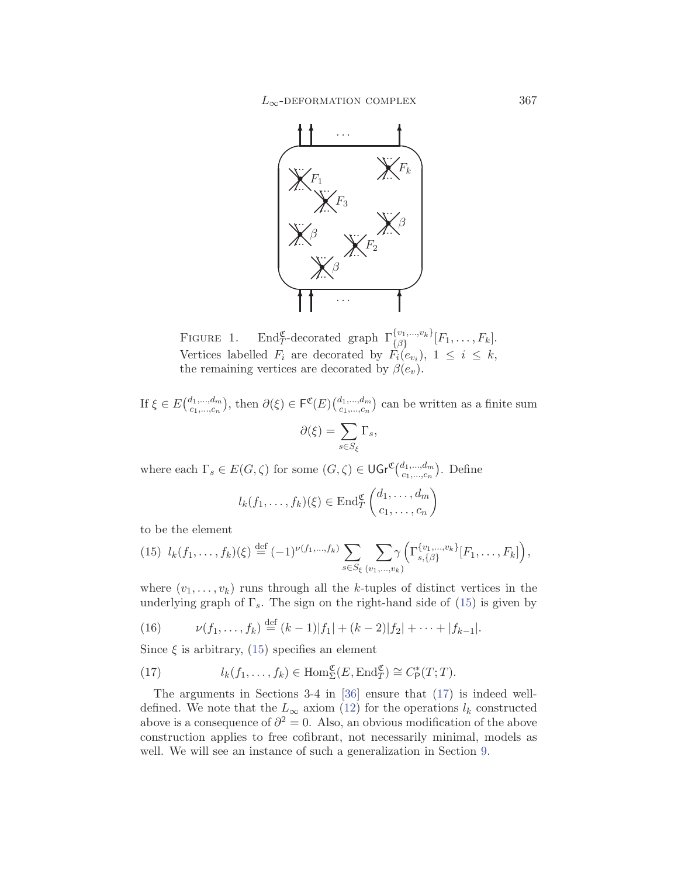<span id="page-14-0"></span>

FIGURE 1. End<sub>T</sub>-decorated graph  $\Gamma_{\{\beta\}}^{\{v_1,\dots,v_k\}}[F_1,\dots,F_k]$ . Vertices labelled  $F_i$  are decorated by  $F_i(e_{v_i}), 1 \leq i \leq k$ , the remaining vertices are decorated by  $\beta(e_v)$ .

If  $\xi \in E\left(\begin{subarray}{c}d_1,\ldots,d_m\\c_1,\ldots,c_n\end{subarray}\right)$ , then  $\partial(\xi) \in \mathsf{F}^{\mathfrak{C}}(E)\left(\begin{subarray}{c}d_1,\ldots,d_m\\c_1,\ldots,c_n\end{subarray}\right)$  can be written as a finite sum  $\partial(\xi) = \sum$  $s{\in}S_\xi$  $\Gamma_s,$ 

where each  $\Gamma_s \in E(G,\zeta)$  for some  $(G,\zeta) \in \mathsf{UGr}^{\mathfrak{C}}(\begin{subarray}{c} d_1,\ldots,d_m \\ c_1,\ldots,c_n \end{subarray})$ . Define

$$
l_k(f_1,\ldots,f_k)(\xi) \in \text{End}_T^{\mathfrak{C}}\left(\begin{matrix}d_1,\ldots,d_m\\c_1,\ldots,c_n\end{matrix}\right)
$$

to be the element

$$
(15) \ \ l_k(f_1,\ldots,f_k)(\xi) \stackrel{\text{def}}{=} (-1)^{\nu(f_1,\ldots,f_k)} \sum_{s \in S_{\xi}} \sum_{(v_1,\ldots,v_k)} \gamma\left(\Gamma_{s,\{\beta\}}^{\{v_1,\ldots,v_k\}}[F_1,\ldots,F_k]\right),
$$

where  $(v_1, \ldots, v_k)$  runs through all the k-tuples of distinct vertices in the underlying graph of  $\Gamma_s$ . The sign on the right-hand side of (15) is given by

(16) 
$$
\nu(f_1,\ldots,f_k) \stackrel{\text{def}}{=} (k-1)|f_1| + (k-2)|f_2| + \cdots + |f_{k-1}|.
$$

Since  $\xi$  is arbitrary, (15) specifies an element

(17) 
$$
l_k(f_1,\ldots,f_k) \in \text{Hom}_{\Sigma}^{\mathfrak{C}}(E,\text{End}_{T}^{\mathfrak{C}}) \cong C_{\mathsf{P}}^*(T;T).
$$

The arguments in Sections 3-4 in [\[36](#page-38-0)] ensure that (17) is indeed welldefined. We note that the  $L_{\infty}$  axiom ([12\)](#page-12-0) for the operations  $l_k$  constructed above is a consequence of  $\partial^2 = 0$ . Also, an obvious modification of the above construction applies to free cofibrant, not necessarily minimal, models as well. We will see an instance of such a generalization in Section [9.](#page-33-0)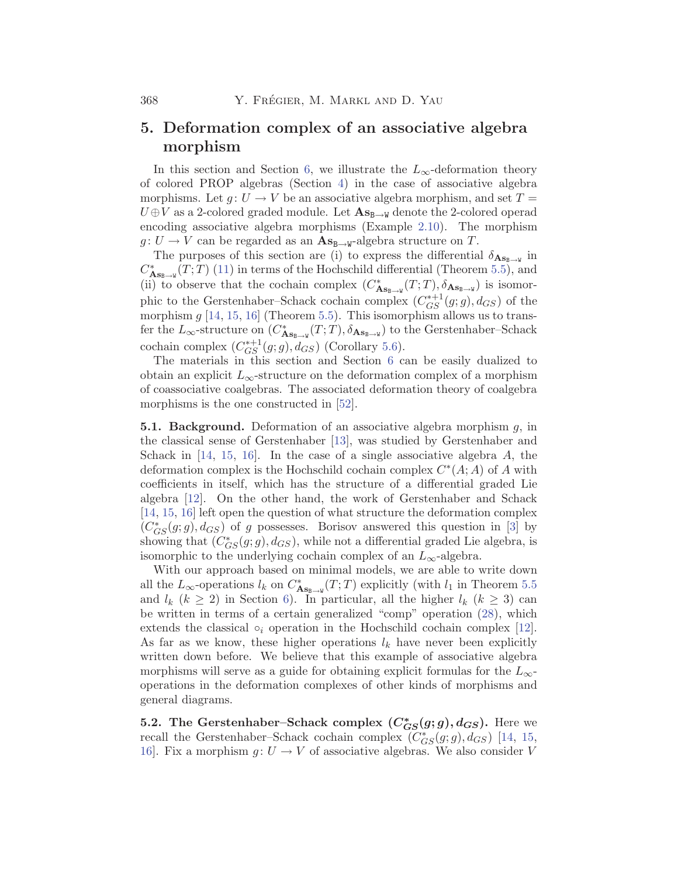# <span id="page-15-0"></span>**5. Deformation complex of an associative algebra morphism**

In this section and Section [6](#page-19-0), we illustrate the  $L_{\infty}$ -deformation theory of colored PROP algebras (Section [4\)](#page-11-0) in the case of associative algebra morphisms. Let  $g: U \to V$  be an associative algebra morphism, and set  $T =$  $U \oplus V$  as a 2-colored graded module. Let  $\mathbf{As}_{\mathbf{B}\to\mathbf{W}}$  denote the 2-colored operad encoding associative algebra morphisms (Example [2.10\)](#page-5-0). The morphism  $g: U \to V$  can be regarded as an  $\mathbf{A} \mathbf{s}_{\mathbf{B} \to \mathbf{W}}$ -algebra structure on T.

The purposes of this section are (i) to express the differential  $\delta_{\mathbf{As}_{B\rightarrow W}}$  in  $C_{\mathbf{AS}_{\mathbf{B}\rightarrow\mathbf{W}}}^*(T;T)$  ([11](#page-11-0)) in terms of the Hochschild differential (Theorem [5.5](#page-17-0)), and (ii) to observe that the cochain complex  $(C_{\mathbf{As}_{\mathbf{B}\to\mathbf{W}}}^*(T;T), \delta_{\mathbf{As}_{\mathbf{B}\to\mathbf{W}}})$  is isomorphic to the Gerstenhaber–Schack cochain complex  $(C_{GS}^{*+1}(g;g), d_{GS})$  of the morphism  $g$  [\[14](#page-37-0), [15,](#page-37-0) [16](#page-37-0)] (Theorem [5.5\)](#page-17-0). This isomorphism allows us to transfer the  $L_{\infty}$ -structure on  $(C_{\mathbf{As}_{\mathbf{B}\to\mathbf{W}}}^*(T;T), \delta_{\mathbf{As}_{\mathbf{B}\to\mathbf{W}}})$  to the Gerstenhaber–Schack cochain complex  $(C_{GS}^{*+1}(g;g), d_{GS})$  (Corollary [5.6](#page-18-0)).

The materials in this section and Section [6](#page-19-0) can be easily dualized to obtain an explicit  $L_{\infty}$ -structure on the deformation complex of a morphism of coassociative coalgebras. The associated deformation theory of coalgebra morphisms is the one constructed in [\[52](#page-39-0)].

**5.1. Background.** Deformation of an associative algebra morphism g, in the classical sense of Gerstenhaber [[13\]](#page-37-0), was studied by Gerstenhaber and Schack in  $[14, 15, 16]$  $[14, 15, 16]$  $[14, 15, 16]$  $[14, 15, 16]$  $[14, 15, 16]$  $[14, 15, 16]$ . In the case of a single associative algebra A, the deformation complex is the Hochschild cochain complex  $C<sup>*</sup>(A; A)$  of A with coefficients in itself, which has the structure of a differential graded Lie algebra [\[12](#page-37-0)]. On the other hand, the work of Gerstenhaber and Schack [[14,](#page-37-0) [15](#page-37-0), [16](#page-37-0)] left open the question of what structure the deformation complex  $(C_{GS}^*(g; g), d_{GS})$  of g possesses. Borisov answered this question in [\[3\]](#page-36-0) by showing that  $(C^*_{GS}(g; g), d_{GS})$ , while not a differential graded Lie algebra, is isomorphic to the underlying cochain complex of an  $L_{\infty}$ -algebra.

With our approach based on minimal models, we are able to write down all the  $L_{\infty}$ -operations  $l_k$  on  $C^*_{\mathbf{As}_{B\to W}}(T; T)$  explicitly (with  $l_1$  in Theorem [5.5](#page-17-0) and  $l_k$   $(k \geq 2)$  in Section [6](#page-19-0)). In particular, all the higher  $l_k$   $(k \geq 3)$  can be written in terms of a certain generalized "comp" operation [\(28](#page-21-0)), which extends the classical  $\circ_i$  operation in the Hochschild cochain complex [\[12](#page-37-0)]. As far as we know, these higher operations  $l_k$  have never been explicitly written down before. We believe that this example of associative algebra morphisms will serve as a guide for obtaining explicit formulas for the  $L_{\infty}$ operations in the deformation complexes of other kinds of morphisms and general diagrams.

**5.2.** The Gerstenhaber–Schack complex  $(C_{GS}^*(g; g), d_{GS})$ . Here we recall the Gerstenhaber–Schack cochain complex  $(C_{GS}^*(g; g), d_{GS})$  [[14,](#page-37-0) [15](#page-37-0), 16. Fix a morphism  $q: U \to V$  of associative algebras. We also consider V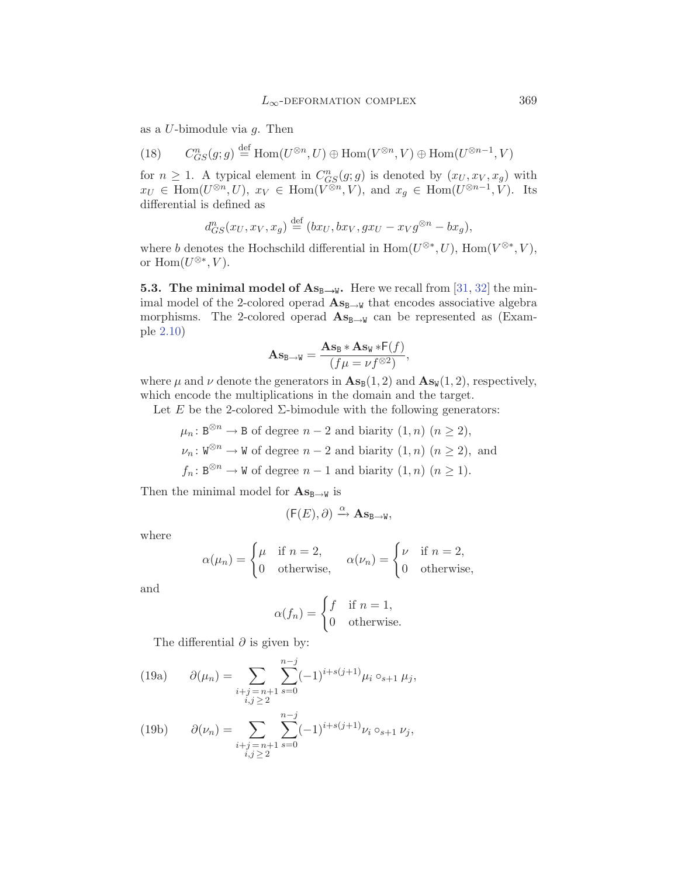<span id="page-16-0"></span>as a  $U$ -bimodule via  $q$ . Then

(18) 
$$
C_{GS}^n(g; g) \stackrel{\text{def}}{=} \text{Hom}(U^{\otimes n}, U) \oplus \text{Hom}(V^{\otimes n}, V) \oplus \text{Hom}(U^{\otimes n-1}, V)
$$

for  $n \geq 1$ . A typical element in  $C_{GS}^n(g;g)$  is denoted by  $(x_U, x_V, x_g)$  with  $x_U \in \text{Hom}(U^{\otimes n}, U)$ ,  $x_V \in \text{Hom}(V^{\otimes n}, V)$ , and  $x_g \in \text{Hom}(U^{\otimes n-1}, V)$ . Its differential is defined as

$$
d_{GS}^n(x_U, x_V, x_g) \stackrel{\text{def}}{=} (bx_U, bx_V, gx_U - x_V g^{\otimes n} - bx_g),
$$

where b denotes the Hochschild differential in  $\mathrm{Hom}(U^{\otimes *}, U)$ ,  $\mathrm{Hom}(V^{\otimes *}, V)$ , or  $\text{Hom}(U^{\otimes *}, V)$ .

**5.3. The minimal model of**  $\mathbf{As}_{\mathbf{B}\to\mathbf{W}}$ **. Here we recall from [\[31](#page-38-0), [32](#page-38-0)] the min**imal model of the 2-colored operad  $\mathbf{A}\mathbf{s}_{\mathbf{B}\rightarrow\mathbf{W}}$  that encodes associative algebra morphisms. The 2-colored operad  $\mathbf{As}_{\mathbf{B}\to\mathbf{W}}$  can be represented as (Example [2.10\)](#page-5-0)

$$
\mathbf{A}\mathbf{s}_{\mathbf{B}\to\mathbf{W}} = \frac{\mathbf{A}\mathbf{s}_{\mathbf{B}} * \mathbf{A}\mathbf{s}_{\mathbf{W}} * F(f)}{(f\mu = \nu f^{\otimes 2})},
$$

where  $\mu$  and  $\nu$  denote the generators in  $\mathbf{As}_{\mathbb{B}}(1, 2)$  and  $\mathbf{As}_{\mathbb{W}}(1, 2)$ , respectively, which encode the multiplications in the domain and the target.

Let E be the 2-colored  $\Sigma$ -bimodule with the following generators:

$$
\mu_n: \mathbb{B}^{\otimes n} \to \mathbb{B} \text{ of degree } n-2 \text{ and biarity } (1, n) \ (n \ge 2),
$$
  

$$
\nu_n: \mathbb{W}^{\otimes n} \to \mathbb{W} \text{ of degree } n-2 \text{ and biarity } (1, n) \ (n \ge 2), \text{ and}
$$
  

$$
f_n: \mathbb{B}^{\otimes n} \to \mathbb{W} \text{ of degree } n-1 \text{ and biarity } (1, n) \ (n \ge 1).
$$

Then the minimal model for  $\mathbf{As}_{B\to W}$  is

$$
(\mathsf{F}(E),\partial) \xrightarrow{\alpha} \mathbf{As}_{\mathtt{B}\rightarrow\mathtt{W}},
$$

where

$$
\alpha(\mu_n) = \begin{cases} \mu & \text{if } n = 2, \\ 0 & \text{otherwise,} \end{cases} \quad \alpha(\nu_n) = \begin{cases} \nu & \text{if } n = 2, \\ 0 & \text{otherwise,} \end{cases}
$$

and

$$
\alpha(f_n) = \begin{cases} f & \text{if } n = 1, \\ 0 & \text{otherwise.} \end{cases}
$$

The differential  $\partial$  is given by:

(19a) 
$$
\partial(\mu_n) = \sum_{\substack{i+j=n+1 \ i,j \geq 2}} \sum_{s=0}^{n-j} (-1)^{i+s(j+1)} \mu_i \circ_{s+1} \mu_j,
$$

(19b) 
$$
\partial(\nu_n) = \sum_{\substack{i+j \ n+1 \ s \geq 0}} \sum_{s=0}^{n-j} (-1)^{i+s(j+1)} \nu_i \circ_{s+1} \nu_j,
$$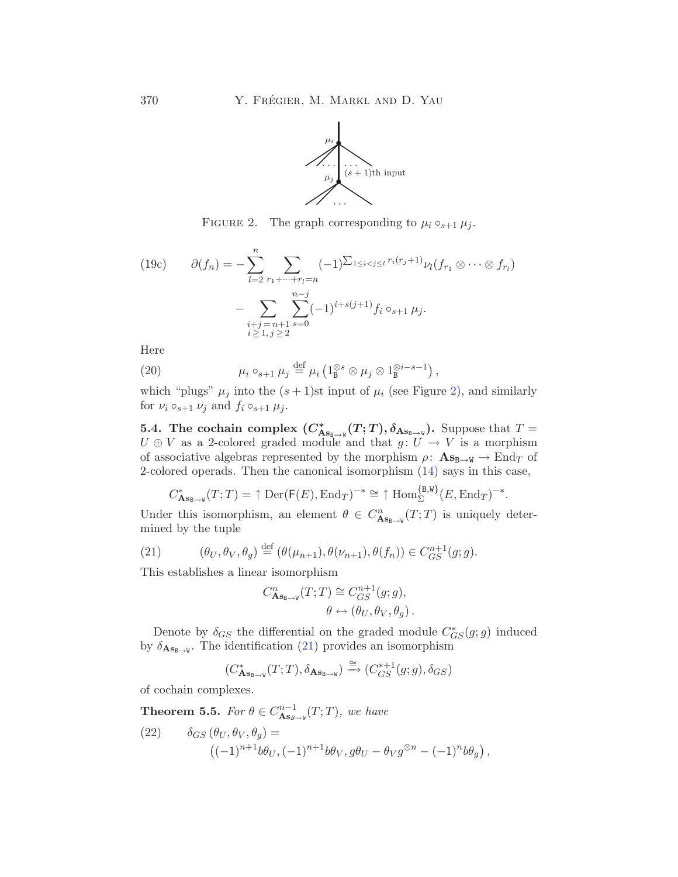

FIGURE 2. The graph corresponding to  $\mu_i \circ_{s+1} \mu_j$ .

<span id="page-17-0"></span>(19c) 
$$
\partial(f_n) = -\sum_{l=2}^n \sum_{\substack{r_1 + \dots + r_l = n}} (-1)^{\sum_{1 \le i < j \le l} r_i(r_j + 1)} \nu_l(f_{r_1} \otimes \dots \otimes f_{r_l})
$$

$$
- \sum_{\substack{i+j = n+1 \\ i \ge 1, j \ge 2}} \sum_{s=0}^{n-j} (-1)^{i+s(j+1)} f_i \circ_{s+1} \mu_j.
$$

Here

(20) 
$$
\mu_i \circ_{s+1} \mu_j \stackrel{\text{def}}{=} \mu_i \left( 1_B^{\otimes s} \otimes \mu_j \otimes 1_B^{\otimes i-s-1} \right),
$$

which "plugs"  $\mu_j$  into the  $(s+1)$ st input of  $\mu_i$  (see Figure 2), and similarly for  $\nu_i \circ_{s+1} \nu_j$  and  $f_i \circ_{s+1} \mu_j$ .

**5.4.** The cochain complex  $(C_{\mathbf{As}_{\mathbf{B}\to\mathbf{W}}}^*(T;T), \delta_{\mathbf{As}_{\mathbf{B}\to\mathbf{W}}})$ . Suppose that  $T =$  $U \oplus V$  as a 2-colored graded module and that  $g: U \to V$  is a morphism of associative algebras represented by the morphism  $\rho: \mathbf{As}_{\mathbf{B}\to\mathbf{W}} \to \text{End}_T$  of 2-colored operads. Then the canonical isomorphism [\(14\)](#page-13-0) says in this case,

$$
C_{\mathbf{As}_{\mathbf{B}\to\mathbf{W}}}^*(T;T) = \uparrow \mathrm{Der}(\mathsf{F}(E), \mathrm{End}_T)^{-*} \cong \uparrow \mathrm{Hom}_{\Sigma}^{\{\mathbf{B},\mathbf{W}\}}(E, \mathrm{End}_T)^{-*}.
$$

Under this isomorphism, an element  $\theta \in C^n_{\mathbf{As}_{\mathbf{B}\to \mathbf{W}}}(T;T)$  is uniquely determined by the tuple

(21) 
$$
(\theta_U, \theta_V, \theta_g) \stackrel{\text{def}}{=} (\theta(\mu_{n+1}), \theta(\nu_{n+1}), \theta(f_n)) \in C_{GS}^{n+1}(g; g).
$$

This establishes a linear isomorphism

$$
\begin{aligned} C^n_{\mathbf{As}_{\mathbf{B}\rightarrow\mathbf{W}}}(T;T)&\cong C^{n+1}_{GS}(g;g),\\ \theta&\leftrightarrow\left(\theta_U,\theta_V,\theta_g\right). \end{aligned}
$$

Denote by  $\delta_{GS}$  the differential on the graded module  $C^*_{GS}(g;g)$  induced by  $\delta_{\mathbf{As}_{B\rightarrow W}}$ . The identification (21) provides an isomorphism

$$
(C_{\mathbf{As}_{\mathrm{B}\rightarrow\mathrm{W}}}^*(T;T),\delta_{\mathbf{As}_{\mathrm{B}\rightarrow\mathrm{W}}})\xrightarrow{\cong}(C_{GS}^{*+1}(g;g),\delta_{GS})
$$

of cochain complexes.

**Theorem 5.5.** *For*  $\theta \in C^{n-1}_{\mathbf{As}_{B\to W}}(T; T)$ *, we have* 

(22) 
$$
\delta_{GS}(\theta_U, \theta_V, \theta_g) =
$$

$$
((-1)^{n+1}b\theta_U, (-1)^{n+1}b\theta_V, g\theta_U - \theta_V g^{\otimes n} - (-1)^n b\theta_g),
$$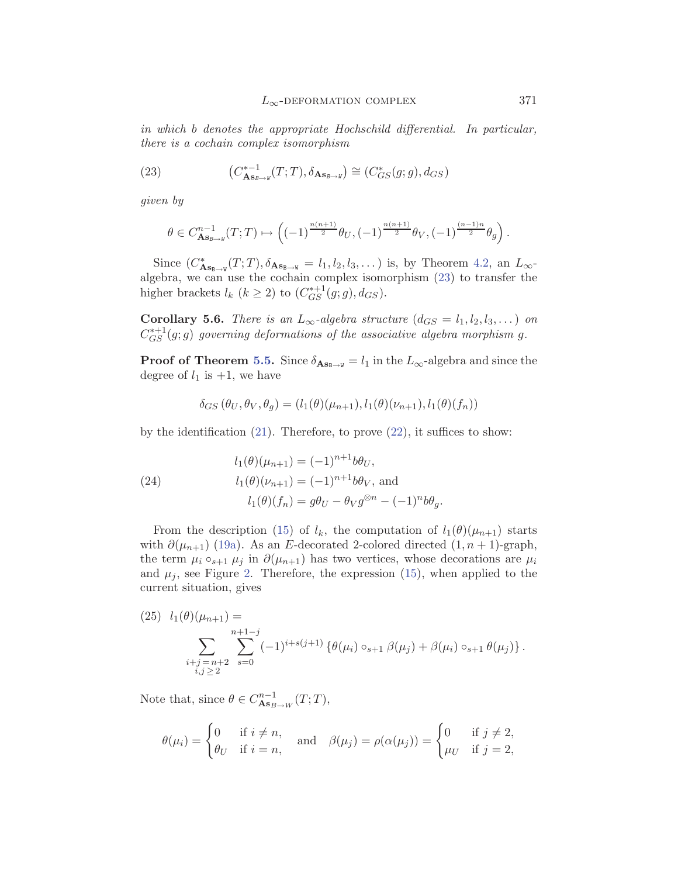<span id="page-18-0"></span>*in which* b *denotes the appropriate Hochschild differential. In particular, there is a cochain complex isomorphism*

(23) 
$$
(C_{\mathbf{As}_{B\to W}}^{*-1}(T;T), \delta_{\mathbf{As}_{B\to W}}) \cong (C_{GS}^*(g;g), d_{GS})
$$

*given by*

$$
\theta \in C^{n-1}_{\mathbf{As}_{B\to W}}(T;T) \mapsto \left((-1)^{\frac{n(n+1)}{2}} \theta_U, (-1)^{\frac{n(n+1)}{2}} \theta_V, (-1)^{\frac{(n-1)n}{2}} \theta_g\right).
$$

Since  $(C_{\mathbf{As}_{\mathbf{B}\to\mathbf{W}}}^*(T;T), \delta_{\mathbf{As}_{\mathbf{B}\to\mathbf{W}}} = l_1, l_2, l_3, \dots)$  is, by Theorem [4.2,](#page-12-0) an  $L_{\infty}$ algebra, we can use the cochain complex isomorphism (23) to transfer the higher brackets  $l_k$   $(k \geq 2)$  to  $(C_{GS}^{*+1}(g;g), d_{GS})$ .

**Corollary 5.6.** *There is an*  $L_{\infty}$ -algebra structure  $(d_{GS} = l_1, l_2, l_3, \dots)$  on  $C_{GS}^{*+1}(g;g)$  governing deformations of the associative algebra morphism g.

**Proof of Theorem [5.5.](#page-17-0)** Since  $\delta_{\mathbf{As}_{B\rightarrow W}} = l_1$  in the  $L_{\infty}$ -algebra and since the degree of  $l_1$  is  $+1$ , we have

$$
\delta_{GS}(\theta_U, \theta_V, \theta_g) = (l_1(\theta)(\mu_{n+1}), l_1(\theta)(\nu_{n+1}), l_1(\theta)(f_n))
$$

by the identification  $(21)$  $(21)$ . Therefore, to prove  $(22)$ , it suffices to show:

(24) 
$$
l_1(\theta)(\mu_{n+1}) = (-1)^{n+1} b \theta_U,
$$

$$
l_1(\theta)(\nu_{n+1}) = (-1)^{n+1} b \theta_V, \text{ and}
$$

$$
l_1(\theta)(f_n) = g \theta_U - \theta_V g^{\otimes n} - (-1)^n b \theta_g.
$$

From the description [\(15](#page-14-0)) of  $l_k$ , the computation of  $l_1(\theta)(\mu_{n+1})$  starts with  $\partial(\mu_{n+1})$  [\(19a\)](#page-16-0). As an E-decorated 2-colored directed  $(1, n+1)$ -graph, the term  $\mu_i \circ_{s+1} \mu_j$  in  $\partial(\mu_{n+1})$  has two vertices, whose decorations are  $\mu_i$ and  $\mu_i$ , see Figure [2.](#page-17-0) Therefore, the expression ([15\)](#page-14-0), when applied to the current situation, gives

(25) 
$$
l_1(\theta)(\mu_{n+1}) =
$$
  
\n
$$
\sum_{\substack{i+j=n+2\\i,j\geq 2}} \sum_{s=0}^{n+1-j} (-1)^{i+s(j+1)} \left\{ \theta(\mu_i) \circ_{s+1} \beta(\mu_j) + \beta(\mu_i) \circ_{s+1} \theta(\mu_j) \right\}.
$$

Note that, since  $\theta \in C^{n-1}_{\mathbf{As}_{B\to W}}(T;T)$ ,

$$
\theta(\mu_i) = \begin{cases} 0 & \text{if } i \neq n, \\ \theta_U & \text{if } i = n, \end{cases} \quad \text{and} \quad \beta(\mu_j) = \rho(\alpha(\mu_j)) = \begin{cases} 0 & \text{if } j \neq 2, \\ \mu_U & \text{if } j = 2, \end{cases}
$$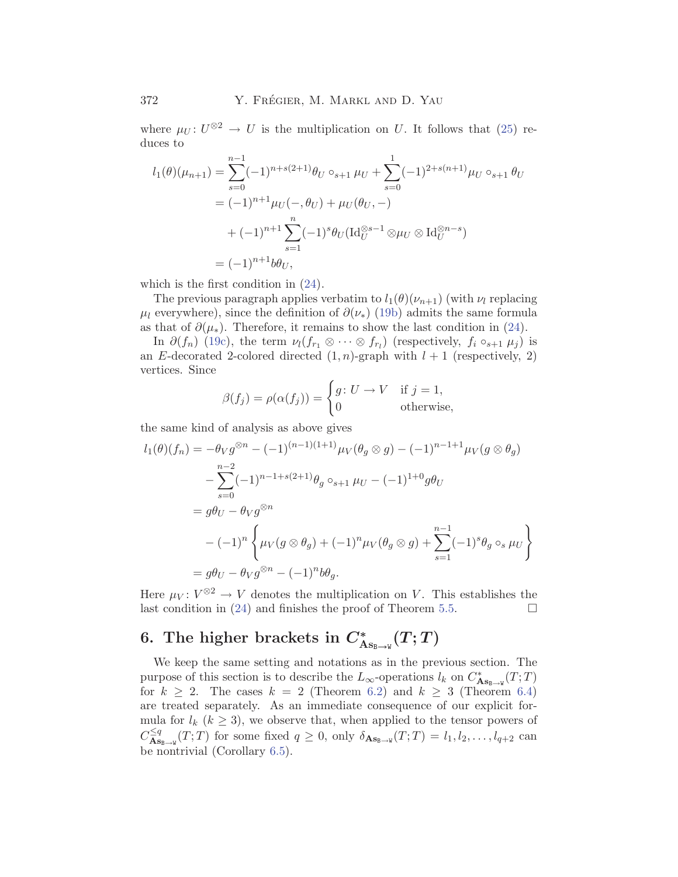<span id="page-19-0"></span>where  $\mu_U: U^{\otimes 2} \to U$  is the multiplication on U. It follows that ([25](#page-18-0)) reduces to

$$
l_1(\theta)(\mu_{n+1}) = \sum_{s=0}^{n-1} (-1)^{n+s(2+1)} \theta_U \circ_{s+1} \mu_U + \sum_{s=0}^1 (-1)^{2+s(n+1)} \mu_U \circ_{s+1} \theta_U
$$
  
=  $(-1)^{n+1} \mu_U(-, \theta_U) + \mu_U(\theta_U, -)$   
 $+ (-1)^{n+1} \sum_{s=1}^n (-1)^s \theta_U (\text{Id}_U^{\otimes s-1} \otimes \mu_U \otimes \text{Id}_U^{\otimes n-s})$   
=  $(-1)^{n+1} b \theta_U,$ 

which is the first condition in ([24\)](#page-18-0).

The previous paragraph applies verbatim to  $l_1(\theta)(\nu_{n+1})$  (with  $\nu_l$  replacing  $\mu_l$  everywhere), since the definition of  $\partial(\nu_*)$  ([19b\)](#page-16-0) admits the same formula as that of  $\partial(\mu_*)$ . Therefore, it remains to show the last condition in ([24\)](#page-18-0).

In  $\partial(f_n)$  [\(19c](#page-17-0)), the term  $\nu_l(f_{r_1}\otimes\cdots\otimes f_{r_l})$  (respectively,  $f_i\circ_{s+1}\mu_j$ ) is an E-decorated 2-colored directed  $(1, n)$ -graph with  $l + 1$  (respectively, 2) vertices. Since

$$
\beta(f_j) = \rho(\alpha(f_j)) = \begin{cases} g \colon U \to V & \text{if } j = 1, \\ 0 & \text{otherwise,} \end{cases}
$$

the same kind of analysis as above gives

$$
l_1(\theta)(f_n) = -\theta_V g^{\otimes n} - (-1)^{(n-1)(1+1)} \mu_V(\theta_g \otimes g) - (-1)^{n-1+1} \mu_V(g \otimes \theta_g)
$$
  

$$
- \sum_{s=0}^{n-2} (-1)^{n-1+s(2+1)} \theta_g \circ_{s+1} \mu_U - (-1)^{1+0} g \theta_U
$$
  

$$
= g \theta_U - \theta_V g^{\otimes n}
$$
  

$$
- (-1)^n \left\{ \mu_V(g \otimes \theta_g) + (-1)^n \mu_V(\theta_g \otimes g) + \sum_{s=1}^{n-1} (-1)^s \theta_g \circ_s \mu_U \right\}
$$
  

$$
= g \theta_U - \theta_V g^{\otimes n} - (-1)^n b \theta_g.
$$

Here  $\mu_V: V^{\otimes 2} \to V$  denotes the multiplication on V. This establishes the last condition in [\(24\)](#page-18-0) and finishes the proof of Theorem [5.5](#page-17-0).  $\Box$ 

# **6.** The higher brackets in  $C^*_{\text{As}_{\text{B}\rightarrow\text{W}}}(T;T)$

We keep the same setting and notations as in the previous section. The purpose of this section is to describe the  $L_{\infty}$ -operations  $l_k$  on  $C^*_{\mathbf{As}_{\mathbf{B}\to\mathbf{W}}}(T;T)$ for  $k \geq 2$ . The cases  $k = 2$  (Theorem [6.2\)](#page-20-0) and  $k \geq 3$  (Theorem [6.4\)](#page-21-0) are treated separately. As an immediate consequence of our explicit formula for  $l_k$  ( $k \geq 3$ ), we observe that, when applied to the tensor powers of  $C^{\leq q}_{\mathbf{As}_{\mathbf{B}\to\mathbf{W}}}(T;T)$  for some fixed  $q \geq 0$ , only  $\delta_{\mathbf{As}_{\mathbf{B}\to\mathbf{W}}}(T;T) = l_1, l_2, \ldots, l_{q+2}$  can be nontrivial (Corollary [6.5\)](#page-21-0).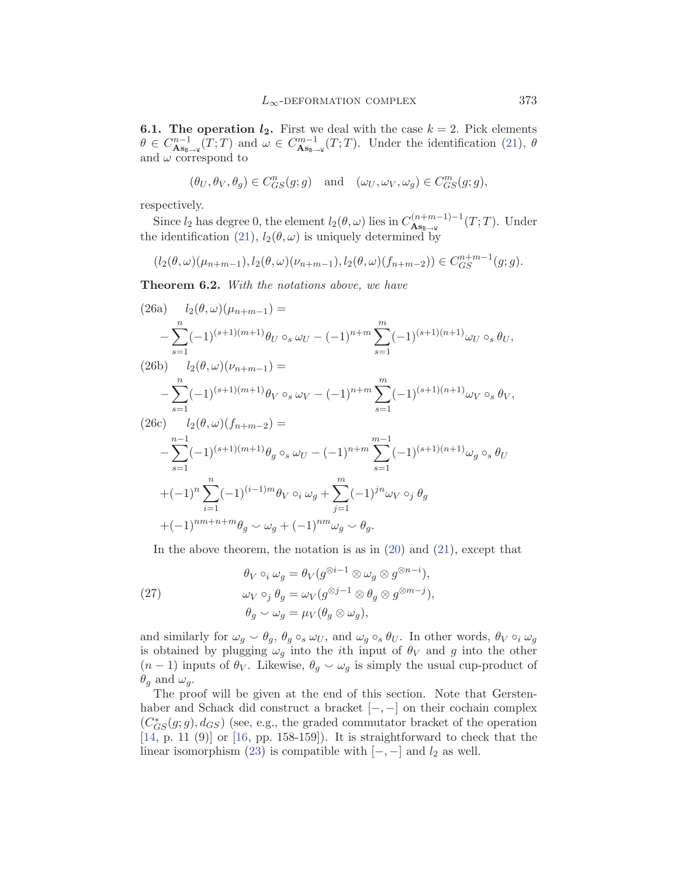<span id="page-20-0"></span>**6.1. The operation**  $l_2$ **.** First we deal with the case  $k = 2$ . Pick elements  $\theta \in C^{n-1}_{\mathbf{As}_{\mathbf{B}\to\mathbf{W}}}(T;T)$  and  $\omega \in C^{m-1}_{\mathbf{As}_{\mathbf{B}\to\mathbf{W}}}(T;T)$ . Under the identification [\(21\)](#page-17-0),  $\theta$ and  $\omega$  correspond to

$$
(\theta_U,\theta_V,\theta_g)\in C^n_{GS}(g;g)\quad\text{and}\quad(\omega_U,\omega_V,\omega_g)\in C^m_{GS}(g;g),
$$

respectively.

Since  $l_2$  has degree 0, the element  $l_2(\theta, \omega)$  lies in  $C_{\mathbf{As}_{\mathbf{B}\to\mathbf{W}}}^{(n+m-1)-1}(T; T)$ . Under the identification [\(21](#page-17-0)),  $l_2(\theta, \omega)$  is uniquely determined by

$$
(l_2(\theta, \omega)(\mu_{n+m-1}), l_2(\theta, \omega)(\nu_{n+m-1}), l_2(\theta, \omega)(f_{n+m-2})) \in C_{GS}^{n+m-1}(g; g).
$$

**Theorem 6.2.** *With the notations above, we have*

$$
(26a) \quad l_2(\theta,\omega)(\mu_{n+m-1}) =
$$
\n
$$
-\sum_{s=1}^n (-1)^{(s+1)(m+1)} \theta_U \circ_s \omega_U - (-1)^{n+m} \sum_{s=1}^m (-1)^{(s+1)(n+1)} \omega_U \circ_s \theta_U,
$$
\n
$$
(26b) \quad l_2(\theta,\omega)(\nu_{n+m-1}) =
$$
\n
$$
-\sum_{s=1}^n (-1)^{(s+1)(m+1)} \theta_V \circ_s \omega_V - (-1)^{n+m} \sum_{s=1}^m (-1)^{(s+1)(n+1)} \omega_V \circ_s \theta_V,
$$
\n
$$
(26c) \quad l_2(\theta,\omega)(f_{n+m-2}) =
$$
\n
$$
-\sum_{s=1}^{n-1} (-1)^{(s+1)(m+1)} \theta_g \circ_s \omega_U - (-1)^{n+m} \sum_{s=1}^{m-1} (-1)^{(s+1)(n+1)} \omega_g \circ_s \theta_U
$$
\n
$$
+(-1)^n \sum_{i=1}^n (-1)^{(i-1)m} \theta_V \circ_i \omega_g + \sum_{j=1}^m (-1)^{jn} \omega_V \circ_j \theta_g
$$
\n
$$
+(-1)^{nm+n+m} \theta_g \sim \omega_g + (-1)^{nm} \omega_g \sim \theta_g.
$$

In the above theorem, the notation is as in  $(20)$  and  $(21)$  $(21)$ , except that

(27) 
$$
\theta_V \circ_i \omega_g = \theta_V(g^{\otimes i-1} \otimes \omega_g \otimes g^{\otimes n-i}),
$$

$$
\omega_V \circ_j \theta_g = \omega_V(g^{\otimes j-1} \otimes \theta_g \otimes g^{\otimes m-j}),
$$

$$
\theta_g \sim \omega_g = \mu_V(\theta_g \otimes \omega_g),
$$

and similarly for  $\omega_g \circ \theta_g$ ,  $\theta_g \circ_s \omega_U$ , and  $\omega_g \circ_s \theta_U$ . In other words,  $\theta_V \circ_i \omega_g$ is obtained by plugging  $\omega_g$  into the *i*th input of  $\theta_V$  and g into the other  $(n-1)$  inputs of  $\theta_V$ . Likewise,  $\theta_g \sim \omega_g$  is simply the usual cup-product of  $\theta_g$  and  $\omega_q.$ 

The proof will be given at the end of this section. Note that Gerstenhaber and Schack did construct a bracket [−, −] on their cochain complex  $(C^*_{GS}(g; g), d_{GS})$  (see, e.g., the graded commutator bracket of the operation [[14,](#page-37-0) p. 11 (9)] or [\[16](#page-37-0), pp. 158-159]). It is straightforward to check that the linear isomorphism [\(23\)](#page-18-0) is compatible with  $[-, -]$  and  $l_2$  as well.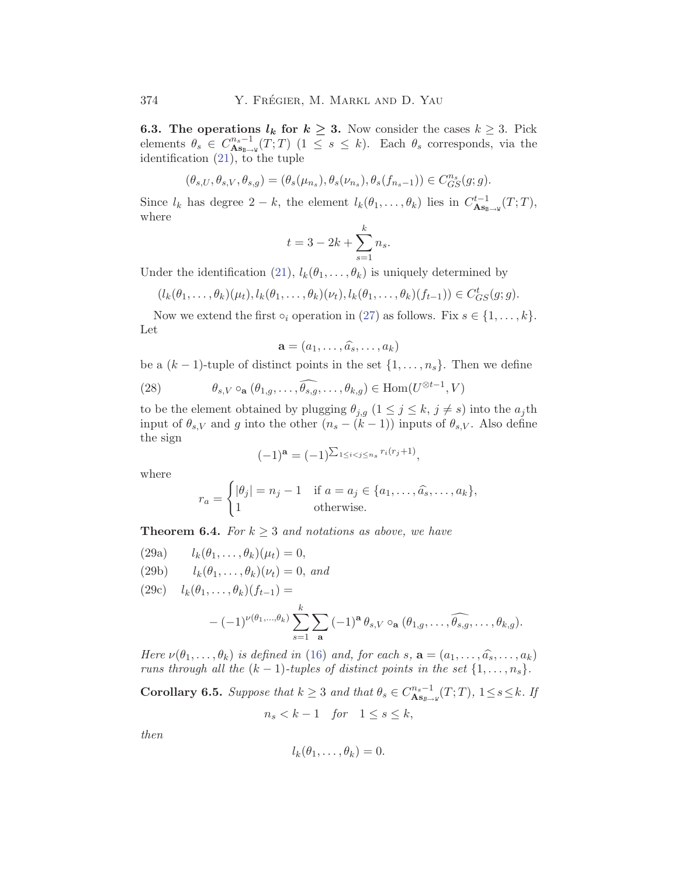<span id="page-21-0"></span>**6.3. The operations**  $l_k$  for  $k \geq 3$ . Now consider the cases  $k \geq 3$ . Pick elements  $\theta_s \in C^{n_s-1}_{\mathbf{As}_{\mathbf{B}\to\mathbf{W}}}(T;T)$  ( $1 \leq s \leq k$ ). Each  $\theta_s$  corresponds, via the identification ([21\)](#page-17-0), to the tuple

$$
(\theta_{s,U},\theta_{s,V},\theta_{s,g})=(\theta_s(\mu_{n_s}),\theta_s(\nu_{n_s}),\theta_s(f_{n_s-1}))\in C^{n_s}_{GS}(g;g).
$$

Since  $l_k$  has degree  $2 - k$ , the element  $l_k(\theta_1, \ldots, \theta_k)$  lies in  $C_{\mathbf{As}_{\mathbf{B}\to\mathbf{W}}}^{t-1}(T;T)$ , where

$$
t = 3 - 2k + \sum_{s=1}^{k} n_s.
$$

Under the identification ([21](#page-17-0)),  $l_k(\theta_1,\ldots,\theta_k)$  is uniquely determined by

$$
(l_k(\theta_1,\ldots,\theta_k)(\mu_t),l_k(\theta_1,\ldots,\theta_k)(\nu_t),l_k(\theta_1,\ldots,\theta_k)(f_{t-1}))\in C_{GS}^t(g;g).
$$

Now we extend the first  $\circ_i$  operation in [\(27\)](#page-20-0) as follows. Fix  $s \in \{1, \ldots, k\}$ . Let

$$
\mathbf{a}=(a_1,\ldots,\widehat{a_s},\ldots,a_k)
$$

be a  $(k-1)$ -tuple of distinct points in the set  $\{1,\ldots,n_s\}$ . Then we define

(28) 
$$
\theta_{s,V} \circ_{\mathbf{a}} (\theta_{1,g}, \dots, \widehat{\theta_{s,g}}, \dots, \theta_{k,g}) \in \text{Hom}(U^{\otimes t-1}, V)
$$

to be the element obtained by plugging  $\theta_{j,g}$   $(1 \leq j \leq k, j \neq s)$  into the  $a_j$ th input of  $\theta_{s,V}$  and g into the other  $(n_s - (k-1))$  inputs of  $\theta_{s,V}$ . Also define the sign

$$
(-1)^{\mathbf{a}} = (-1)^{\sum_{1 \le i < j \le n_s} r_i(r_j + 1)},
$$

where

$$
r_a = \begin{cases} |\theta_j| = n_j - 1 & \text{if } a = a_j \in \{a_1, \dots, \hat{a_s}, \dots, a_k\}, \\ 1 & \text{otherwise.} \end{cases}
$$

**Theorem 6.4.** *For*  $k \geq 3$  *and notations as above, we have* 

(29a) 
$$
l_k(\theta_1,\ldots,\theta_k)(\mu_t)=0,
$$

(29b)  $l_k(\theta_1,\ldots,\theta_k)(\nu_t)=0$ , and

(29c) 
$$
l_k(\theta_1,\ldots,\theta_k)(f_{t-1}) =
$$

$$
-(-1)^{\nu(\theta_1,\ldots,\theta_k)} \sum_{s=1}^k \sum_{\mathbf{a}} (-1)^{\mathbf{a}} \theta_{s,V} \circ_{\mathbf{a}} (\theta_{1,g},\ldots,\widehat{\theta_{s,g}},\ldots,\theta_{k,g}).
$$

*Here*  $\nu(\theta_1,\ldots,\theta_k)$  *is defined in* [\(16](#page-14-0)) *and, for each*  $s$ ,  $\mathbf{a} = (a_1,\ldots,\hat{a_s},\ldots,a_k)$ *runs through all the*  $(k - 1)$ *-tuples of distinct points in the set*  $\{1, \ldots, n_s\}$ *.* 

**Corollary 6.5.** *Suppose that*  $k \geq 3$  *and that*  $\theta_s \in C^{n_s-1}_{\mathbf{As}_{B\to W}}(T;T)$ ,  $1 \leq s \leq k$ . If  $n_s < k - 1$  *for*  $1 \leq s \leq k$ ,

*then*

$$
l_k(\theta_1,\ldots,\theta_k)=0.
$$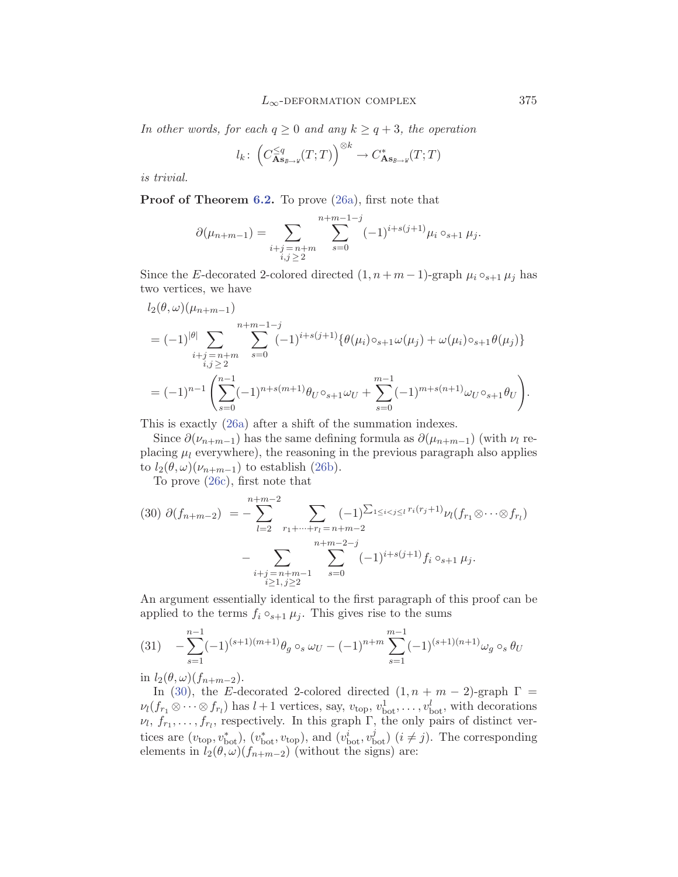#### $L_{\infty}$ -deformation complex 375

<span id="page-22-0"></span>*In other words, for each*  $q \geq 0$  *and any*  $k \geq q+3$ *, the operation* 

$$
l_k\colon \left(C_{\mathbf{As}_{B\to W}}^{\leq q}(T;T)\right)^{\otimes k} \to C_{\mathbf{As}_{B\to W}}^*(T;T)
$$

*is trivial.*

**Proof of Theorem [6.2.](#page-20-0)** To prove [\(26a](#page-20-0)), first note that

$$
\partial(\mu_{n+m-1}) = \sum_{\substack{i+j=n+m \\ i,j \ge 2}} \sum_{s=0}^{n+m-1-j} (-1)^{i+s(j+1)} \mu_i \circ_{s+1} \mu_j.
$$

Since the E-decorated 2-colored directed  $(1, n + m - 1)$ -graph  $\mu_i \circ_{s+1} \mu_j$  has two vertices, we have

$$
l_2(\theta,\omega)(\mu_{n+m-1})
$$
  
=  $(-1)^{|\theta|} \sum_{\substack{i+j=n+m \\ i,j \ge 2}} \sum_{s=0}^{n+m-1-j} (-1)^{i+s(j+1)} {\theta(\mu_i) \circ_{s+1} \omega(\mu_j) + \omega(\mu_i) \circ_{s+1} \theta(\mu_j)}$   
=  $(-1)^{n-1} \left( \sum_{s=0}^{n-1} (-1)^{n+s(m+1)} \theta_{U} \circ_{s+1} \omega_{U} + \sum_{s=0}^{m-1} (-1)^{m+s(n+1)} \omega_{U} \circ_{s+1} \theta_{U} \right).$ 

This is exactly ([26a\)](#page-20-0) after a shift of the summation indexes.

Since  $\partial(\nu_{n+m-1})$  has the same defining formula as  $\partial(\mu_{n+m-1})$  (with  $\nu_l$  replacing  $\mu_l$  everywhere), the reasoning in the previous paragraph also applies to  $l_2(\theta,\omega)(\nu_{n+m-1})$  to establish ([26b](#page-20-0)).

To prove [\(26c\)](#page-20-0), first note that

$$
(30) \ \partial(f_{n+m-2}) = -\sum_{l=2}^{n+m-2} \sum_{\substack{r_1+\dots+r_l=n+m-2\\n+m-2-j}} (-1)^{\sum_{1\leq i < j \leq l} r_i(r_j+1)} \nu_l(f_{r_1} \otimes \dots \otimes f_{r_l}) - \sum_{\substack{i+j=n+m-1\\i \geq 1, j \geq 2}} \sum_{s=0}^{n+m-2-j} (-1)^{i+s(j+1)} f_i \circ_{s+1} \mu_j.
$$

An argument essentially identical to the first paragraph of this proof can be applied to the terms  $f_i \circ_{s+1} \mu_j$ . This gives rise to the sums

$$
(31) \quad -\sum_{s=1}^{n-1} (-1)^{(s+1)(m+1)} \theta_g \circ_s \omega_U - (-1)^{n+m} \sum_{s=1}^{m-1} (-1)^{(s+1)(n+1)} \omega_g \circ_s \theta_U
$$

in  $l_2(\theta,\omega)(f_{n+m-2})$ .

In (30), the E-decorated 2-colored directed  $(1, n + m - 2)$ -graph  $\Gamma$  =  $\nu_l(f_{r_1}\otimes\cdots\otimes f_{r_l})$  has  $l+1$  vertices, say,  $v_{\text{top}}, v_{\text{bot}}^l, \ldots, v_{\text{bot}}^l$ , with decorations  $\nu_l, f_{r_1},\ldots,f_{r_l}$ , respectively. In this graph  $\Gamma$ , the only pairs of distinct vertices are  $(v_{\text{top}}, v_{\text{bot}}^*), (v_{\text{bot}}^*, v_{\text{top}}),$  and  $(v_{\text{bot}}^i, v_{\text{bot}}^j)$   $(i \neq j)$ . The corresponding elements in  $l_2(\theta,\omega)(f_{n+m-2})$  (without the signs) are: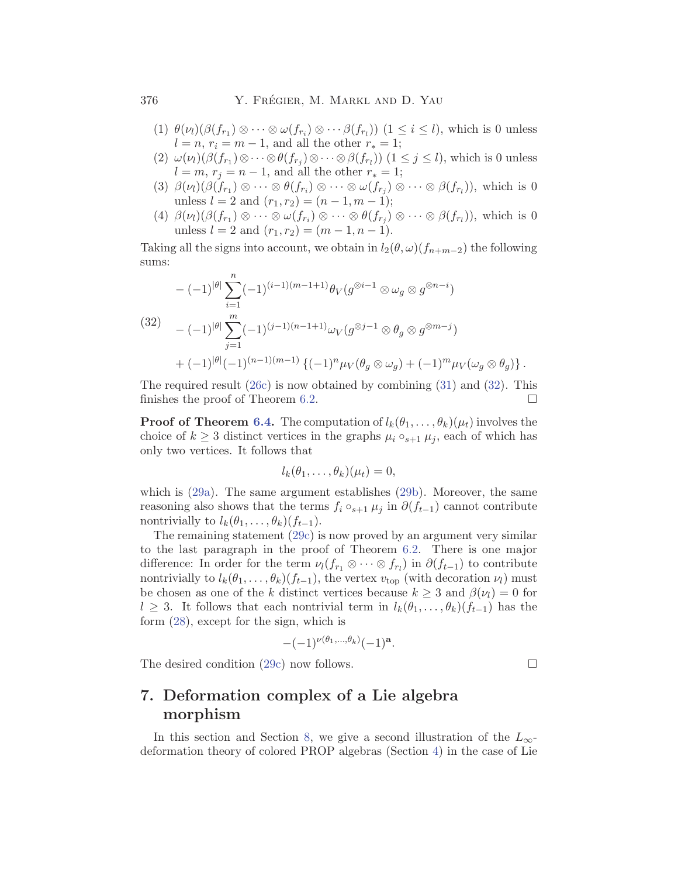- (1)  $\theta(\nu_i)(\beta(f_{r_1}) \otimes \cdots \otimes \omega(f_{r_i}) \otimes \cdots \beta(f_{r_l}))$  ( $1 \leq i \leq l$ ), which is 0 unless  $l = n, r_i = m - 1$ , and all the other  $r_* = 1$ ;
- (2)  $\omega(\nu_l)(\beta(f_{r_1})\otimes\cdots\otimes\beta(f_{r_i})\otimes\cdots\otimes\beta(f_{r_l}))$  (1 ≤ j ≤ l), which is 0 unless  $l = m, r_j = n - 1$ , and all the other  $r_* = 1$ ;
- (3)  $\beta(\nu_l)(\beta(f_{r_1}) \otimes \cdots \otimes \theta(f_{r_i}) \otimes \cdots \otimes \omega(f_{r_i}) \otimes \cdots \otimes \beta(f_{r_l}))$ , which is 0 unless  $l = 2$  and  $(r_1, r_2) = (n - 1, m - 1);$
- (4)  $\beta(\nu_l)(\beta(f_{r_1}) \otimes \cdots \otimes \omega(f_{r_i}) \otimes \cdots \otimes \theta(f_{r_i}) \otimes \cdots \otimes \beta(f_{r_l}))$ , which is 0 unless  $l = 2$  and  $(r_1, r_2) = (m - 1, n - 1)$ .

Taking all the signs into account, we obtain in  $l_2(\theta, \omega)(f_{n+m-2})$  the following sums:

$$
-(-1)^{|\theta|} \sum_{i=1}^{n} (-1)^{(i-1)(m-1+1)} \theta_V(g^{\otimes i-1} \otimes \omega_g \otimes g^{\otimes n-i})
$$
  
(32)
$$
-(-1)^{|\theta|} \sum_{j=1}^{m} (-1)^{(j-1)(n-1+1)} \omega_V(g^{\otimes j-1} \otimes \theta_g \otimes g^{\otimes m-j})
$$

$$
+(-1)^{|\theta|} (-1)^{(n-1)(m-1)} \{(-1)^n \mu_V(\theta_g \otimes \omega_g) + (-1)^m \mu_V(\omega_g \otimes \theta_g) \}.
$$

The required result  $(26c)$  $(26c)$  is now obtained by combining  $(31)$  $(31)$  $(31)$  and  $(32)$ . This finishes the proof of Theorem [6.2.](#page-20-0)  $\Box$ 

**Proof of Theorem [6.4.](#page-21-0)** The computation of  $l_k(\theta_1,\ldots,\theta_k)(\mu_t)$  involves the choice of  $k \geq 3$  distinct vertices in the graphs  $\mu_i \circ_{s+1} \mu_j$ , each of which has only two vertices. It follows that

$$
l_k(\theta_1,\ldots,\theta_k)(\mu_t)=0,
$$

which is ([29a\)](#page-21-0). The same argument establishes [\(29b](#page-21-0)). Moreover, the same reasoning also shows that the terms  $f_i \circ_{s+1} \mu_j$  in  $\partial (f_{t-1})$  cannot contribute nontrivially to  $l_k(\theta_1,\ldots,\theta_k)(f_{t-1})$ .

The remaining statement [\(29c\)](#page-21-0) is now proved by an argument very similar to the last paragraph in the proof of Theorem [6.2.](#page-20-0) There is one major difference: In order for the term  $\nu_l(f_{r_1} \otimes \cdots \otimes f_{r_l})$  in  $\partial (f_{t-1})$  to contribute nontrivially to  $l_k(\theta_1,\ldots,\theta_k)(f_{t-1})$ , the vertex  $v_{top}$  (with decoration  $\nu_l$ ) must be chosen as one of the k distinct vertices because  $k \geq 3$  and  $\beta(\nu_l) = 0$  for l ≥ 3. It follows that each nontrivial term in  $l_k(\theta_1,\ldots,\theta_k)(f_{t-1})$  has the form ([28\)](#page-21-0), except for the sign, which is

$$
-(-1)^{\nu(\theta_1,\ldots,\theta_k)}(-1)^{\mathbf{a}}.
$$

The desired condition  $(29c)$  now follows.

## **7. Deformation complex of a Lie algebra morphism**

In this section and Section [8](#page-29-0), we give a second illustration of the  $L_{\infty}$ deformation theory of colored PROP algebras (Section [4](#page-11-0)) in the case of Lie

<span id="page-23-0"></span>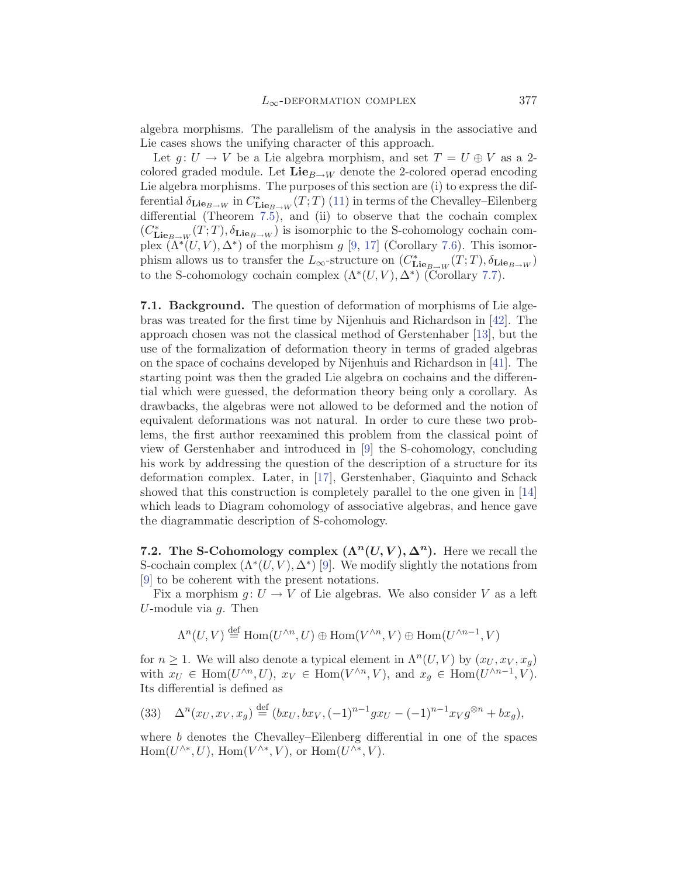<span id="page-24-0"></span>algebra morphisms. The parallelism of the analysis in the associative and Lie cases shows the unifying character of this approach.

Let  $g: U \to V$  be a Lie algebra morphism, and set  $T = U \oplus V$  as a 2colored graded module. Let  $\mathbf{Lie}_{B\to W}$  denote the 2-colored operad encoding Lie algebra morphisms. The purposes of this section are (i) to express the differential  $\delta_{\mathbf{Lie}_{B\to W}}$  in  $C^*_{\mathbf{Lie}_{B\to W}}(T;T)$  ([11\)](#page-11-0) in terms of the Chevalley–Eilenberg differential (Theorem [7.5\)](#page-26-0), and (ii) to observe that the cochain complex  $(C^*_{\mathbf{Lie}_{B\to W}(T;T)}, \delta_{\mathbf{Lie}_{B\to W}})$  is isomorphic to the S-cohomology cochain complex  $(\Lambda^*(U, V), \Delta^*)$  of the morphism g [\[9](#page-37-0), [17](#page-37-0)] (Corollary [7.6\)](#page-26-0). This isomorphism allows us to transfer the  $L_{\infty}$ -structure on  $(C^*_{\mathbf{Lie}_{B\to W}}(T; T), \delta_{\mathbf{Lie}_{B\to W}})$ to the S-cohomology cochain complex  $(\Lambda^*(U, V), \Delta^*)$  (Corollary [7.7](#page-27-0)).

**7.1. Background.** The question of deformation of morphisms of Lie algebras was treated for the first time by Nijenhuis and Richardson in [[42\]](#page-38-0). The approach chosen was not the classical method of Gerstenhaber [\[13](#page-37-0)], but the use of the formalization of deformation theory in terms of graded algebras on the space of cochains developed by Nijenhuis and Richardson in [\[41\]](#page-38-0). The starting point was then the graded Lie algebra on cochains and the differential which were guessed, the deformation theory being only a corollary. As drawbacks, the algebras were not allowed to be deformed and the notion of equivalent deformations was not natural. In order to cure these two problems, the first author reexamined this problem from the classical point of view of Gerstenhaber and introduced in [\[9](#page-37-0)] the S-cohomology, concluding his work by addressing the question of the description of a structure for its deformation complex. Later, in [[17](#page-37-0)], Gerstenhaber, Giaquinto and Schack showed that this construction is completely parallel to the one given in [\[14](#page-37-0)] which leads to Diagram cohomology of associative algebras, and hence gave the diagrammatic description of S-cohomology.

**7.2.** The S-Cohomology complex  $(\Lambda^n(U, V), \Delta^n)$ . Here we recall the S-cochain complex  $(\Lambda^*(U, V), \Delta^*)$  [\[9\]](#page-37-0). We modify slightly the notations from [[9](#page-37-0)] to be coherent with the present notations.

Fix a morphism  $g: U \to V$  of Lie algebras. We also consider V as a left U-module via  $g$ . Then

$$
\Lambda^n(U,V) \stackrel{\text{def}}{=} \text{Hom}(U^{\wedge n},U) \oplus \text{Hom}(V^{\wedge n},V) \oplus \text{Hom}(U^{\wedge n-1},V)
$$

for  $n \geq 1$ . We will also denote a typical element in  $\Lambda^n(U, V)$  by  $(x_U, x_V, x_g)$ with  $x_U \in \text{Hom}(U^{\wedge n}, U)$ ,  $x_V \in \text{Hom}(V^{\wedge n}, V)$ , and  $x_g \in \text{Hom}(U^{\wedge n-1}, V)$ . Its differential is defined as

(33) 
$$
\Delta^{n}(x_{U}, x_{V}, x_{g}) \stackrel{\text{def}}{=} (bx_{U}, bx_{V}, (-1)^{n-1} g x_{U} - (-1)^{n-1} x_{V} g^{\otimes n} + bx_{g}),
$$

where b denotes the Chevalley–Eilenberg differential in one of the spaces  $\text{Hom}(U^{\wedge *}, U)$ ,  $\text{Hom}(V^{\wedge *}$ , V), or  $\text{Hom}(U^{\wedge *}$ , V).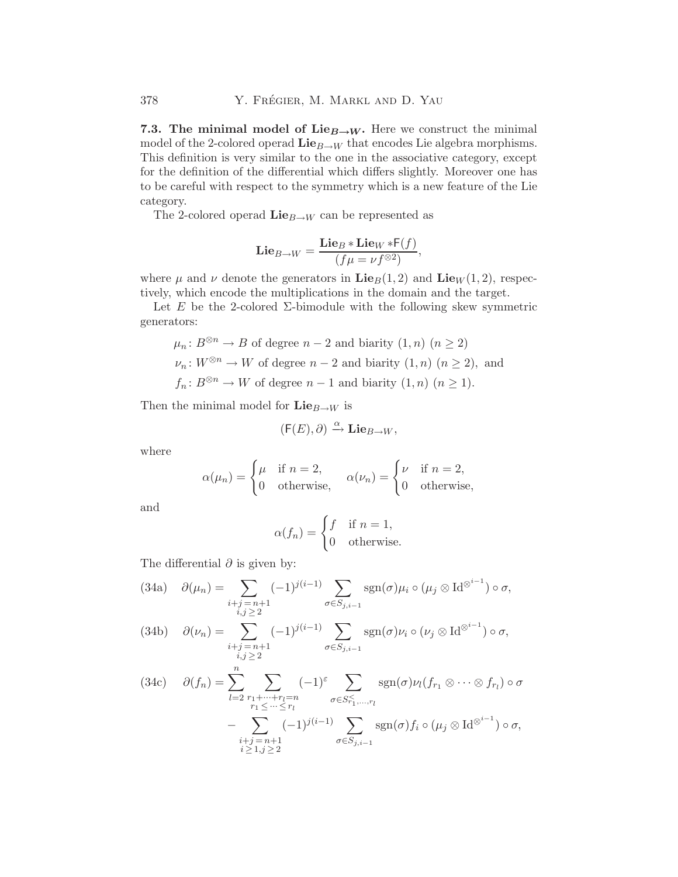<span id="page-25-0"></span>**7.3. The minimal model of Lie<sub>** $B\rightarrow W$ **</sub>.** Here we construct the minimal model of the 2-colored operad  $\mathbf{Lie}_{B\to W}$  that encodes Lie algebra morphisms. This definition is very similar to the one in the associative category, except for the definition of the differential which differs slightly. Moreover one has to be careful with respect to the symmetry which is a new feature of the Lie category.

The 2-colored operad  $\mathbf{Lie}_{B\to W}$  can be represented as

$$
\mathbf{Lie}_{B\to W} = \frac{\mathbf{Lie}_B * \mathbf{Lie}_W * F(f)}{(f\mu = \nu f^{\otimes 2})},
$$

where  $\mu$  and  $\nu$  denote the generators in  $\mathbf{Lie}_B(1, 2)$  and  $\mathbf{Lie}_W(1, 2)$ , respectively, which encode the multiplications in the domain and the target.

Let E be the 2-colored  $\Sigma$ -bimodule with the following skew symmetric generators:

$$
\mu_n: B^{\otimes n} \to B
$$
 of degree  $n-2$  and biarity  $(1, n)$   $(n \ge 2)$   
\n $\nu_n: W^{\otimes n} \to W$  of degree  $n-2$  and biarity  $(1, n)$   $(n \ge 2)$ , and  
\n $f_n: B^{\otimes n} \to W$  of degree  $n-1$  and biarity  $(1, n)$   $(n \ge 1)$ .

Then the minimal model for  $\mathbf{Lie}_{B\to W}$  is

$$
(\mathsf{F}(E),\partial) \xrightarrow{\alpha} \mathbf{Lie}_{B \to W},
$$

where

$$
\alpha(\mu_n) = \begin{cases} \mu & \text{if } n = 2, \\ 0 & \text{otherwise,} \end{cases} \quad \alpha(\nu_n) = \begin{cases} \nu & \text{if } n = 2, \\ 0 & \text{otherwise,} \end{cases}
$$

and

$$
\alpha(f_n) = \begin{cases} f & \text{if } n = 1, \\ 0 & \text{otherwise.} \end{cases}
$$

The differential  $\partial$  is given by:

(34a) 
$$
\partial(\mu_n) = \sum_{\substack{i+j=n+1 \ i,j \geq 2}} (-1)^{j(i-1)} \sum_{\sigma \in S_{j,i-1}} \text{sgn}(\sigma) \mu_i \circ (\mu_j \otimes \text{Id}^{\otimes^{i-1}}) \circ \sigma,
$$

(34b) 
$$
\partial(\nu_n) = \sum_{\substack{i+j=n+1 \ i,j \geq 2}} (-1)^{j(i-1)} \sum_{\sigma \in S_{j,i-1}} \text{sgn}(\sigma) \nu_i \circ (\nu_j \otimes \text{Id}^{\otimes i-1}) \circ \sigma,
$$

$$
(34c) \quad \partial(f_n) = \sum_{l=2}^n \sum_{\substack{r_1 + \dots + r_l = n \\ r_1 \leq \dots \leq r_l}} (-1)^{\varepsilon} \sum_{\substack{\sigma \in S_{r_1, \dots, r_l}^{\prec} \\ \sigma \in S_{r_1, \dots, r_l}}} \operatorname{sgn}(\sigma) \nu_l(f_{r_1} \otimes \dots \otimes f_{r_l}) \circ \sigma - \sum_{\substack{i+j = n+1 \\ i \geq 1, j \geq 2}} (-1)^{j(i-1)} \sum_{\sigma \in S_{j,i-1}} \operatorname{sgn}(\sigma) f_i \circ (\mu_j \otimes \operatorname{Id}^{\otimes i-1}) \circ \sigma,
$$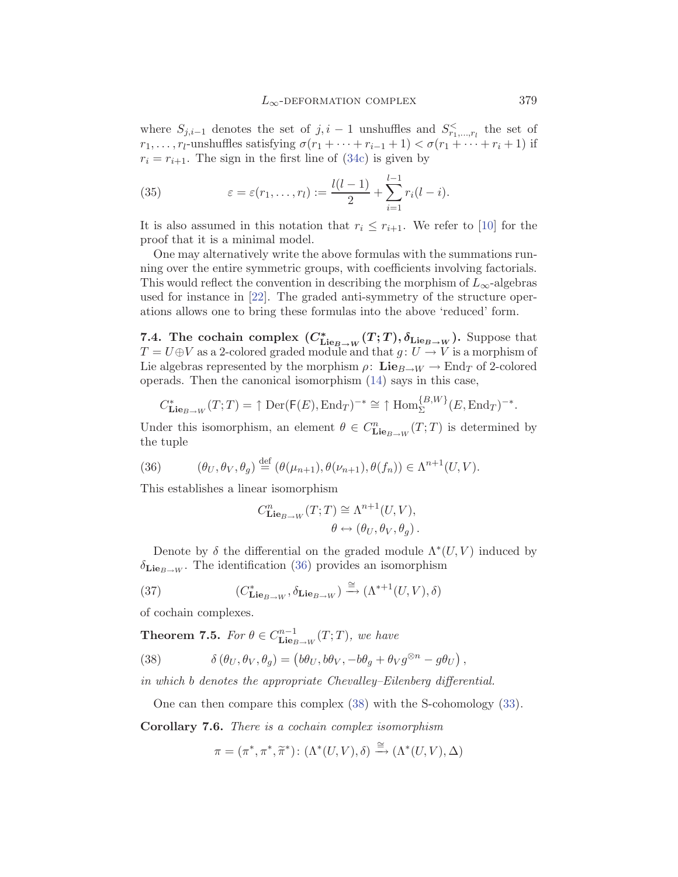<span id="page-26-0"></span>where  $S_{j,i-1}$  denotes the set of  $j, i-1$  unshuffles and  $S_{r_1,\dots,r_l}^{\le}$  the set of  $r_1, \ldots, r_l$ -unshuffles satisfying  $\sigma(r_1 + \cdots + r_{i-1} + 1) < \sigma(r_1 + \cdots + r_i + 1)$  if  $r_i = r_{i+1}$ . The sign in the first line of ([34c](#page-25-0)) is given by

(35) 
$$
\varepsilon = \varepsilon(r_1, ..., r_l) := \frac{l(l-1)}{2} + \sum_{i=1}^{l-1} r_i(l-i).
$$

It is also assumed in this notation that  $r_i \leq r_{i+1}$ . We refer to [[10\]](#page-37-0) for the proof that it is a minimal model.

One may alternatively write the above formulas with the summations running over the entire symmetric groups, with coefficients involving factorials. This would reflect the convention in describing the morphism of  $L_{\infty}$ -algebras used for instance in [\[22](#page-37-0)]. The graded anti-symmetry of the structure operations allows one to bring these formulas into the above 'reduced' form.

**7.4.** The cochain complex  $(C_{\text{Lie}_B \to W}^* (T; T), \delta_{\text{Lie}_B \to W})$ . Suppose that  $T = U \oplus V$  as a 2-colored graded module and that  $g: U \to V$  is a morphism of Lie algebras represented by the morphism  $\rho: \mathbf{Lie}_{B\to W} \to \text{End}_T$  of 2-colored operads. Then the canonical isomorphism [\(14](#page-13-0)) says in this case,

$$
C_{\mathbf{Lie}_{B\to W}}^*(T;T) = \uparrow \mathrm{Der}(\mathsf{F}(E), \mathrm{End}_T)^{-*} \cong \uparrow \mathrm{Hom}_{\Sigma}^{\{B,W\}}(E, \mathrm{End}_T)^{-*}.
$$

Under this isomorphism, an element  $\theta \in C^n_{\mathbf{Lie}_{B\to W}}(T;T)$  is determined by the tuple

(36) 
$$
(\theta_U, \theta_V, \theta_g) \stackrel{\text{def}}{=} (\theta(\mu_{n+1}), \theta(\nu_{n+1}), \theta(f_n)) \in \Lambda^{n+1}(U, V).
$$

This establishes a linear isomorphism

$$
C^n_{\mathbf{Lie}_{B\to W}}(T;T) \cong \Lambda^{n+1}(U,V),
$$
  

$$
\theta \leftrightarrow (\theta_U, \theta_V, \theta_g).
$$

Denote by  $\delta$  the differential on the graded module  $\Lambda^*(U, V)$  induced by  $\delta_{\mathbf{Lie}_{B\rightarrow W}}$ . The identification (36) provides an isomorphism

(37) 
$$
(C^*_{\mathbf{Lie}_{B\to W}}, \delta_{\mathbf{Lie}_{B\to W}}) \xrightarrow{\cong} (\Lambda^{*+1}(U, V), \delta)
$$

of cochain complexes.

**Theorem 7.5.** *For*  $\theta \in C^{n-1}_{\mathbf{Lie}_{B\to W}}(T;T)$ *, we have* 

(38) 
$$
\delta(\theta_U, \theta_V, \theta_g) = (b\theta_U, b\theta_V, -b\theta_g + \theta_V g^{\otimes n} - g\theta_U),
$$

*in which* b *denotes the appropriate Chevalley–Eilenberg differential.*

One can then compare this complex (38) with the S-cohomology ([33\)](#page-24-0).

**Corollary 7.6.** *There is a cochain complex isomorphism*

$$
\pi = (\pi^*, \pi^*, \widetilde{\pi}^*) \colon (\Lambda^*(U, V), \delta) \xrightarrow{\cong} (\Lambda^*(U, V), \Delta)
$$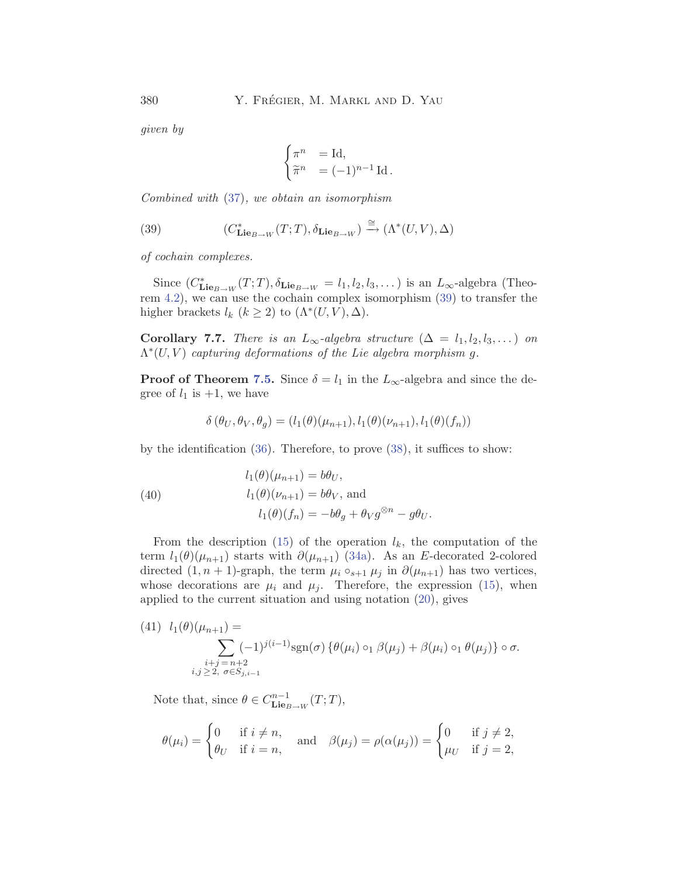*given by*

$$
\begin{cases} \pi^n &= \text{Id}, \\ \widetilde{\pi}^n &= (-1)^{n-1} \text{ Id}. \end{cases}
$$

*Combined with* [\(37\)](#page-26-0)*, we obtain an isomorphism*

(39) 
$$
(C^*_{\mathbf{Lie}_{B\to W}}(T;T), \delta_{\mathbf{Lie}_{B\to W}}) \xrightarrow{\cong} (\Lambda^*(U,V), \Delta)
$$

*of cochain complexes.*

Since  $(C^*_{\mathbf{Lie}_{B\to W}}(T;T), \delta_{\mathbf{Lie}_{B\to W}} = l_1, l_2, l_3, \dots)$  is an  $L_{\infty}$ -algebra (Theorem [4.2](#page-12-0)), we can use the cochain complex isomorphism (39) to transfer the higher brackets  $l_k$   $(k \geq 2)$  to  $(\Lambda^*(U, V), \Delta)$ .

**Corollary 7.7.** *There is an*  $L_{\infty}$ -algebra structure  $(\Delta = l_1, l_2, l_3, ...)$  *on* Λ∗(U, V ) *capturing deformations of the Lie algebra morphism* g*.*

**Proof of Theorem [7.5.](#page-26-0)** Since  $\delta = l_1$  in the  $L_{\infty}$ -algebra and since the degree of  $l_1$  is  $+1$ , we have

$$
\delta(\theta_U, \theta_V, \theta_g) = (l_1(\theta)(\mu_{n+1}), l_1(\theta)(\nu_{n+1}), l_1(\theta)(f_n))
$$

by the identification  $(36)$  $(36)$ . Therefore, to prove  $(38)$ , it suffices to show:

(40)  
\n
$$
l_1(\theta)(\mu_{n+1}) = b\theta_U,
$$
\n
$$
l_1(\theta)(\nu_{n+1}) = b\theta_V, \text{ and}
$$
\n
$$
l_1(\theta)(f_n) = -b\theta_g + \theta_V g^{\otimes n} - g\theta_U.
$$

From the description [\(15\)](#page-14-0) of the operation  $l_k$ , the computation of the term  $l_1(\theta)(\mu_{n+1})$  starts with  $\partial(\mu_{n+1})$  [\(34a\)](#page-25-0). As an E-decorated 2-colored directed  $(1, n + 1)$ -graph, the term  $\mu_i \circ_{s+1} \mu_j$  in  $\partial(\mu_{n+1})$  has two vertices, whose decorations are  $\mu_i$  and  $\mu_j$ . Therefore, the expression [\(15](#page-14-0)), when applied to the current situation and using notation [\(20\)](#page-17-0), gives

(41) 
$$
l_1(\theta)(\mu_{n+1}) = \sum_{\substack{i+j = n+2 \ i,j \geq 2, \ \sigma \in S_{j,i-1}}} (-1)^{j(i-1)} \text{sgn}(\sigma) \{ \theta(\mu_i) \circ_1 \beta(\mu_j) + \beta(\mu_i) \circ_1 \theta(\mu_j) \} \circ \sigma.
$$

Note that, since  $\theta \in C^{n-1}_{\mathbf{Lie}_{B\to W}}(T;T)$ ,

$$
\theta(\mu_i) = \begin{cases} 0 & \text{if } i \neq n, \\ \theta_U & \text{if } i = n, \end{cases} \quad \text{and} \quad \beta(\mu_j) = \rho(\alpha(\mu_j)) = \begin{cases} 0 & \text{if } j \neq 2, \\ \mu_U & \text{if } j = 2, \end{cases}
$$

<span id="page-27-0"></span>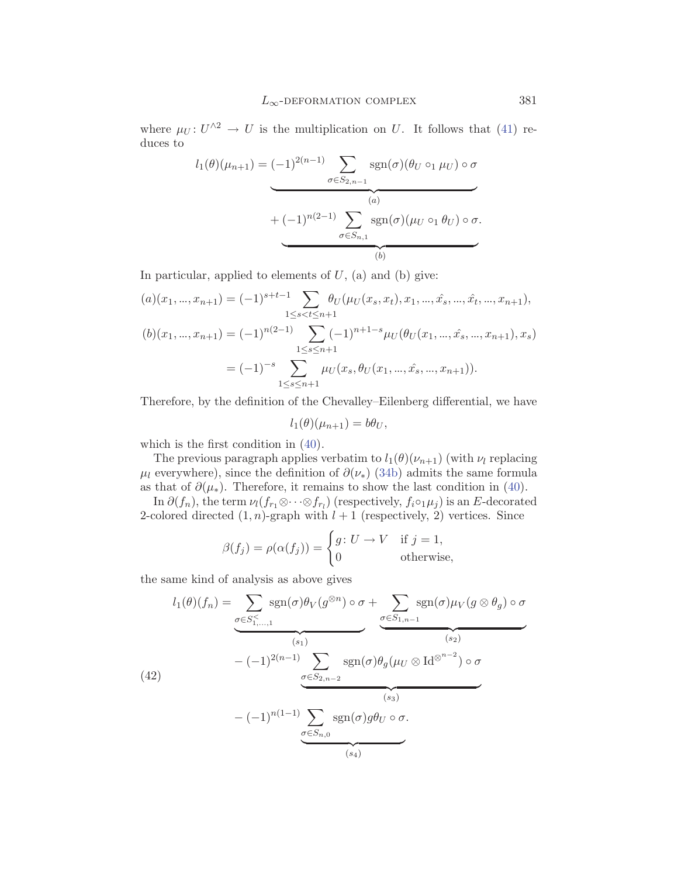<span id="page-28-0"></span>where  $\mu_U: U^{\wedge 2} \to U$  is the multiplication on U. It follows that ([41\)](#page-27-0) reduces to

$$
l_1(\theta)(\mu_{n+1}) = (-1)^{2(n-1)} \sum_{\sigma \in S_{2,n-1}} \operatorname{sgn}(\sigma)(\theta_U \circ_1 \mu_U) \circ \sigma
$$

$$
+ (-1)^{n(2-1)} \sum_{\sigma \in S_{n,1}} \operatorname{sgn}(\sigma)(\mu_U \circ_1 \theta_U) \circ \sigma.
$$

In particular, applied to elements of  $U$ , (a) and (b) give:

$$
(a)(x_1, ..., x_{n+1}) = (-1)^{s+t-1} \sum_{1 \le s < t \le n+1} \theta_U(\mu_U(x_s, x_t), x_1, ..., \hat{x}_s, ..., \hat{x}_t, ..., x_{n+1}),
$$
\n
$$
(b)(x_1, ..., x_{n+1}) = (-1)^{n(2-1)} \sum_{1 \le s \le n+1} (-1)^{n+1-s} \mu_U(\theta_U(x_1, ..., \hat{x}_s, ..., x_{n+1}), x_s)
$$
\n
$$
= (-1)^{-s} \sum_{1 \le s \le n+1} \mu_U(x_s, \theta_U(x_1, ..., \hat{x}_s, ..., x_{n+1})).
$$

Therefore, by the definition of the Chevalley–Eilenberg differential, we have

$$
l_1(\theta)(\mu_{n+1}) = b\theta_U,
$$

which is the first condition in ([40\)](#page-27-0).

The previous paragraph applies verbatim to  $l_1(\theta)(\nu_{n+1})$  (with  $\nu_l$  replacing  $\mu_l$  everywhere), since the definition of  $\partial(\nu_*)$  ([34b\)](#page-25-0) admits the same formula as that of  $\partial(\mu_*)$ . Therefore, it remains to show the last condition in ([40\)](#page-27-0).

In  $\partial(f_n)$ , the term  $\nu_l(f_{r_1} \otimes \cdots \otimes f_{r_l})$  (respectively,  $f_i \circ \iota \mu_j$ ) is an E-decorated 2-colored directed  $(1, n)$ -graph with  $l + 1$  (respectively, 2) vertices. Since

$$
\beta(f_j) = \rho(\alpha(f_j)) = \begin{cases} g \colon U \to V & \text{if } j = 1, \\ 0 & \text{otherwise,} \end{cases}
$$

the same kind of analysis as above gives

$$
l_1(\theta)(f_n) = \underbrace{\sum_{\sigma \in S_{1,...,1}^{\leq}} \text{sgn}(\sigma) \theta_V(g^{\otimes n}) \circ \sigma}_{(s_1)} + \underbrace{\sum_{\sigma \in S_{1,n-1}} \text{sgn}(\sigma) \mu_V(g \otimes \theta_g) \circ \sigma}_{(s_2)}
$$
\n
$$
- (-1)^{2(n-1)} \underbrace{\sum_{\sigma \in S_{2,n-2}} \text{sgn}(\sigma) \theta_g(\mu_U \otimes \text{Id}^{\otimes^{n-2}}) \circ \sigma}_{(s_3)}
$$
\n
$$
- (-1)^{n(1-1)} \underbrace{\sum_{\sigma \in S_{n,0}} \text{sgn}(\sigma) g \theta_U \circ \sigma}_{(s_4)}
$$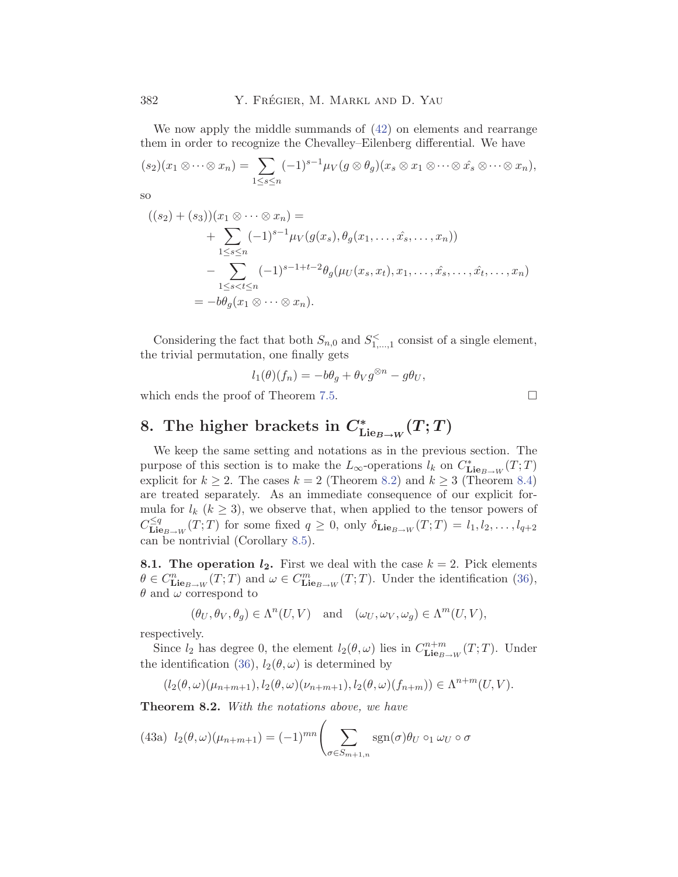<span id="page-29-0"></span>We now apply the middle summands of [\(42\)](#page-28-0) on elements and rearrange them in order to recognize the Chevalley–Eilenberg differential. We have

$$
(s_2)(x_1 \otimes \cdots \otimes x_n) = \sum_{1 \leq s \leq n} (-1)^{s-1} \mu_V(g \otimes \theta_g)(x_s \otimes x_1 \otimes \cdots \otimes \hat{x}_s \otimes \cdots \otimes x_n),
$$

so

$$
((s_2) + (s_3))(x_1 \otimes \cdots \otimes x_n) =
$$
  
+ 
$$
\sum_{1 \leq s \leq n} (-1)^{s-1} \mu_V(g(x_s), \theta_g(x_1, \ldots, \hat{x}_s, \ldots, x_n))
$$
  
- 
$$
\sum_{1 \leq s < t \leq n} (-1)^{s-1+t-2} \theta_g(\mu_U(x_s, x_t), x_1, \ldots, \hat{x}_s, \ldots, \hat{x}_t, \ldots, x_n)
$$
  
= 
$$
-b\theta_g(x_1 \otimes \cdots \otimes x_n).
$$

Considering the fact that both  $S_{n,0}$  and  $S_{1,\dots,1}^{\lt}$  consist of a single element, the trivial permutation, one finally gets

$$
l_1(\theta)(f_n) = -b\theta_g + \theta_V g^{\otimes n} - g\theta_U,
$$

which ends the proof of Theorem [7.5.](#page-26-0)

# **8.** The higher brackets in  $C^*_{\text{Lie}_{B\rightarrow W}}(T;T)$

We keep the same setting and notations as in the previous section. The purpose of this section is to make the  $L_{\infty}$ -operations  $l_k$  on  $C^*_{\mathbf{Lie}_{B\rightarrow W}}(T; T)$ explicit for  $k \geq 2$ . The cases  $k = 2$  (Theorem 8.2) and  $k \geq 3$  (Theorem [8.4\)](#page-31-0) are treated separately. As an immediate consequence of our explicit formula for  $l_k$  ( $k \geq 3$ ), we observe that, when applied to the tensor powers of  $C^{\leq q}_{\mathbf{Lie}_{B\rightarrow W}}(T;T)$  for some fixed  $q \geq 0$ , only  $\delta_{\mathbf{Lie}_{B\rightarrow W}}(T;T) = l_1, l_2, \ldots, l_{q+2}$ can be nontrivial (Corollary [8.5\)](#page-31-0).

**8.1. The operation**  $l_2$ **.** First we deal with the case  $k = 2$ . Pick elements  $\theta \in C^n_{\mathbf{Lie}_{B\to W}}(T;T)$  and  $\omega \in C^m_{\mathbf{Lie}_{B\to W}}(T;T)$ . Under the identification [\(36\)](#page-26-0),  $\theta$  and  $\omega$  correspond to

$$
(\theta_U, \theta_V, \theta_g) \in \Lambda^n(U, V)
$$
 and  $(\omega_U, \omega_V, \omega_g) \in \Lambda^m(U, V)$ ,

respectively.

Since  $l_2$  has degree 0, the element  $l_2(\theta, \omega)$  lies in  $C_{\mathbf{Lie}_{B\rightarrow W}}^{n+m}(T; T)$ . Under the identification [\(36](#page-26-0)),  $l_2(\theta, \omega)$  is determined by

$$
(l_2(\theta,\omega)(\mu_{n+m+1}),l_2(\theta,\omega)(\nu_{n+m+1}),l_2(\theta,\omega)(f_{n+m}))\in \Lambda^{n+m}(U,V).
$$

**Theorem 8.2.** *With the notations above, we have*

(43a) 
$$
l_2(\theta,\omega)(\mu_{n+m+1}) = (-1)^{mn} \left( \sum_{\sigma \in S_{m+1,n}} \text{sgn}(\sigma) \theta_U \circ_1 \omega_U \circ \sigma \right)
$$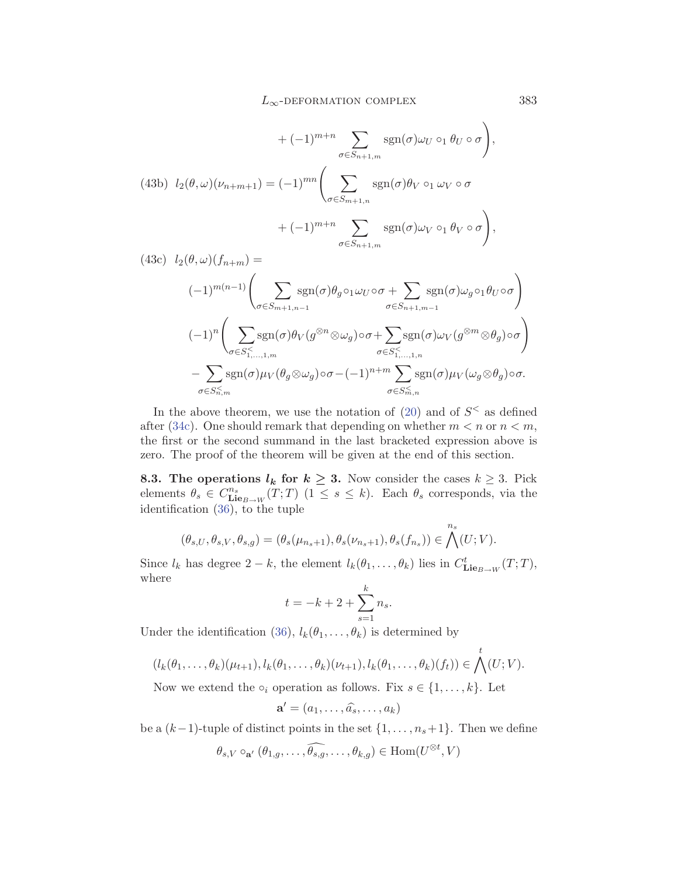<span id="page-30-0"></span>
$$
+(-1)^{m+n} \sum_{\sigma \in S_{n+1,m}} \text{sgn}(\sigma) \omega_U \circ_1 \theta_U \circ \sigma,
$$
\n
$$
(43b) \quad l_2(\theta, \omega)(\nu_{n+m+1}) = (-1)^{mn} \left( \sum_{\sigma \in S_{m+1,n}} \text{sgn}(\sigma) \theta_V \circ_1 \omega_V \circ \sigma + (-1)^{m+n} \sum_{\sigma \in S_{n+1,m}} \text{sgn}(\sigma) \omega_V \circ_1 \theta_V \circ \sigma \right),
$$
\n
$$
(43c) \quad l_2(\theta, \omega)(f_{\omega, \omega}) =
$$

$$
(-1)^{m(n-1)} \left( \sum_{\sigma \in S_{m+1,n-1}} \text{sgn}(\sigma) \theta_g \circ 1 \omega_U \circ \sigma + \sum_{\sigma \in S_{n+1,m-1}} \text{sgn}(\sigma) \omega_g \circ 1 \theta_U \circ \sigma \right)
$$
  

$$
(-1)^n \left( \sum_{\sigma \in S_{1,\dots,1,m}^{\leq} } \text{sgn}(\sigma) \theta_V(g^{\otimes n} \otimes \omega_g) \circ \sigma + \sum_{\sigma \in S_{1,\dots,1,n}^{\leq} } \text{sgn}(\sigma) \omega_V(g^{\otimes m} \otimes \theta_g) \circ \sigma \right)
$$

$$
- \sum_{\sigma \in S_{n,m}^{\leq} } \text{sgn}(\sigma) \mu_V(\theta_g \otimes \omega_g) \circ \sigma - (-1)^{n+m} \sum_{\sigma \in S_{m,n}^{\leq} } \text{sgn}(\sigma) \mu_V(\omega_g \otimes \theta_g) \circ \sigma.
$$

In the above theorem, we use the notation of  $(20)$  $(20)$  and of  $S<sup><</sup>$  as defined after ([34c\)](#page-25-0). One should remark that depending on whether  $m < n$  or  $n < m$ , the first or the second summand in the last bracketed expression above is zero. The proof of the theorem will be given at the end of this section.

**8.3. The operations**  $l_k$  for  $k \geq 3$ . Now consider the cases  $k \geq 3$ . Pick elements  $\theta_s \in C^{n_s}_{\mathbf{Lie}_{B\to W}}(T;T)$  ( $1 \leq s \leq k$ ). Each  $\theta_s$  corresponds, via the identification ([36\)](#page-26-0), to the tuple

$$
(\theta_{s,U},\theta_{s,V},\theta_{s,g})=(\theta_s(\mu_{n_s+1}),\theta_s(\nu_{n_s+1}),\theta_s(f_{n_s}))\in \bigwedge^{n_s}(U;V).
$$

Since  $l_k$  has degree  $2 - k$ , the element  $l_k(\theta_1, \ldots, \theta_k)$  lies in  $C^t_{\mathbf{Lie}_{B \to W}}(T; T)$ , where

$$
t = -k + 2 + \sum_{s=1}^{k} n_s.
$$

Under the identification ([36](#page-26-0)),  $l_k(\theta_1,\ldots,\theta_k)$  is determined by

$$
(l_k(\theta_1,\ldots,\theta_k)(\mu_{t+1}),l_k(\theta_1,\ldots,\theta_k)(\nu_{t+1}),l_k(\theta_1,\ldots,\theta_k)(f_t))\in\bigwedge^t(U;V).
$$

Now we extend the  $\circ_i$  operation as follows. Fix  $s \in \{1, \ldots, k\}$ . Let

$$
\mathbf{a}' = (a_1, \dots, \widehat{a_s}, \dots, a_k)
$$

be a  $(k-1)$ -tuple of distinct points in the set  $\{1,\ldots,n_s+1\}$ . Then we define

$$
\theta_{s,V} \circ_{\mathbf{a}'} (\theta_{1,g}, \ldots, \widehat{\theta_{s,g}}, \ldots, \theta_{k,g}) \in \text{Hom}(U^{\otimes t}, V)
$$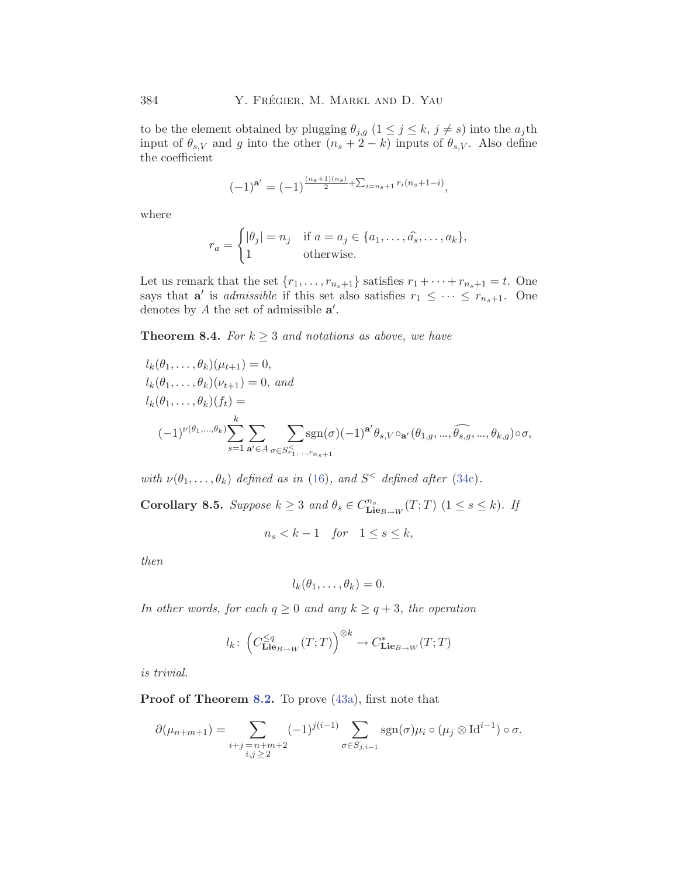<span id="page-31-0"></span>to be the element obtained by plugging  $\theta_{j,g}$   $(1 \leq j \leq k, j \neq s)$  into the  $a_j$ th input of  $\theta_{s,V}$  and g into the other  $(n_s + 2 - k)$  inputs of  $\theta_{s,V}$ . Also define the coefficient

$$
(-1)^{\mathbf{a}'} = (-1)^{\frac{(n_s+1)(n_s)}{2} + \sum_{i=n_s+1} r_i(n_s+1-i)},
$$

where

$$
r_a = \begin{cases} |\theta_j| = n_j & \text{if } a = a_j \in \{a_1, \dots, \widehat{a_s}, \dots, a_k\}, \\ 1 & \text{otherwise.} \end{cases}
$$

Let us remark that the set  $\{r_1,\ldots,r_{n_s+1}\}$  satisfies  $r_1 + \cdots + r_{n_s+1} = t$ . One says that **a**' is *admissible* if this set also satisfies  $r_1 \leq \cdots \leq r_{n_s+1}$ . One denotes by A the set of admissible **a** .

**Theorem 8.4.** *For*  $k \geq 3$  *and notations as above, we have* 

$$
l_k(\theta_1, \dots, \theta_k)(\mu_{t+1}) = 0,
$$
  
\n
$$
l_k(\theta_1, \dots, \theta_k)(\nu_{t+1}) = 0, \text{ and}
$$
  
\n
$$
l_k(\theta_1, \dots, \theta_k)(f_t) =
$$
  
\n
$$
(-1)^{\nu(\theta_1, \dots, \theta_k)} \sum_{s=1}^k \sum_{\mathbf{a}' \in A} \sum_{\sigma \in S_{r_1}^{\leq} \dots, r_{n_s+1}} sgn(\sigma) (-1)^{\mathbf{a}'} \theta_{s, V} \circ_{\mathbf{a}'} (\theta_{1, g}, \dots, \widehat{\theta_{s, g}}, \dots, \theta_{k, g}) \circ \sigma,
$$

*with*  $\nu(\theta_1,\ldots,\theta_k)$  *defined as in* [\(16](#page-14-0))*, and*  $S^{\lt}$  *defined after* ([34c](#page-25-0))*.* 

**Corollary 8.5.** *Suppose*  $k \geq 3$  *and*  $\theta_s \in C^{n_s}_{\mathbf{Lie}_{B\rightarrow W}}(T; T)$   $(1 \leq s \leq k)$ *. If* 

 $n_s < k - 1$  *for*  $1 \leq s \leq k$ ,

*then*

$$
l_k(\theta_1,\ldots,\theta_k)=0.
$$

*In other words, for each*  $q \geq 0$  *and any*  $k \geq q+3$ *, the operation* 

$$
l_k\colon \left(C^{\leq q}_{\mathbf{Lie}_{B\to W}}(T;T)\right)^{\otimes k} \to C^*_{\mathbf{Lie}_{B\to W}}(T;T)
$$

*is trivial.*

**Proof of Theorem [8.2.](#page-29-0)** To prove [\(43a](#page-29-0)), first note that

$$
\partial(\mu_{n+m+1}) = \sum_{\substack{i+j=n+m+2 \ i,j \geq 2}} (-1)^{j(i-1)} \sum_{\sigma \in S_{j,i-1}} \operatorname{sgn}(\sigma) \mu_i \circ (\mu_j \otimes \operatorname{Id}^{i-1}) \circ \sigma.
$$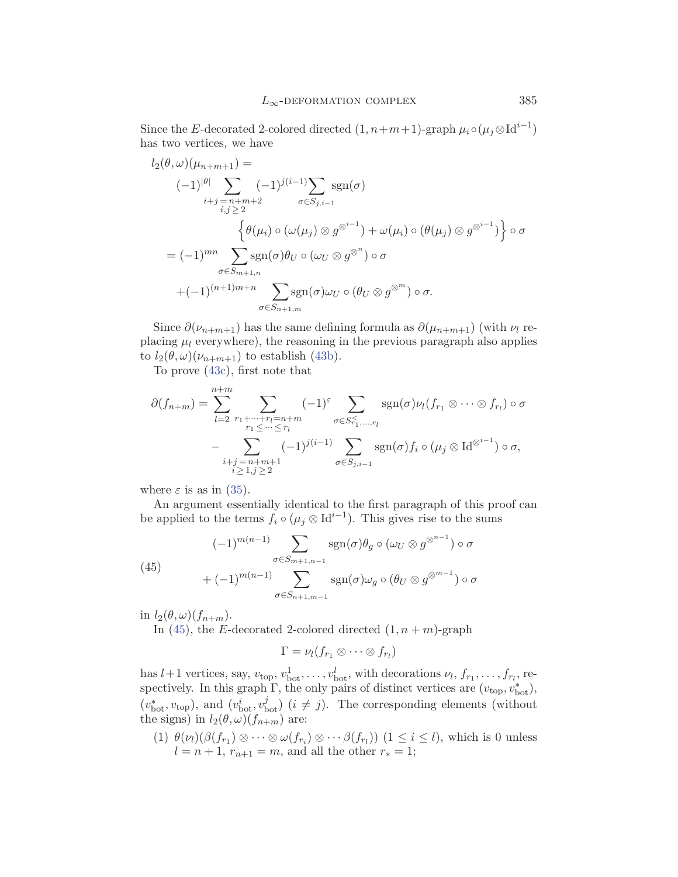<span id="page-32-0"></span>Since the E-decorated 2-colored directed  $(1, n+m+1)$ -graph  $\mu_i \circ (\mu_i \otimes Id^{i-1})$ has two vertices, we have

$$
l_2(\theta,\omega)(\mu_{n+m+1}) =
$$
  
\n
$$
(-1)^{|\theta|} \sum_{i+j=n+m+2} (-1)^{j(i-1)} \sum_{\sigma \in S_{j,i-1}} \text{sgn}(\sigma)
$$
  
\n
$$
\left\{ \theta(\mu_i) \circ (\omega(\mu_j) \otimes g^{\otimes^{i-1}}) + \omega(\mu_i) \circ (\theta(\mu_j) \otimes g^{\otimes^{i-1}}) \right\} \circ \sigma
$$
  
\n
$$
= (-1)^{mn} \sum_{\sigma \in S_{m+1,n}} \text{sgn}(\sigma) \theta_U \circ (\omega_U \otimes g^{\otimes^n}) \circ \sigma
$$
  
\n
$$
+(-1)^{(n+1)m+n} \sum_{\sigma \in S_{n+1,m}} \text{sgn}(\sigma) \omega_U \circ (\theta_U \otimes g^{\otimes^m}) \circ \sigma.
$$

Since  $\partial(\nu_{n+m+1})$  has the same defining formula as  $\partial(\mu_{n+m+1})$  (with  $\nu_l$  replacing  $\mu_l$  everywhere), the reasoning in the previous paragraph also applies to  $l_2(\theta,\omega)(\nu_{n+m+1})$  to establish ([43b](#page-30-0)).

To prove [\(43c\)](#page-30-0), first note that

$$
\partial(f_{n+m}) = \sum_{l=2}^{n+m} \sum_{\substack{r_1 + \dots + r_l = n+m \\ r_1 \leq \dots \leq r_l}} (-1)^{\varepsilon} \sum_{\substack{\sigma \in S_{r_1,\dots,r_l}^{\prec} \\ \sigma \in S_{r_1,\dots,r_l}^{\prec}}} \operatorname{sgn}(\sigma) \nu_l(f_{r_1} \otimes \dots \otimes f_{r_l}) \circ \sigma
$$

$$
- \sum_{\substack{i+j=n+m+1 \\ i \geq 1, j \geq 2}} (-1)^{j(i-1)} \sum_{\sigma \in S_{j,i-1}} \operatorname{sgn}(\sigma) f_i \circ (\mu_j \otimes \operatorname{Id}^{\otimes i-1}) \circ \sigma,
$$

where  $\varepsilon$  is as in [\(35\)](#page-26-0).

An argument essentially identical to the first paragraph of this proof can be applied to the terms  $f_i \circ (\mu_j \otimes \mathrm{Id}^{i-1})$ . This gives rise to the sums

(45) 
$$
(-1)^{m(n-1)} \sum_{\sigma \in S_{m+1,n-1}} \operatorname{sgn}(\sigma) \theta_g \circ (\omega_U \otimes g^{\otimes^{n-1}}) \circ \sigma + (-1)^{m(n-1)} \sum_{\sigma \in S_{n+1,m-1}} \operatorname{sgn}(\sigma) \omega_g \circ (\theta_U \otimes g^{\otimes^{m-1}}) \circ \sigma
$$

in  $l_2(\theta,\omega)(f_{n+m})$ .

In (45), the E-decorated 2-colored directed  $(1, n+m)$ -graph

$$
\Gamma=\nu_l(f_{r_1}\otimes\cdots\otimes f_{r_l})
$$

has  $l+1$  vertices, say,  $v_{\text{top}}$ ,  $v_{\text{bot}}^1$ , ...,  $v_{\text{bot}}^l$ , with decorations  $\nu_l$ ,  $f_{r_1}, \ldots, f_{r_l}$ , respectively. In this graph  $\Gamma$ , the only pairs of distinct vertices are  $(v_{\text{top}}, v_{\text{bot}}^*)$ ,  $(v_{\text{bot}}^*, v_{\text{top}})$ , and  $(v_{\text{bot}}^i, v_{\text{bot}}^j)$   $(i \neq j)$ . The corresponding elements (without the signs) in  $l_2(\theta,\omega)(f_{n+m})$  are:

(1)  $\theta(\nu_l)(\beta(f_{r_1}) \otimes \cdots \otimes \omega(f_{r_i}) \otimes \cdots \beta(f_{r_l}))$  ( $1 \leq i \leq l$ ), which is 0 unless  $l = n + 1, r_{n+1} = m$ , and all the other  $r_* = 1$ ;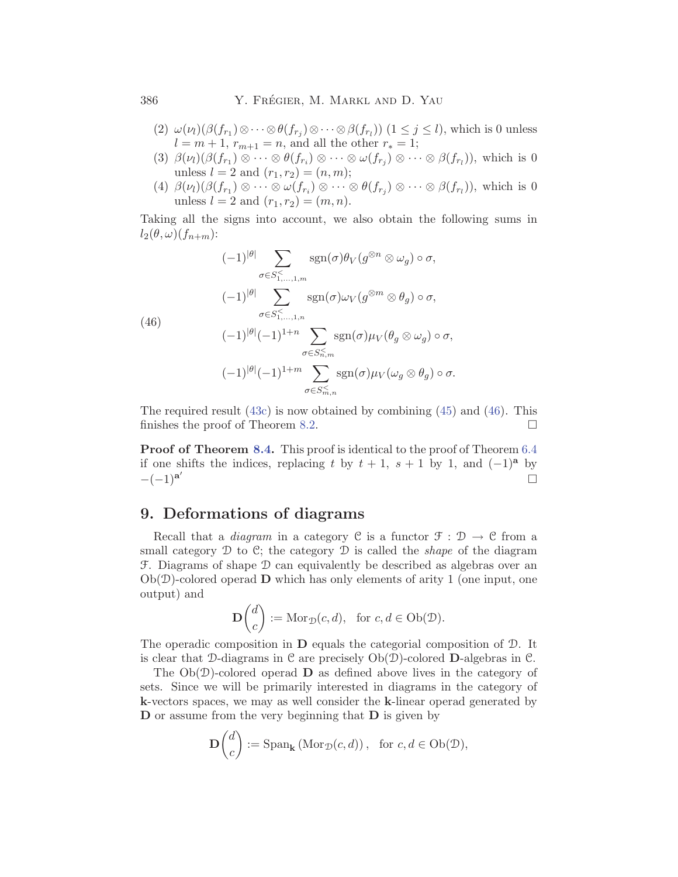<span id="page-33-0"></span>386 Y. FRÉGIER, M. MARKL AND D. YAU

- (2)  $\omega(\nu_l)(\beta(f_{r_1})\otimes\cdots\otimes\theta(f_{r_i})\otimes\cdots\otimes\beta(f_{r_l}))$   $(1 \leq j \leq l)$ , which is 0 unless  $l = m + 1, r_{m+1} = n$ , and all the other  $r_* = 1$ ;
- (3)  $\beta(\nu_l)(\beta(f_{r_1}) \otimes \cdots \otimes \theta(f_{r_i}) \otimes \cdots \otimes \omega(f_{r_j}) \otimes \cdots \otimes \beta(f_{r_l}))$ , which is 0 unless  $l = 2$  and  $(r_1, r_2) = (n, m);$
- (4)  $\beta(\nu_l)(\beta(f_{r_1}) \otimes \cdots \otimes \omega(f_{r_i}) \otimes \cdots \otimes \theta(f_{r_j}) \otimes \cdots \otimes \beta(f_{r_l}))$ , which is 0 unless  $l = 2$  and  $(r_1, r_2) = (m, n)$ .

Taking all the signs into account, we also obtain the following sums in  $l_2(\theta,\omega)(f_{n+m})$ :

(46)  
\n
$$
(-1)^{|\theta|} \sum_{\sigma \in S^{\le}_{1,...,1,m}} \operatorname{sgn}(\sigma) \theta_V(g^{\otimes n} \otimes \omega_g) \circ \sigma,
$$
\n
$$
(-1)^{|\theta|} \sum_{\sigma \in S^{\le}_{1,...,1,n}} \operatorname{sgn}(\sigma) \omega_V(g^{\otimes m} \otimes \theta_g) \circ \sigma,
$$
\n
$$
(-1)^{|\theta|} (-1)^{1+n} \sum_{\sigma \in S^{\le}_{n,m}} \operatorname{sgn}(\sigma) \mu_V(\theta_g \otimes \omega_g) \circ \sigma,
$$
\n
$$
(-1)^{|\theta|} (-1)^{1+m} \sum_{\sigma \in S^{\le}_{m,n}} \operatorname{sgn}(\sigma) \mu_V(\omega_g \otimes \theta_g) \circ \sigma.
$$

The required result  $(43c)$  $(43c)$  is now obtained by combining  $(45)$  $(45)$  $(45)$  and  $(46)$ . This finishes the proof of Theorem [8.2.](#page-29-0)  $\Box$ 

**Proof of Theorem [8.4.](#page-31-0)** This proof is identical to the proof of Theorem [6.4](#page-21-0) if one shifts the indices, replacing t by  $t + 1$ ,  $s + 1$  by 1, and  $(-1)<sup>a</sup>$  by  $-(-1)^{a'}$  $\Box$ 

## **9. Deformations of diagrams**

Recall that a *diagram* in a category C is a functor  $\mathcal{F}: \mathcal{D} \to \mathcal{C}$  from a small category D to C; the category D is called the *shape* of the diagram F. Diagrams of shape D can equivalently be described as algebras over an  $Ob(\mathcal{D})$ -colored operad **D** which has only elements of arity 1 (one input, one output) and

$$
\mathbf{D}\begin{pmatrix}d\\c\end{pmatrix} := \text{Mor}_{\mathcal{D}}(c, d), \text{ for } c, d \in \text{Ob}(\mathcal{D}).
$$

The operadic composition in **D** equals the categorial composition of D. It is clear that D-diagrams in C are precisely Ob(D)-colored **D**-algebras in C.

The Ob(D)-colored operad **D** as defined above lives in the category of sets. Since we will be primarily interested in diagrams in the category of **k**-vectors spaces, we may as well consider the **k**-linear operad generated by **D** or assume from the very beginning that **D** is given by

$$
\mathbf{D}\begin{pmatrix} d \\ c \end{pmatrix} := \mathrm{Span}_{\mathbf{k}}\left(\mathrm{Mor}_{\mathcal{D}}(c, d)\right), \text{ for } c, d \in \mathrm{Ob}(\mathcal{D}),
$$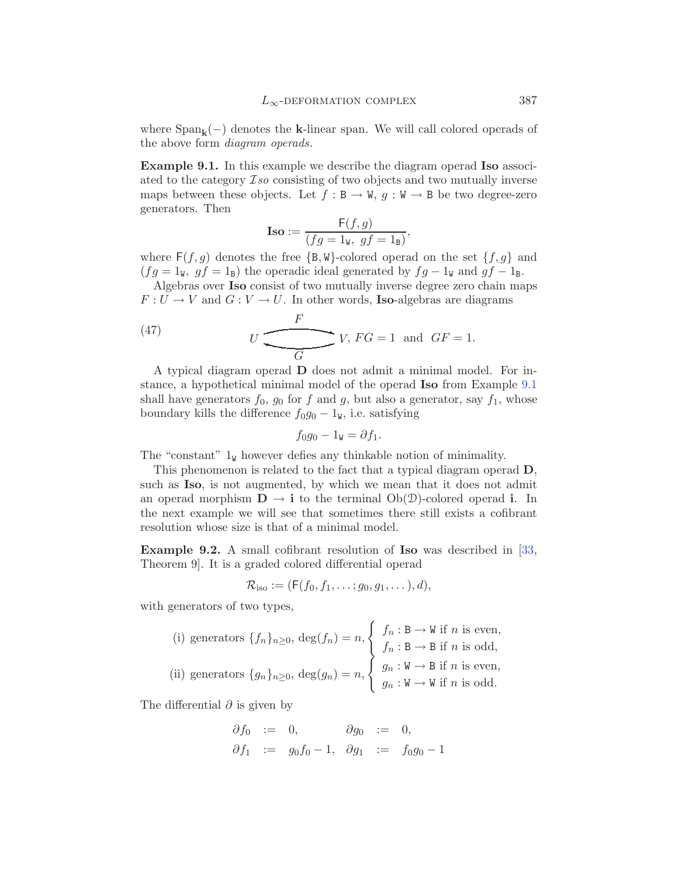<span id="page-34-0"></span>where  $\text{Span}_{\mathbf{k}}(-)$  denotes the **k**-linear span. We will call colored operads of the above form *diagram operads*.

**Example 9.1.** In this example we describe the diagram operad **Iso** associated to the category I*so* consisting of two objects and two mutually inverse maps between these objects. Let  $f : B \to W$ ,  $g : W \to B$  be two degree-zero generators. Then

$$
\text{Iso} := \frac{\mathsf{F}(f,g)}{(fg = 1_{\mathsf{W}},\ gf = 1_{\mathsf{B}})},
$$

where  $F(f,g)$  denotes the free  $\{B,W\}$ -colored operad on the set  $\{f,g\}$  and  $(fg = 1<sub>W</sub>, gf = 1<sub>B</sub>)$  the operadic ideal generated by  $fg - 1<sub>W</sub>$  and  $gf - 1<sub>B</sub>$ .

Algebras over **Iso** consist of two mutually inverse degree zero chain maps  $F: U \to V$  and  $G: V \to U$ . In other words, **Iso**-algebras are diagrams

(47) 
$$
U \underbrace{\qquad F}_{G} V, FG = 1 \text{ and } GF = 1.
$$

A typical diagram operad **D** does not admit a minimal model. For instance, a hypothetical minimal model of the operad **Iso** from Example 9.1 shall have generators  $f_0$ ,  $g_0$  for f and g, but also a generator, say  $f_1$ , whose boundary kills the difference  $f_0g_0 - 1<sub>W</sub>$ , i.e. satisfying

$$
f_0g_0-1_{\mathtt{W}}=\partial f_1.
$$

The "constant"  $1_W$  however defies any thinkable notion of minimality.

This phenomenon is related to the fact that a typical diagram operad **D**, such as **Iso**, is not augmented, by which we mean that it does not admit an operad morphism  $\mathbf{D} \to \mathbf{i}$  to the terminal  $Ob(\mathcal{D})$ -colored operad **i**. In the next example we will see that sometimes there still exists a cofibrant resolution whose size is that of a minimal model.

**Example 9.2.** A small cofibrant resolution of **Iso** was described in [\[33](#page-38-0), Theorem 9]. It is a graded colored differential operad

$$
\mathcal{R}_{\text{iso}} := (\mathsf{F}(f_0, f_1, \ldots; g_0, g_1, \ldots), d),
$$

with generators of two types,

(i) generators 
$$
\{f_n\}_{n\geq 0}
$$
,  $\deg(f_n) = n$ ,  $\begin{cases} f_n : \mathbf{B} \to \mathbf{W} \text{ if } n \text{ is even,} \\ f_n : \mathbf{B} \to \mathbf{B} \text{ if } n \text{ is odd,} \\ f_n : \mathbf{B} \to \mathbf{B} \text{ if } n \text{ is odd,} \end{cases}$   
(ii) generators  $\{g_n\}_{n\geq 0}$ ,  $\deg(g_n) = n$ ,  $\begin{cases} g_n : \mathbf{W} \to \mathbf{B} \text{ if } n \text{ is even,} \\ g_n : \mathbf{W} \to \mathbf{W} \text{ if } n \text{ is odd.} \end{cases}$ 

The differential  $\partial$  is given by

$$
\begin{aligned}\n\partial f_0 &:= 0, & \partial g_0 &:= 0, \\
\partial f_1 &:= g_0 f_0 - 1, & \partial g_1 &:= f_0 g_0 - 1\n\end{aligned}
$$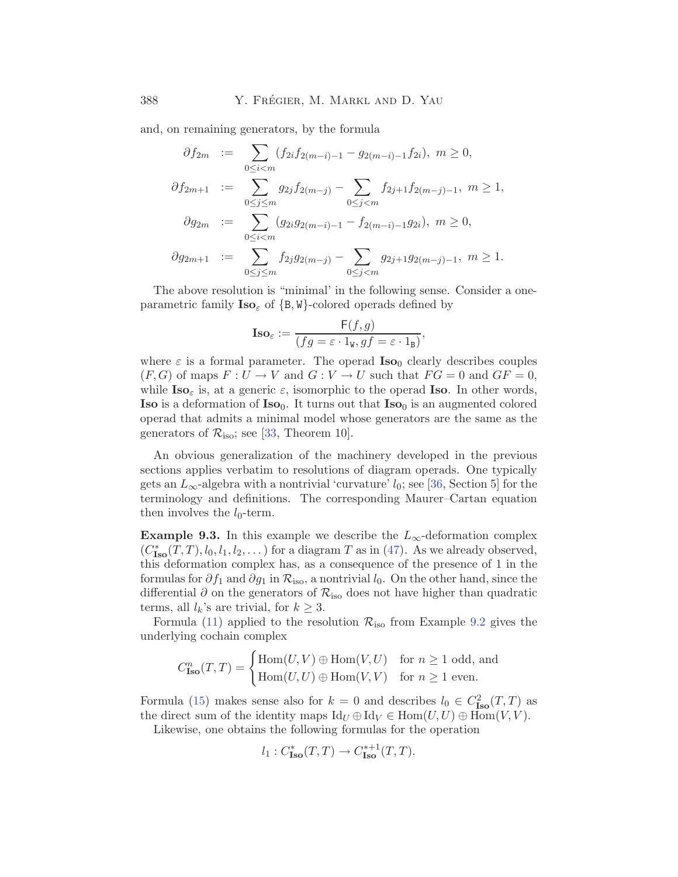<span id="page-35-0"></span>and, on remaining generators, by the formula

$$
\partial f_{2m} := \sum_{0 \le i < m} (f_{2i} f_{2(m-i)-1} - g_{2(m-i)-1} f_{2i}), \ m \ge 0,
$$
\n
$$
\partial f_{2m+1} := \sum_{0 \le j \le m} g_{2j} f_{2(m-j)} - \sum_{0 \le j < m} f_{2j+1} f_{2(m-j)-1}, \ m \ge 1,
$$
\n
$$
\partial g_{2m} := \sum_{0 \le i < m} (g_{2i} g_{2(m-i)-1} - f_{2(m-i)-1} g_{2i}), \ m \ge 0,
$$
\n
$$
\partial g_{2m+1} := \sum_{0 \le j \le m} f_{2j} g_{2(m-j)} - \sum_{0 \le j < m} g_{2j+1} g_{2(m-j)-1}, \ m \ge 1.
$$

The above resolution is "minimal' in the following sense. Consider a oneparametric family  $\text{Iso}_{\varepsilon}$  of  $\{B, W\}$ -colored operads defined by

$$
\mathbf{Iso}_{\varepsilon} := \frac{\mathsf{F}(f,g)}{(fg = \varepsilon \cdot 1_{\mathsf{W}}, gf = \varepsilon \cdot 1_{\mathsf{B}})},
$$

where  $\varepsilon$  is a formal parameter. The operad  $\text{Iso}_0$  clearly describes couples  $(F, G)$  of maps  $F: U \to V$  and  $G: V \to U$  such that  $FG = 0$  and  $GF = 0$ , while  $\text{Iso}_{\varepsilon}$  is, at a generic  $\varepsilon$ , isomorphic to the operad **Iso**. In other words, **Iso** is a deformation of **Iso**<sub>0</sub>. It turns out that **Iso**<sub>0</sub> is an augmented colored operad that admits a minimal model whose generators are the same as the generators of  $\mathcal{R}_{\text{iso}}$ ; see [[33,](#page-38-0) Theorem 10].

An obvious generalization of the machinery developed in the previous sections applies verbatim to resolutions of diagram operads. One typically gets an  $L_{\infty}$ -algebra with a nontrivial 'curvature'  $l_0$ ; see [[36,](#page-38-0) Section 5] for the terminology and definitions. The corresponding Maurer–Cartan equation then involves the  $l_0$ -term.

**Example 9.3.** In this example we describe the  $L_{\infty}$ -deformation complex  $(C_{\text{Iso}}^*(T, T), l_0, l_1, l_2, \dots)$  for a diagram T as in [\(47\)](#page-34-0). As we already observed, this deformation complex has, as a consequence of the presence of 1 in the formulas for  $\partial f_1$  and  $\partial g_1$  in  $\mathcal{R}_{\text{iso}}$ , a nontrivial  $l_0$ . On the other hand, since the differential  $\partial$  on the generators of  $\mathcal{R}_{\text{iso}}$  does not have higher than quadratic terms, all  $l_k$ 's are trivial, for  $k \geq 3$ .

Formula [\(11](#page-11-0)) applied to the resolution  $\mathcal{R}_{\text{iso}}$  from Example [9.2](#page-34-0) gives the underlying cochain complex

$$
C^n_{\mathbf{Iso}}(T,T) = \begin{cases} \mathrm{Hom}(U,V) \oplus \mathrm{Hom}(V,U) & \text{for } n \geq 1 \text{ odd, and} \\ \mathrm{Hom}(U,U) \oplus \mathrm{Hom}(V,V) & \text{for } n \geq 1 \text{ even.} \end{cases}
$$

Formula ([15](#page-14-0)) makes sense also for  $k = 0$  and describes  $l_0 \in C^2_{\text{Iso}}(T,T)$  as the direct sum of the identity maps  $\mathrm{Id}_U \oplus \mathrm{Id}_V \in \mathrm{Hom}(U, U) \oplus \mathrm{Hom}(V, V)$ .

Likewise, one obtains the following formulas for the operation

$$
l_1: C^*_{\text{Iso}}(T,T) \to C^{*+1}_{\text{Iso}}(T,T).
$$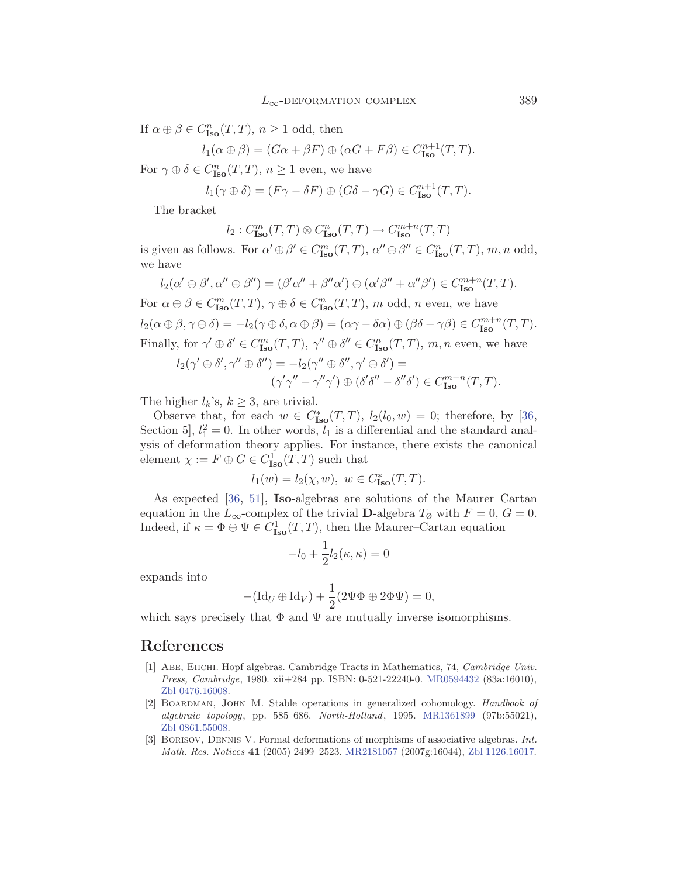<span id="page-36-0"></span>If  $\alpha \oplus \beta \in C^n_{\text{Iso}}(T,T)$ ,  $n \geq 1$  odd, then

$$
l_1(\alpha \oplus \beta) = (G\alpha + \beta F) \oplus (\alpha G + F\beta) \in C_{\text{Iso}}^{n+1}(T, T).
$$

For  $\gamma \oplus \delta \in C^n_{\text{Iso}}(T,T)$ ,  $n \geq 1$  even, we have

$$
l_1(\gamma \oplus \delta) = (F\gamma - \delta F) \oplus (G\delta - \gamma G) \in C_{\text{Iso}}^{n+1}(T, T).
$$

The bracket

$$
l_2: C^m_{\operatorname{Iso}}(T,T)\otimes C^n_{\operatorname{Iso}}(T,T)\to C^{m+n}_{\operatorname{Iso}}(T,T)
$$

is given as follows. For  $\alpha' \oplus \beta' \in C^m_{\text{Iso}}(T,T)$ ,  $\alpha'' \oplus \beta'' \in C^n_{\text{Iso}}(T,T)$ ,  $m, n$  odd, we have

$$
l_2(\alpha' \oplus \beta', \alpha'' \oplus \beta'') = (\beta'\alpha'' + \beta''\alpha') \oplus (\alpha'\beta'' + \alpha''\beta') \in C_{\text{Iso}}^{m+n}(T, T).
$$
  
For  $\alpha \oplus \beta \in C_{\text{Iso}}^m(T, T), \gamma \oplus \delta \in C_{\text{Iso}}^n(T, T), m \text{ odd}, n \text{ even, we have}$   
 $l_2(\alpha \oplus \beta, \gamma \oplus \delta) = -l_2(\gamma \oplus \delta, \alpha \oplus \beta) = (\alpha\gamma - \delta\alpha) \oplus (\beta\delta - \gamma\beta) \in C_{\text{Iso}}^{m+n}(T, T).$   
Finally, for  $\gamma' \oplus \delta' \in C_{\text{Iso}}^m(T, T), \gamma'' \oplus \delta'' \in C_{\text{Iso}}^n(T, T), m, n \text{ even, we have}$ 

$$
l_2(\gamma' \oplus \delta', \gamma'' \oplus \delta'') = -l_2(\gamma'' \oplus \delta'', \gamma' \oplus \delta') =
$$
  

$$
(\gamma'\gamma'' - \gamma''\gamma') \oplus (\delta'\delta'' - \delta''\delta') \in C_{\text{Iso}}^{m+n}(T, T).
$$

The higher  $l_k$ 's,  $k \geq 3$ , are trivial.

Observe that, for each  $w \in C^*_{\text{Iso}}(T,T)$ ,  $l_2(l_0, w) = 0$ ; therefore, by [\[36](#page-38-0), Section 5,  $l_1^2 = 0$ . In other words,  $l_1$  is a differential and the standard analysis of deformation theory applies. For instance, there exists the canonical element  $\chi := F \oplus G \in C^1_{\text{Iso}}(T,T)$  such that

$$
l_1(w) = l_2(\chi, w), \ w \in C^*_{\text{Iso}}(T, T).
$$

As expected [\[36,](#page-38-0) [51\]](#page-39-0), **Iso**-algebras are solutions of the Maurer–Cartan equation in the  $L_{\infty}$ -complex of the trivial **D**-algebra  $T_{\emptyset}$  with  $F = 0$ ,  $G = 0$ . Indeed, if  $\kappa = \Phi \oplus \Psi \in C^1_{\text{Iso}}(T,T)$ , then the Maurer–Cartan equation

$$
-l_0 + \frac{1}{2}l_2(\kappa, \kappa) = 0
$$

expands into

$$
-(\mathrm{Id}_U \oplus \mathrm{Id}_V) + \frac{1}{2}(2\Psi \Phi \oplus 2\Phi \Psi) = 0,
$$

which says precisely that  $\Phi$  and  $\Psi$  are mutually inverse isomorphisms.

## **References**

- [1] Abe, Eiichi. Hopf algebras. Cambridge Tracts in Mathematics, 74, *Cambridge Univ. Press, Cambridge*, 1980. xii+284 pp. ISBN: 0-521-22240-0. [MR0594432](http://www.ams.org/mathscinet-getitem?mr=0594432) (83a:16010), [Zbl 0476.16008.](http://www.emis.de/cgi-bin/MATH-item?0476.16008)
- [2] Boardman, John M. Stable operations in generalized cohomology. *Handbook of algebraic topology*, pp. 585–686. *North-Holland*, 1995. [MR1361899](http://www.ams.org/mathscinet-getitem?mr=1361899) (97b:55021), [Zbl 0861.55008.](http://www.emis.de/cgi-bin/MATH-item?0861.55008)
- [3] Borisov, Dennis V. Formal deformations of morphisms of associative algebras. *Int. Math. Res. Notices* **41** (2005) 2499–2523. [MR2181057](http://www.ams.org/mathscinet-getitem?mr=2181057) (2007g:16044), [Zbl 1126.16017.](http://www.emis.de/cgi-bin/MATH-item?1126.16017)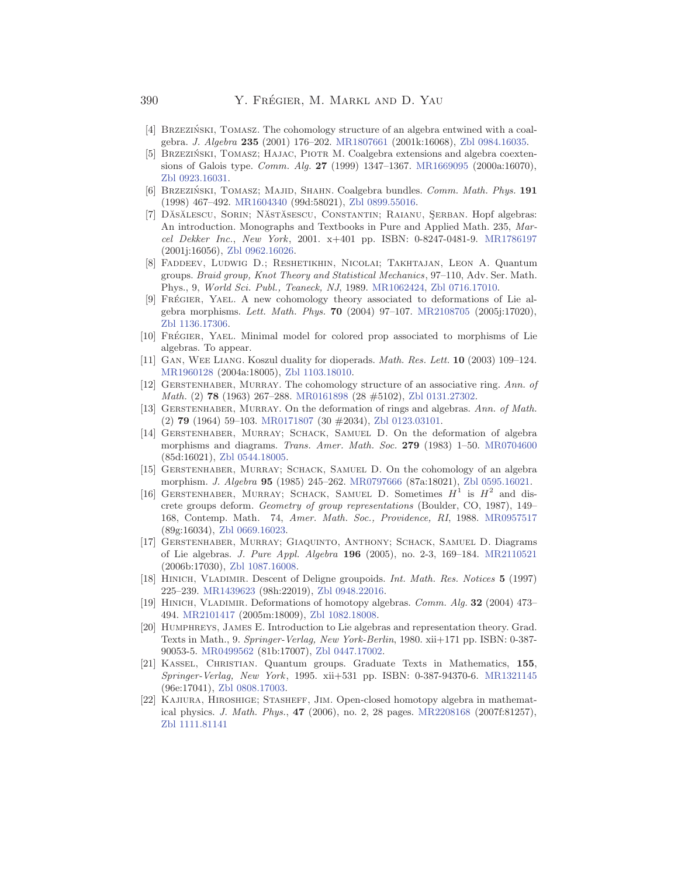- <span id="page-37-0"></span>[4] BRZEZIŃSKI, TOMASZ. The cohomology structure of an algebra entwined with a coalgebra. *J. Algebra* **235** (2001) 176–202. [MR1807661](http://www.ams.org/mathscinet-getitem?mr=1807661) (2001k:16068), [Zbl 0984.16035.](http://www.emis.de/cgi-bin/MATH-item?0984.16035)
- [5] BRZEZIŃSKI, TOMASZ; HAJAC, PIOTR M. Coalgebra extensions and algebra coextensions of Galois type. *Comm. Alg.* **27** (1999) 1347–1367. [MR1669095](http://www.ams.org/mathscinet-getitem?mr=1669095) (2000a:16070), [Zbl 0923.16031.](http://www.emis.de/cgi-bin/MATH-item?0923.16031)
- [6] Brzezinski, Tomasz; Majid, Shahn. ´ Coalgebra bundles. *Comm. Math. Phys.* **191** (1998) 467–492. [MR1604340](http://www.ams.org/mathscinet-getitem?mr=1604340) (99d:58021), [Zbl 0899.55016.](http://www.emis.de/cgi-bin/MATH-item?0899.55016)
- [7] DĂSĂLESCU, SORIN; NĂSTĂSESCU, CONSTANTIN; RAIANU, ȘERBAN. Hopf algebras: An introduction. Monographs and Textbooks in Pure and Applied Math. 235, *Marcel Dekker Inc.*, *New York*, 2001. x+401 pp. ISBN: 0-8247-0481-9. [MR1786197](http://www.ams.org/mathscinet-getitem?mr=1786197) (2001j:16056), [Zbl 0962.16026.](http://www.emis.de/cgi-bin/MATH-item?0962.16026)
- [8] Faddeev, Ludwig D.; Reshetikhin, Nicolai; Takhtajan, Leon A. Quantum groups. *Braid group, Knot Theory and Statistical Mechanics*, 97–110, Adv. Ser. Math. Phys., 9, *World Sci. Publ., Teaneck, NJ*, 1989. [MR1062424,](http://www.ams.org/mathscinet-getitem?mr=1062424) [Zbl 0716.17010.](http://www.emis.de/cgi-bin/MATH-item?0716.17010)
- [9] FRÉGIER, YAEL. A new cohomology theory associated to deformations of Lie algebra morphisms. *Lett. Math. Phys.* **70** (2004) 97–107. [MR2108705](http://www.ams.org/mathscinet-getitem?mr=2108705) (2005j:17020), [Zbl 1136.17306.](http://www.emis.de/cgi-bin/MATH-item?1136.17306)
- [10] FRÉGIER, YAEL. Minimal model for colored prop associated to morphisms of Lie algebras. To appear.
- [11] Gan, Wee Liang. Koszul duality for dioperads. *Math. Res. Lett.* **10** (2003) 109–124. [MR1960128](http://www.ams.org/mathscinet-getitem?mr=1960128) (2004a:18005), [Zbl 1103.18010.](http://www.emis.de/cgi-bin/MATH-item?1103.18010)
- [12] Gerstenhaber, Murray. The cohomology structure of an associative ring. *Ann. of Math.* (2) **78** (1963) 267–288. [MR0161898](http://www.ams.org/mathscinet-getitem?mr=0161898) (28 #5102), [Zbl 0131.27302](http://www.emis.de/cgi-bin/MATH-item?0131.27302).
- [13] Gerstenhaber, Murray. On the deformation of rings and algebras. *Ann. of Math.* (2) **79** (1964) 59–103. [MR0171807](http://www.ams.org/mathscinet-getitem?mr=0171807) (30 #2034), [Zbl 0123.03101.](http://www.emis.de/cgi-bin/MATH-item?0123.03101)
- [14] Gerstenhaber, Murray; Schack, Samuel D. On the deformation of algebra morphisms and diagrams. *Trans. Amer. Math. Soc.* **279** (1983) 1–50. [MR0704600](http://www.ams.org/mathscinet-getitem?mr=0704600) (85d:16021), [Zbl 0544.18005.](http://www.emis.de/cgi-bin/MATH-item?0544.18005)
- [15] Gerstenhaber, Murray; Schack, Samuel D. On the cohomology of an algebra morphism. *J. Algebra* **95** (1985) 245–262. [MR0797666](http://www.ams.org/mathscinet-getitem?mr=0797666) (87a:18021), [Zbl 0595.16021.](http://www.emis.de/cgi-bin/MATH-item?0595.16021)
- [16] Gerstenhaber, Murray; Schack, Samuel D. Sometimes *H*<sup>1</sup> is *<sup>H</sup>*<sup>2</sup> and discrete groups deform. *Geometry of group representations* (Boulder, CO, 1987), 149– 168, Contemp. Math. 74, *Amer. Math. Soc., Providence, RI*, 1988. [MR0957517](http://www.ams.org/mathscinet-getitem?mr=0957517) (89g:16034), [Zbl 0669.16023.](http://www.emis.de/cgi-bin/MATH-item?0669.16023)
- [17] Gerstenhaber, Murray; Giaquinto, Anthony; Schack, Samuel D. Diagrams of Lie algebras. *J. Pure Appl. Algebra* **196** (2005), no. 2-3, 169–184. [MR2110521](http://www.ams.org/mathscinet-getitem?mr=2110521) (2006b:17030), [Zbl 1087.16008.](http://www.emis.de/cgi-bin/MATH-item?1087.16008)
- [18] Hinich, Vladimir. Descent of Deligne groupoids. *Int. Math. Res. Notices* **5** (1997) 225–239. [MR1439623](http://www.ams.org/mathscinet-getitem?mr=1439623) (98h:22019), [Zbl 0948.22016.](http://www.emis.de/cgi-bin/MATH-item?0948.22016)
- [19] Hinich, Vladimir. Deformations of homotopy algebras. *Comm. Alg.* **32** (2004) 473– 494. [MR2101417](http://www.ams.org/mathscinet-getitem?mr=2101417) (2005m:18009), [Zbl 1082.18008.](http://www.emis.de/cgi-bin/MATH-item?1082.18008)
- [20] Humphreys, James E. Introduction to Lie algebras and representation theory. Grad. Texts in Math., 9. *Springer-Verlag, New York-Berlin*, 1980. xii+171 pp. ISBN: 0-387- 90053-5. [MR0499562](http://www.ams.org/mathscinet-getitem?mr=0499562) (81b:17007), [Zbl 0447.17002.](http://www.emis.de/cgi-bin/MATH-item?0447.17002)
- [21] Kassel, Christian. Quantum groups. Graduate Texts in Mathematics, **155**, *Springer-Verlag, New York*, 1995. xii+531 pp. ISBN: 0-387-94370-6. [MR1321145](http://www.ams.org/mathscinet-getitem?mr=1321145) (96e:17041), [Zbl 0808.17003.](http://www.emis.de/cgi-bin/MATH-item?0808.17003)
- [22] Kajiura, Hiroshige; Stasheff, Jim. Open-closed homotopy algebra in mathematical physics. *J. Math. Phys.*, **47** (2006), no. 2, 28 pages. [MR2208168](http://www.ams.org/mathscinet-getitem?mr=2208168) (2007f:81257), [Zbl 1111.81141](http://www.emis.de/cgi-bin/MATH-item?1111.81141)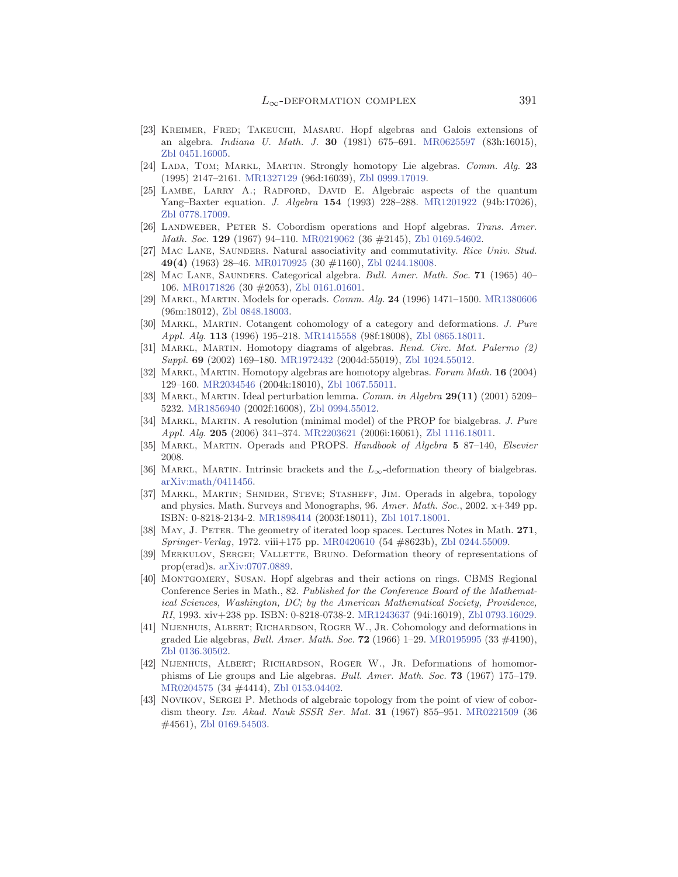- <span id="page-38-0"></span>[23] Kreimer, Fred; Takeuchi, Masaru. Hopf algebras and Galois extensions of an algebra. *Indiana U. Math. J.* **30** (1981) 675–691. [MR0625597](http://www.ams.org/mathscinet-getitem?mr=0625597) (83h:16015), [Zbl 0451.16005.](http://www.emis.de/cgi-bin/MATH-item?0451.16005)
- [24] Lada, Tom; Markl, Martin. Strongly homotopy Lie algebras. *Comm. Alg.* **23** (1995) 2147–2161. [MR1327129](http://www.ams.org/mathscinet-getitem?mr=1327129) (96d:16039), [Zbl 0999.17019.](http://www.emis.de/cgi-bin/MATH-item?0999.17019)
- [25] Lambe, Larry A.; Radford, David E. Algebraic aspects of the quantum Yang–Baxter equation. *J. Algebra* **154** (1993) 228–288. [MR1201922](http://www.ams.org/mathscinet-getitem?mr=1201922) (94b:17026), [Zbl 0778.17009.](http://www.emis.de/cgi-bin/MATH-item?0778.17009)
- [26] Landweber, Peter S. Cobordism operations and Hopf algebras. *Trans. Amer. Math. Soc.* **129** (1967) 94–110. [MR0219062](http://www.ams.org/mathscinet-getitem?mr=0219062) (36 #2145), [Zbl 0169.54602.](http://www.emis.de/cgi-bin/MATH-item?0169.54602)
- [27] Mac Lane, Saunders. Natural associativity and commutativity. *Rice Univ. Stud.* **49(4)** (1963) 28–46. [MR0170925](http://www.ams.org/mathscinet-getitem?mr=0170925) (30 #1160), [Zbl 0244.18008.](http://www.emis.de/cgi-bin/MATH-item?0244.18008)
- [28] Mac Lane, Saunders. Categorical algebra. *Bull. Amer. Math. Soc.* **71** (1965) 40– 106. [MR0171826](http://www.ams.org/mathscinet-getitem?mr=0171826) (30 #2053), [Zbl 0161.01601.](http://www.emis.de/cgi-bin/MATH-item?0161.01601)
- [29] Markl, Martin. Models for operads. *Comm. Alg.* **24** (1996) 1471–1500. [MR1380606](http://www.ams.org/mathscinet-getitem?mr=1380606) (96m:18012), [Zbl 0848.18003.](http://www.emis.de/cgi-bin/MATH-item?0848.18003)
- [30] Markl, Martin. Cotangent cohomology of a category and deformations. *J. Pure Appl. Alg.* **113** (1996) 195–218. [MR1415558](http://www.ams.org/mathscinet-getitem?mr=1415558) (98f:18008), [Zbl 0865.18011.](http://www.emis.de/cgi-bin/MATH-item?0865.18011)
- [31] Markl, Martin. Homotopy diagrams of algebras. *Rend. Circ. Mat. Palermo (2) Suppl.* **69** (2002) 169–180. [MR1972432](http://www.ams.org/mathscinet-getitem?mr=1972432) (2004d:55019), [Zbl 1024.55012.](http://www.emis.de/cgi-bin/MATH-item?1024.55012)
- [32] Markl, Martin. Homotopy algebras are homotopy algebras. *Forum Math.* **16** (2004) 129–160. [MR2034546](http://www.ams.org/mathscinet-getitem?mr=2034546) (2004k:18010), [Zbl 1067.55011.](http://www.emis.de/cgi-bin/MATH-item?1067.55011)
- [33] Markl, Martin. Ideal perturbation lemma. *Comm. in Algebra* **29(11)** (2001) 5209– 5232. [MR1856940](http://www.ams.org/mathscinet-getitem?mr=1856940) (2002f:16008), [Zbl 0994.55012.](http://www.emis.de/cgi-bin/MATH-item?0994.55012)
- [34] Markl, Martin. A resolution (minimal model) of the PROP for bialgebras. *J. Pure Appl. Alg.* **205** (2006) 341–374. [MR2203621](http://www.ams.org/mathscinet-getitem?mr=2203621) (2006i:16061), [Zbl 1116.18011.](http://www.emis.de/cgi-bin/MATH-item?1116.18011)
- [35] Markl, Martin. Operads and PROPS. *Handbook of Algebra* **5** 87–140, *Elsevier* 2008.
- [36] Markl, Martin. Intrinsic brackets and the *L*<sup>∞</sup>-deformation theory of bialgebras. [arXiv:math/0411456.](http://arXiv.org/abs/math/0411456)
- [37] Markl, Martin; Shnider, Steve; Stasheff, Jim. Operads in algebra, topology and physics. Math. Surveys and Monographs, 96. *Amer. Math. Soc.*, 2002. x+349 pp. ISBN: 0-8218-2134-2. [MR1898414](http://www.ams.org/mathscinet-getitem?mr=1898414) (2003f:18011), [Zbl 1017.18001.](http://www.emis.de/cgi-bin/MATH-item?1017.18001)
- [38] May, J. Peter. The geometry of iterated loop spaces. Lectures Notes in Math. **271**, *Springer-Verlag*, 1972. viii+175 pp. [MR0420610](http://www.ams.org/mathscinet-getitem?mr=0420610) (54 #8623b), [Zbl 0244.55009.](http://www.emis.de/cgi-bin/MATH-item?0244.55009)
- [39] MERKULOV, SERGEI; VALLETTE, BRUNO. Deformation theory of representations of prop(erad)s. [arXiv:0707.0889.](http://arXiv.org/abs/0707.0889)
- [40] Montgomery, Susan. Hopf algebras and their actions on rings. CBMS Regional Conference Series in Math., 82. *Published for the Conference Board of the Mathematical Sciences, Washington, DC; by the American Mathematical Society, Providence, RI*, 1993. xiv+238 pp. ISBN: 0-8218-0738-2. [MR1243637](http://www.ams.org/mathscinet-getitem?mr=1243637) (94i:16019), [Zbl 0793.16029.](http://www.emis.de/cgi-bin/MATH-item?0793.16029)
- [41] Nijenhuis, Albert; Richardson, Roger W., Jr. Cohomology and deformations in graded Lie algebras, *Bull. Amer. Math. Soc.* **72** (1966) 1–29. [MR0195995](http://www.ams.org/mathscinet-getitem?mr=0195995) (33 #4190), [Zbl 0136.30502.](http://www.emis.de/cgi-bin/MATH-item?0136.30502)
- [42] NIJENHUIS, ALBERT; RICHARDSON, ROGER W., JR. Deformations of homomorphisms of Lie groups and Lie algebras. *Bull. Amer. Math. Soc.* **73** (1967) 175–179. [MR0204575](http://www.ams.org/mathscinet-getitem?mr=0204575) (34 #4414), [Zbl 0153.04402.](http://www.emis.de/cgi-bin/MATH-item?0153.04402)
- [43] NOVIKOV, SERGEI P. Methods of algebraic topology from the point of view of cobordism theory. *Izv. Akad. Nauk SSSR Ser. Mat.* **31** (1967) 855–951. [MR0221509](http://www.ams.org/mathscinet-getitem?mr=0221509) (36 #4561), [Zbl 0169.54503.](http://www.emis.de/cgi-bin/MATH-item?0169.54503)